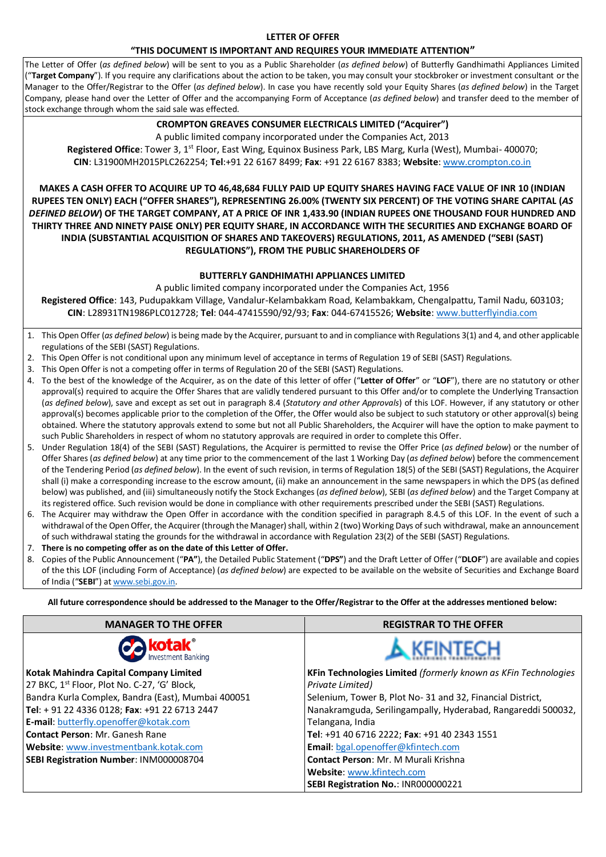#### **LETTER OF OFFER**

#### **"THIS DOCUMENT IS IMPORTANT AND REQUIRES YOUR IMMEDIATE ATTENTION"**

The Letter of Offer (*as defined below*) will be sent to you as a Public Shareholder (*as defined below*) of Butterfly Gandhimathi Appliances Limited ("Target Company"). If you require any clarifications about the action to be taken, you may consult your stockbroker or investment consultant or the Manager to the Offer/Registrar to the Offer (*as defined below*). In case you have recently sold your Equity Shares (*as defined below*) in the Target Company, please hand over the Letter of Offer and the accompanying Form of Acceptance (*as defined below*) and transfer deed to the member of stock exchange through whom the said sale was effected.

#### **CROMPTON GREAVES CONSUMER ELECTRICALS LIMITED ("Acquirer")**

A public limited company incorporated under the Companies Act, 2013

**Registered Office**: Tower 3, 1st Floor, East Wing, Equinox Business Park, LBS Marg, Kurla (West), Mumbai- 400070; **CIN**: L31900MH2015PLC262254; **Tel**:+91 22 6167 8499; **Fax**: +91 22 6167 8383; **Website**[: www.crompton.co.in](http://www.crompton.co.in/)

**MAKES A CASH OFFER TO ACQUIRE UP TO 46,48,684 FULLY PAID UP EQUITY SHARES HAVING FACE VALUE OF INR 10 (INDIAN RUPEES TEN ONLY) EACH ("OFFER SHARES"), REPRESENTING 26.00% (TWENTY SIX PERCENT) OF THE VOTING SHARE CAPITAL (***AS DEFINED BELOW***) OF THE TARGET COMPANY, AT A PRICE OF INR 1,433.90 (INDIAN RUPEES ONE THOUSAND FOUR HUNDRED AND THIRTY THREE AND NINETY PAISE ONLY) PER EQUITY SHARE, IN ACCORDANCE WITH THE SECURITIES AND EXCHANGE BOARD OF INDIA (SUBSTANTIAL ACQUISITION OF SHARES AND TAKEOVERS) REGULATIONS, 2011, AS AMENDED ("SEBI (SAST) REGULATIONS"), FROM THE PUBLIC SHAREHOLDERS OF**

#### **BUTTERFLY GANDHIMATHI APPLIANCES LIMITED**

A public limited company incorporated under the Companies Act, 1956

**Registered Office**: 143, Pudupakkam Village, Vandalur-Kelambakkam Road, Kelambakkam, Chengalpattu, Tamil Nadu, 603103; **CIN**: L28931TN1986PLC012728; **Tel**: 044-47415590/92/93; **Fax**: 044-67415526; **Website**[: www.butterflyindia.com](http://www.butterflyindia.com/)

- 1. This Open Offer (*as defined below*) is being made by the Acquirer, pursuant to and in compliance with Regulations 3(1) and 4, and other applicable regulations of the SEBI (SAST) Regulations.
- 2. This Open Offer is not conditional upon any minimum level of acceptance in terms of Regulation 19 of SEBI (SAST) Regulations.
- 3. This Open Offer is not a competing offer in terms of Regulation 20 of the SEBI (SAST) Regulations.
- 4. To the best of the knowledge of the Acquirer, as on the date of this letter of offer ("**Letter of Offer**" or "**LOF**"), there are no statutory or other approval(s) required to acquire the Offer Shares that are validly tendered pursuant to this Offer and/or to complete the Underlying Transaction (*as defined below*), save and except as set out in paragraph 8.4 (*Statutory and other Approvals*) of this LOF. However, if any statutory or other approval(s) becomes applicable prior to the completion of the Offer, the Offer would also be subject to such statutory or other approval(s) being obtained. Where the statutory approvals extend to some but not all Public Shareholders, the Acquirer will have the option to make payment to such Public Shareholders in respect of whom no statutory approvals are required in order to complete this Offer.
- 5. Under Regulation 18(4) of the SEBI (SAST) Regulations, the Acquirer is permitted to revise the Offer Price (*as defined below*) or the number of Offer Shares (*as defined below*) at any time prior to the commencement of the last 1 Working Day (*as defined below*) before the commencement of the Tendering Period (*as defined below*). In the event of such revision, in terms of Regulation 18(5) of the SEBI (SAST) Regulations, the Acquirer shall (i) make a corresponding increase to the escrow amount, (ii) make an announcement in the same newspapers in which the DPS (as defined below) was published, and (iii) simultaneously notify the Stock Exchanges (*as defined below*), SEBI (*as defined below*) and the Target Company at its registered office. Such revision would be done in compliance with other requirements prescribed under the SEBI (SAST) Regulations.
- 6. The Acquirer may withdraw the Open Offer in accordance with the condition specified in paragraph 8.4.5 of this LOF. In the event of such a withdrawal of the Open Offer, the Acquirer (through the Manager) shall, within 2 (two) Working Days of such withdrawal, make an announcement of such withdrawal stating the grounds for the withdrawal in accordance with Regulation 23(2) of the SEBI (SAST) Regulations.
- 7. **There is no competing offer as on the date of this Letter of Offer.**
- 8. Copies of the Public Announcement ("**PA"**), the Detailed Public Statement ("**DPS"**) and the Draft Letter of Offer ("**DLOF**") are available and copies of the this LOF (including Form of Acceptance) (*as defined below*) are expected to be available on the website of Securities and Exchange Board of India ("**SEBI**") a[t www.sebi.gov.in.](http://www.sebi.gov.in/)

**All future correspondence should be addressed to the Manager to the Offer/Registrar to the Offer at the addresses mentioned below:**

| <b>MANAGER TO THE OFFER</b>                              | <b>REGISTRAR TO THE OFFER</b>                                  |
|----------------------------------------------------------|----------------------------------------------------------------|
| <b>Sotak®</b><br>Investment Banking                      | <b>(FINTECH</b>                                                |
| Kotak Mahindra Capital Company Limited                   | KFin Technologies Limited (formerly known as KFin Technologies |
| 27 BKC, 1 <sup>st</sup> Floor, Plot No. C-27, 'G' Block, | Private Limited)                                               |
| Bandra Kurla Complex, Bandra (East), Mumbai 400051       | Selenium, Tower B, Plot No-31 and 32, Financial District,      |
| Tel: + 91 22 4336 0128; Fax: +91 22 6713 2447            | Nanakramguda, Serilingampally, Hyderabad, Rangareddi 500032,   |
| <b>E-mail:</b> butterfly.openoffer@kotak.com             | Telangana, India                                               |
| l Contact Person: Mr. Ganesh Rane                        | Tel: +91 40 6716 2222; Fax: +91 40 2343 1551                   |
| <b>Website: www.investmentbank.kotak.com</b>             | Email: bgal.openoffer@kfintech.com                             |
| SEBI Registration Number: INM000008704                   | <b>Contact Person: Mr. M Murali Krishna</b>                    |
|                                                          | Website: www.kfintech.com                                      |
|                                                          | SEBI Registration No.: INR000000221                            |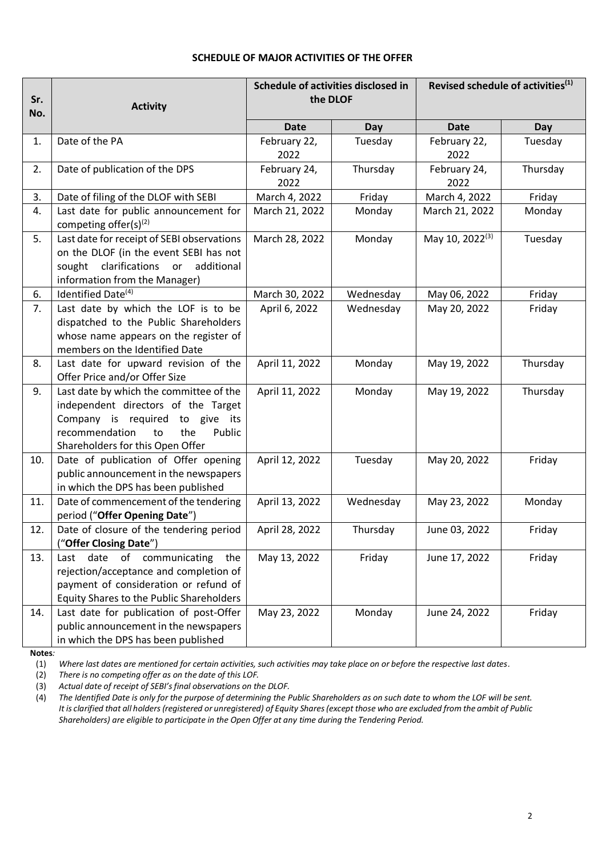## **SCHEDULE OF MAJOR ACTIVITIES OF THE OFFER**

| Sr. | <b>Activity</b>                                                                                                                                                                                   | Schedule of activities disclosed in<br>the DLOF |            | Revised schedule of activities <sup>(1)</sup> |            |
|-----|---------------------------------------------------------------------------------------------------------------------------------------------------------------------------------------------------|-------------------------------------------------|------------|-----------------------------------------------|------------|
| No. |                                                                                                                                                                                                   | <b>Date</b>                                     | <b>Day</b> | <b>Date</b>                                   | <b>Day</b> |
| 1.  | Date of the PA                                                                                                                                                                                    | February 22,<br>2022                            | Tuesday    | February 22,<br>2022                          | Tuesday    |
| 2.  | Date of publication of the DPS                                                                                                                                                                    | February 24,<br>2022                            | Thursday   | February 24,<br>2022                          | Thursday   |
| 3.  | Date of filing of the DLOF with SEBI                                                                                                                                                              | March 4, 2022                                   | Friday     | March 4, 2022                                 | Friday     |
| 4.  | Last date for public announcement for<br>competing offer(s) <sup>(2)</sup>                                                                                                                        | March 21, 2022                                  | Monday     | March 21, 2022                                | Monday     |
| 5.  | Last date for receipt of SEBI observations<br>on the DLOF (in the event SEBI has not<br>clarifications<br>sought<br>additional<br>or<br>information from the Manager)                             | March 28, 2022                                  | Monday     | May 10, 2022 <sup>(3)</sup>                   | Tuesday    |
| 6.  | Identified Date <sup>(4)</sup>                                                                                                                                                                    | March 30, 2022                                  | Wednesday  | May 06, 2022                                  | Friday     |
| 7.  | Last date by which the LOF is to be<br>dispatched to the Public Shareholders<br>whose name appears on the register of<br>members on the Identified Date                                           | April 6, 2022                                   | Wednesday  | May 20, 2022                                  | Friday     |
| 8.  | Last date for upward revision of the<br>Offer Price and/or Offer Size                                                                                                                             | April 11, 2022                                  | Monday     | May 19, 2022                                  | Thursday   |
| 9.  | Last date by which the committee of the<br>independent directors of the Target<br>Company is required<br>to give its<br>the<br>recommendation<br>Public<br>to<br>Shareholders for this Open Offer | April 11, 2022                                  | Monday     | May 19, 2022                                  | Thursday   |
| 10. | Date of publication of Offer opening<br>public announcement in the newspapers<br>in which the DPS has been published                                                                              | April 12, 2022                                  | Tuesday    | May 20, 2022                                  | Friday     |
| 11. | Date of commencement of the tendering<br>period ("Offer Opening Date")                                                                                                                            | April 13, 2022                                  | Wednesday  | May 23, 2022                                  | Monday     |
| 12. | Date of closure of the tendering period<br>("Offer Closing Date")                                                                                                                                 | April 28, 2022                                  | Thursday   | June 03, 2022                                 | Friday     |
| 13. | of communicating<br>date<br>the<br>Last<br>rejection/acceptance and completion of<br>payment of consideration or refund of<br><b>Equity Shares to the Public Shareholders</b>                     | May 13, 2022                                    | Friday     | June 17, 2022                                 | Friday     |
| 14. | Last date for publication of post-Offer<br>public announcement in the newspapers<br>in which the DPS has been published                                                                           | May 23, 2022                                    | Monday     | June 24, 2022                                 | Friday     |

**Notes***:*

(1) *Where last dates are mentioned for certain activities, such activities may take place on or before the respective last dates.*

(2) *There is no competing offer as on the date of this LOF.*

(3) *Actual date of receipt of SEBI's final observations on the DLOF.*

(4) *The Identified Date is only for the purpose of determining the Public Shareholders as on such date to whom the LOF will be sent. It is clarified that all holders (registered or unregistered) of Equity Shares(except those who are excluded from the ambit of Public Shareholders) are eligible to participate in the Open Offer at any time during the Tendering Period.*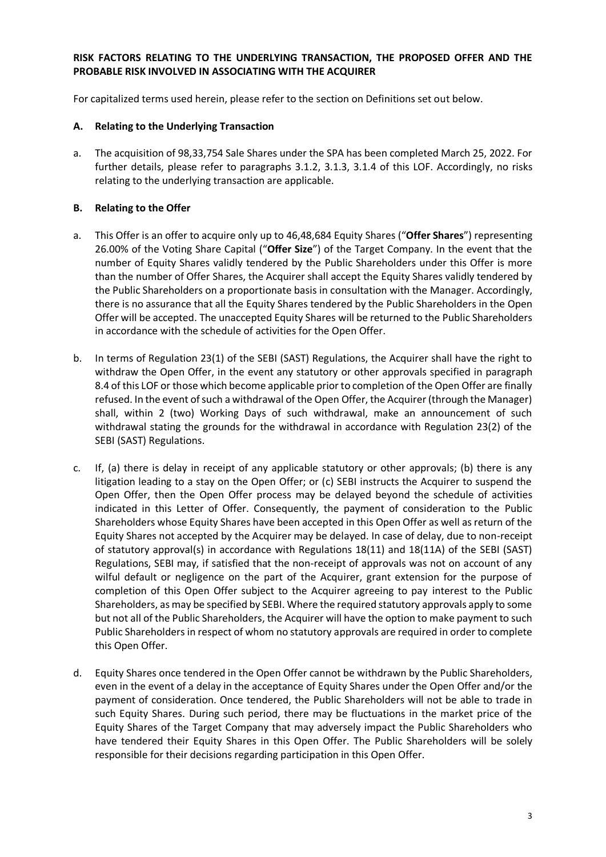## **RISK FACTORS RELATING TO THE UNDERLYING TRANSACTION, THE PROPOSED OFFER AND THE PROBABLE RISK INVOLVED IN ASSOCIATING WITH THE ACQUIRER**

For capitalized terms used herein, please refer to the section on Definitions set out below.

## **A. Relating to the Underlying Transaction**

a. The acquisition of 98,33,754 Sale Shares under the SPA has been completed March 25, 2022. For further details, please refer to paragraphs 3.1.2, 3.1.3, 3.1.4 of this LOF. Accordingly, no risks relating to the underlying transaction are applicable.

## **B. Relating to the Offer**

- a. This Offer is an offer to acquire only up to 46,48,684 Equity Shares ("**Offer Shares**") representing 26.00% of the Voting Share Capital ("**Offer Size**") of the Target Company. In the event that the number of Equity Shares validly tendered by the Public Shareholders under this Offer is more than the number of Offer Shares, the Acquirer shall accept the Equity Shares validly tendered by the Public Shareholders on a proportionate basis in consultation with the Manager. Accordingly, there is no assurance that all the Equity Shares tendered by the Public Shareholders in the Open Offer will be accepted. The unaccepted Equity Shares will be returned to the Public Shareholders in accordance with the schedule of activities for the Open Offer.
- b. In terms of Regulation 23(1) of the SEBI (SAST) Regulations, the Acquirer shall have the right to withdraw the Open Offer, in the event any statutory or other approvals specified in paragraph 8.4 of this LOF or those which become applicable prior to completion of the Open Offer are finally refused. In the event of such a withdrawal of the Open Offer, the Acquirer (through the Manager) shall, within 2 (two) Working Days of such withdrawal, make an announcement of such withdrawal stating the grounds for the withdrawal in accordance with Regulation 23(2) of the SEBI (SAST) Regulations.
- c. If, (a) there is delay in receipt of any applicable statutory or other approvals; (b) there is any litigation leading to a stay on the Open Offer; or (c) SEBI instructs the Acquirer to suspend the Open Offer, then the Open Offer process may be delayed beyond the schedule of activities indicated in this Letter of Offer. Consequently, the payment of consideration to the Public Shareholders whose Equity Shares have been accepted in this Open Offer as well as return of the Equity Shares not accepted by the Acquirer may be delayed. In case of delay, due to non-receipt of statutory approval(s) in accordance with Regulations 18(11) and 18(11A) of the SEBI (SAST) Regulations, SEBI may, if satisfied that the non-receipt of approvals was not on account of any wilful default or negligence on the part of the Acquirer, grant extension for the purpose of completion of this Open Offer subject to the Acquirer agreeing to pay interest to the Public Shareholders, as may be specified by SEBI. Where the required statutory approvals apply to some but not all of the Public Shareholders, the Acquirer will have the option to make payment to such Public Shareholders in respect of whom no statutory approvals are required in order to complete this Open Offer.
- d. Equity Shares once tendered in the Open Offer cannot be withdrawn by the Public Shareholders, even in the event of a delay in the acceptance of Equity Shares under the Open Offer and/or the payment of consideration. Once tendered, the Public Shareholders will not be able to trade in such Equity Shares. During such period, there may be fluctuations in the market price of the Equity Shares of the Target Company that may adversely impact the Public Shareholders who have tendered their Equity Shares in this Open Offer. The Public Shareholders will be solely responsible for their decisions regarding participation in this Open Offer.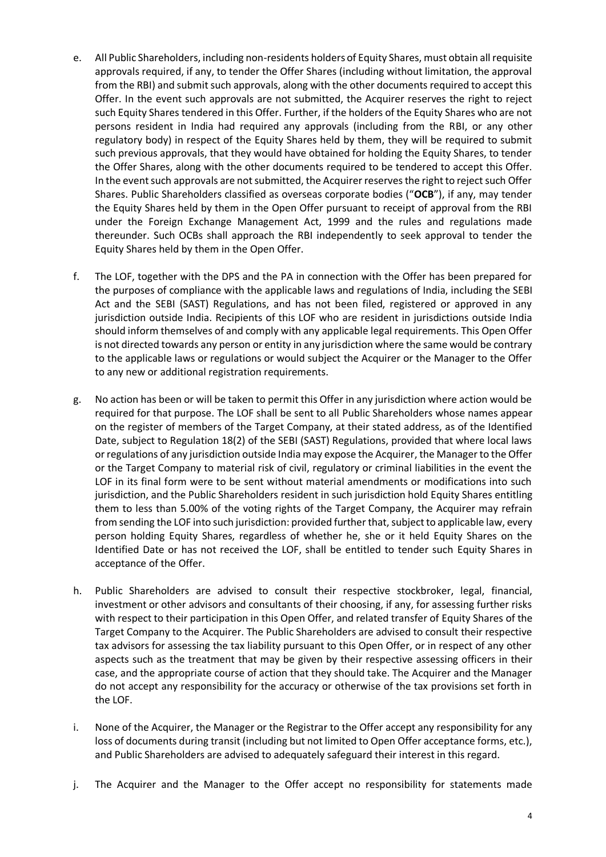- e. All Public Shareholders, including non-residents holders of Equity Shares, must obtain all requisite approvals required, if any, to tender the Offer Shares (including without limitation, the approval from the RBI) and submit such approvals, along with the other documents required to accept this Offer. In the event such approvals are not submitted, the Acquirer reserves the right to reject such Equity Shares tendered in this Offer. Further, if the holders of the Equity Shares who are not persons resident in India had required any approvals (including from the RBI, or any other regulatory body) in respect of the Equity Shares held by them, they will be required to submit such previous approvals, that they would have obtained for holding the Equity Shares, to tender the Offer Shares, along with the other documents required to be tendered to accept this Offer. In the event such approvals are not submitted, the Acquirer reserves the right to reject such Offer Shares. Public Shareholders classified as overseas corporate bodies ("**OCB**"), if any, may tender the Equity Shares held by them in the Open Offer pursuant to receipt of approval from the RBI under the Foreign Exchange Management Act, 1999 and the rules and regulations made thereunder. Such OCBs shall approach the RBI independently to seek approval to tender the Equity Shares held by them in the Open Offer.
- f. The LOF, together with the DPS and the PA in connection with the Offer has been prepared for the purposes of compliance with the applicable laws and regulations of India, including the SEBI Act and the SEBI (SAST) Regulations, and has not been filed, registered or approved in any jurisdiction outside India. Recipients of this LOF who are resident in jurisdictions outside India should inform themselves of and comply with any applicable legal requirements. This Open Offer is not directed towards any person or entity in any jurisdiction where the same would be contrary to the applicable laws or regulations or would subject the Acquirer or the Manager to the Offer to any new or additional registration requirements.
- g. No action has been or will be taken to permit this Offer in any jurisdiction where action would be required for that purpose. The LOF shall be sent to all Public Shareholders whose names appear on the register of members of the Target Company, at their stated address, as of the Identified Date, subject to Regulation 18(2) of the SEBI (SAST) Regulations, provided that where local laws or regulations of any jurisdiction outside India may expose the Acquirer, the Manager to the Offer or the Target Company to material risk of civil, regulatory or criminal liabilities in the event the LOF in its final form were to be sent without material amendments or modifications into such jurisdiction, and the Public Shareholders resident in such jurisdiction hold Equity Shares entitling them to less than 5.00% of the voting rights of the Target Company, the Acquirer may refrain from sending the LOF into such jurisdiction: provided further that, subject to applicable law, every person holding Equity Shares, regardless of whether he, she or it held Equity Shares on the Identified Date or has not received the LOF, shall be entitled to tender such Equity Shares in acceptance of the Offer.
- h. Public Shareholders are advised to consult their respective stockbroker, legal, financial, investment or other advisors and consultants of their choosing, if any, for assessing further risks with respect to their participation in this Open Offer, and related transfer of Equity Shares of the Target Company to the Acquirer. The Public Shareholders are advised to consult their respective tax advisors for assessing the tax liability pursuant to this Open Offer, or in respect of any other aspects such as the treatment that may be given by their respective assessing officers in their case, and the appropriate course of action that they should take. The Acquirer and the Manager do not accept any responsibility for the accuracy or otherwise of the tax provisions set forth in the LOF.
- i. None of the Acquirer, the Manager or the Registrar to the Offer accept any responsibility for any loss of documents during transit (including but not limited to Open Offer acceptance forms, etc.), and Public Shareholders are advised to adequately safeguard their interest in this regard.
- j. The Acquirer and the Manager to the Offer accept no responsibility for statements made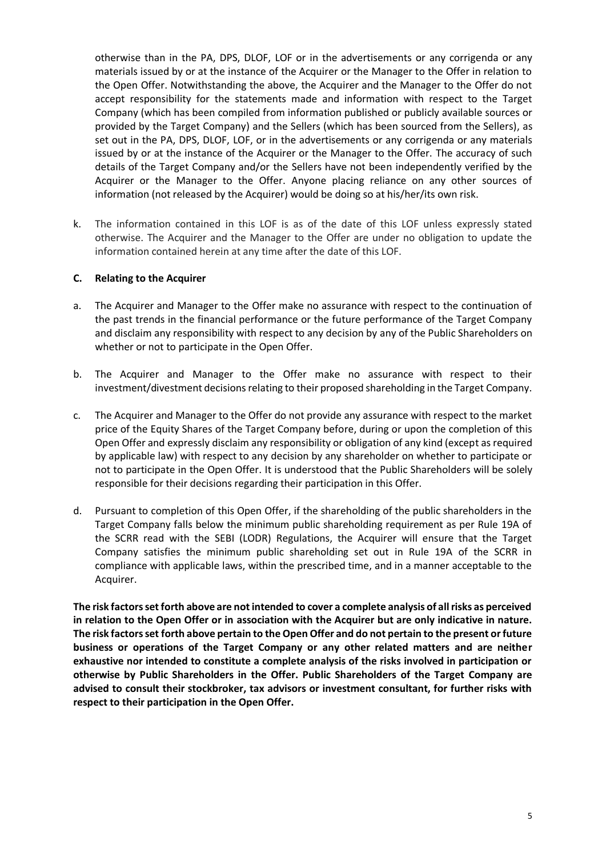otherwise than in the PA, DPS, DLOF, LOF or in the advertisements or any corrigenda or any materials issued by or at the instance of the Acquirer or the Manager to the Offer in relation to the Open Offer. Notwithstanding the above, the Acquirer and the Manager to the Offer do not accept responsibility for the statements made and information with respect to the Target Company (which has been compiled from information published or publicly available sources or provided by the Target Company) and the Sellers (which has been sourced from the Sellers), as set out in the PA, DPS, DLOF, LOF, or in the advertisements or any corrigenda or any materials issued by or at the instance of the Acquirer or the Manager to the Offer. The accuracy of such details of the Target Company and/or the Sellers have not been independently verified by the Acquirer or the Manager to the Offer. Anyone placing reliance on any other sources of information (not released by the Acquirer) would be doing so at his/her/its own risk.

k. The information contained in this LOF is as of the date of this LOF unless expressly stated otherwise. The Acquirer and the Manager to the Offer are under no obligation to update the information contained herein at any time after the date of this LOF.

### **C. Relating to the Acquirer**

- a. The Acquirer and Manager to the Offer make no assurance with respect to the continuation of the past trends in the financial performance or the future performance of the Target Company and disclaim any responsibility with respect to any decision by any of the Public Shareholders on whether or not to participate in the Open Offer.
- b. The Acquirer and Manager to the Offer make no assurance with respect to their investment/divestment decisions relating to their proposed shareholding in the Target Company.
- c. The Acquirer and Manager to the Offer do not provide any assurance with respect to the market price of the Equity Shares of the Target Company before, during or upon the completion of this Open Offer and expressly disclaim any responsibility or obligation of any kind (except as required by applicable law) with respect to any decision by any shareholder on whether to participate or not to participate in the Open Offer. It is understood that the Public Shareholders will be solely responsible for their decisions regarding their participation in this Offer.
- d. Pursuant to completion of this Open Offer, if the shareholding of the public shareholders in the Target Company falls below the minimum public shareholding requirement as per Rule 19A of the SCRR read with the SEBI (LODR) Regulations, the Acquirer will ensure that the Target Company satisfies the minimum public shareholding set out in Rule 19A of the SCRR in compliance with applicable laws, within the prescribed time, and in a manner acceptable to the Acquirer.

**The risk factors set forth above are not intended to cover a complete analysis of all risks as perceived in relation to the Open Offer or in association with the Acquirer but are only indicative in nature. The risk factors set forth above pertain to the Open Offer and do not pertain to the present or future business or operations of the Target Company or any other related matters and are neither exhaustive nor intended to constitute a complete analysis of the risks involved in participation or otherwise by Public Shareholders in the Offer. Public Shareholders of the Target Company are advised to consult their stockbroker, tax advisors or investment consultant, for further risks with respect to their participation in the Open Offer.**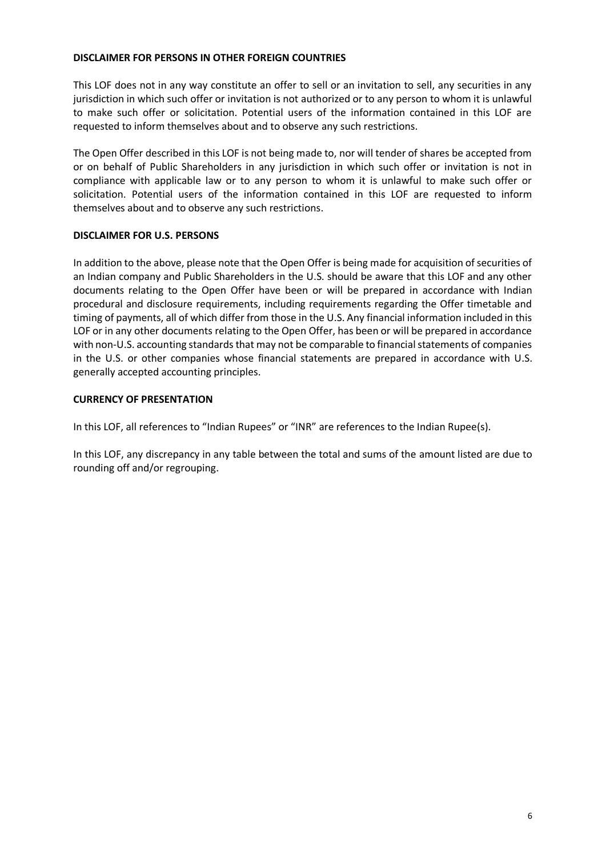## **DISCLAIMER FOR PERSONS IN OTHER FOREIGN COUNTRIES**

This LOF does not in any way constitute an offer to sell or an invitation to sell, any securities in any jurisdiction in which such offer or invitation is not authorized or to any person to whom it is unlawful to make such offer or solicitation. Potential users of the information contained in this LOF are requested to inform themselves about and to observe any such restrictions.

The Open Offer described in this LOF is not being made to, nor will tender of shares be accepted from or on behalf of Public Shareholders in any jurisdiction in which such offer or invitation is not in compliance with applicable law or to any person to whom it is unlawful to make such offer or solicitation. Potential users of the information contained in this LOF are requested to inform themselves about and to observe any such restrictions.

## **DISCLAIMER FOR U.S. PERSONS**

In addition to the above, please note that the Open Offer is being made for acquisition of securities of an Indian company and Public Shareholders in the U.S. should be aware that this LOF and any other documents relating to the Open Offer have been or will be prepared in accordance with Indian procedural and disclosure requirements, including requirements regarding the Offer timetable and timing of payments, all of which differ from those in the U.S. Any financial information included in this LOF or in any other documents relating to the Open Offer, has been or will be prepared in accordance with non-U.S. accounting standards that may not be comparable to financial statements of companies in the U.S. or other companies whose financial statements are prepared in accordance with U.S. generally accepted accounting principles.

## **CURRENCY OF PRESENTATION**

In this LOF, all references to "Indian Rupees" or "INR" are references to the Indian Rupee(s).

In this LOF, any discrepancy in any table between the total and sums of the amount listed are due to rounding off and/or regrouping.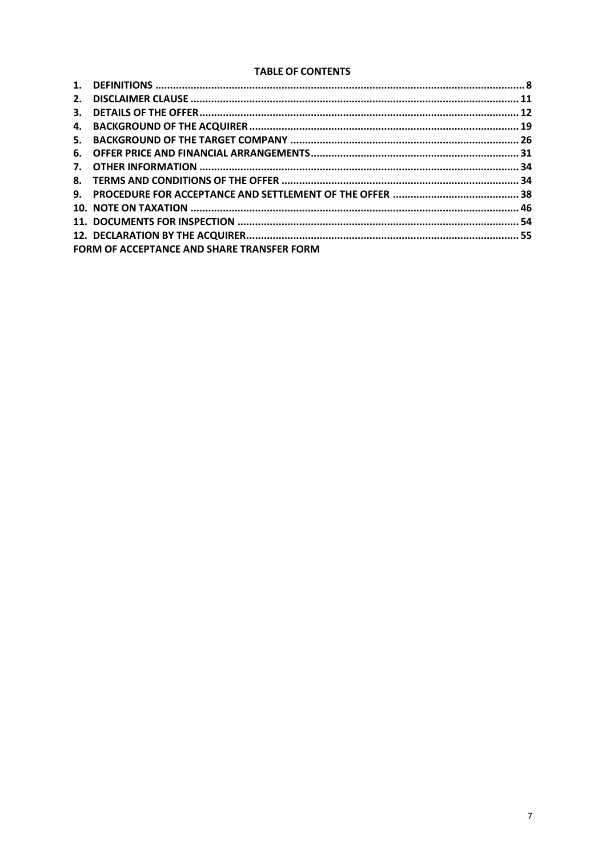### **TABLE OF CONTENTS**

| 2. |                                                   |  |
|----|---------------------------------------------------|--|
| 3. |                                                   |  |
| 4. |                                                   |  |
| 5. |                                                   |  |
|    |                                                   |  |
|    |                                                   |  |
|    |                                                   |  |
|    |                                                   |  |
|    |                                                   |  |
|    |                                                   |  |
|    |                                                   |  |
|    | <b>FORM OF ACCEPTANCE AND SHARE TRANSFER FORM</b> |  |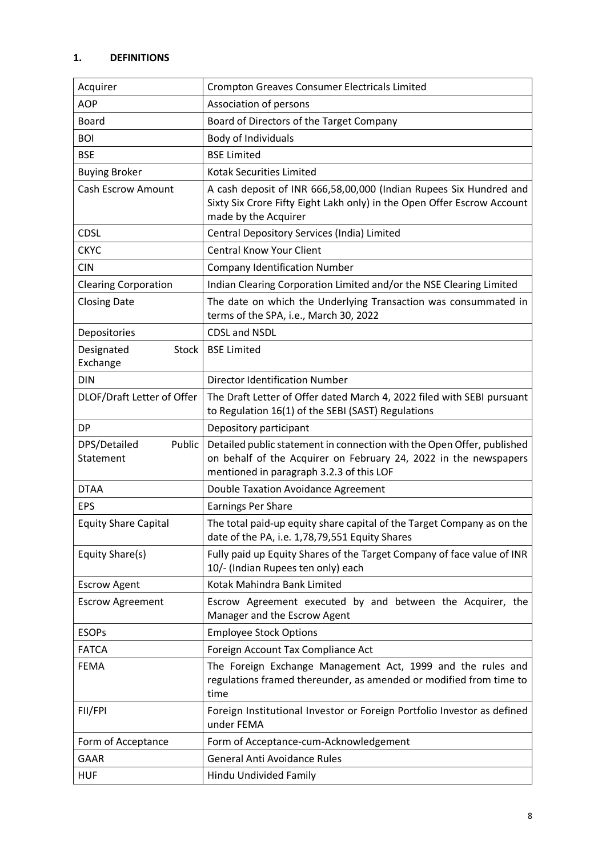# <span id="page-7-0"></span>**1. DEFINITIONS**

| Acquirer                               | <b>Crompton Greaves Consumer Electricals Limited</b>                                                                                                                                   |
|----------------------------------------|----------------------------------------------------------------------------------------------------------------------------------------------------------------------------------------|
| <b>AOP</b>                             | Association of persons                                                                                                                                                                 |
| <b>Board</b>                           | Board of Directors of the Target Company                                                                                                                                               |
| <b>BOI</b>                             | Body of Individuals                                                                                                                                                                    |
| <b>BSE</b>                             | <b>BSE Limited</b>                                                                                                                                                                     |
| <b>Buying Broker</b>                   | <b>Kotak Securities Limited</b>                                                                                                                                                        |
| <b>Cash Escrow Amount</b>              | A cash deposit of INR 666,58,00,000 (Indian Rupees Six Hundred and<br>Sixty Six Crore Fifty Eight Lakh only) in the Open Offer Escrow Account<br>made by the Acquirer                  |
| <b>CDSL</b>                            | Central Depository Services (India) Limited                                                                                                                                            |
| <b>CKYC</b>                            | <b>Central Know Your Client</b>                                                                                                                                                        |
| <b>CIN</b>                             | <b>Company Identification Number</b>                                                                                                                                                   |
| <b>Clearing Corporation</b>            | Indian Clearing Corporation Limited and/or the NSE Clearing Limited                                                                                                                    |
| <b>Closing Date</b>                    | The date on which the Underlying Transaction was consummated in<br>terms of the SPA, i.e., March 30, 2022                                                                              |
| Depositories                           | <b>CDSL and NSDL</b>                                                                                                                                                                   |
| Designated<br><b>Stock</b><br>Exchange | <b>BSE Limited</b>                                                                                                                                                                     |
| <b>DIN</b>                             | <b>Director Identification Number</b>                                                                                                                                                  |
| DLOF/Draft Letter of Offer             | The Draft Letter of Offer dated March 4, 2022 filed with SEBI pursuant<br>to Regulation 16(1) of the SEBI (SAST) Regulations                                                           |
| <b>DP</b>                              | Depository participant                                                                                                                                                                 |
| DPS/Detailed<br>Public<br>Statement    | Detailed public statement in connection with the Open Offer, published<br>on behalf of the Acquirer on February 24, 2022 in the newspapers<br>mentioned in paragraph 3.2.3 of this LOF |
| <b>DTAA</b>                            | Double Taxation Avoidance Agreement                                                                                                                                                    |
| <b>EPS</b>                             | <b>Earnings Per Share</b>                                                                                                                                                              |
| <b>Equity Share Capital</b>            | The total paid-up equity share capital of the Target Company as on the<br>date of the PA, i.e. 1,78,79,551 Equity Shares                                                               |
| Equity Share(s)                        | Fully paid up Equity Shares of the Target Company of face value of INR<br>10/- (Indian Rupees ten only) each                                                                           |
| <b>Escrow Agent</b>                    | Kotak Mahindra Bank Limited                                                                                                                                                            |
| <b>Escrow Agreement</b>                | Escrow Agreement executed by and between the Acquirer, the<br>Manager and the Escrow Agent                                                                                             |
| <b>ESOPs</b>                           | <b>Employee Stock Options</b>                                                                                                                                                          |
| <b>FATCA</b>                           | Foreign Account Tax Compliance Act                                                                                                                                                     |
| FEMA                                   | The Foreign Exchange Management Act, 1999 and the rules and<br>regulations framed thereunder, as amended or modified from time to<br>time                                              |
| FII/FPI                                | Foreign Institutional Investor or Foreign Portfolio Investor as defined<br>under FEMA                                                                                                  |
| Form of Acceptance                     | Form of Acceptance-cum-Acknowledgement                                                                                                                                                 |
| GAAR                                   | <b>General Anti Avoidance Rules</b>                                                                                                                                                    |
| <b>HUF</b>                             | Hindu Undivided Family                                                                                                                                                                 |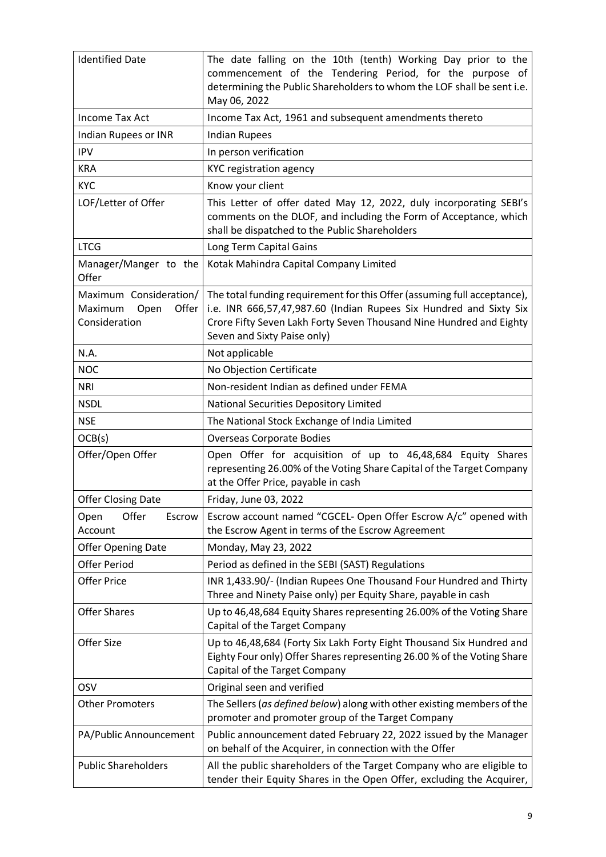| <b>Identified Date</b>                                              | The date falling on the 10th (tenth) Working Day prior to the<br>commencement of the Tendering Period, for the purpose of<br>determining the Public Shareholders to whom the LOF shall be sent i.e.<br>May 06, 2022                                  |
|---------------------------------------------------------------------|------------------------------------------------------------------------------------------------------------------------------------------------------------------------------------------------------------------------------------------------------|
| <b>Income Tax Act</b>                                               | Income Tax Act, 1961 and subsequent amendments thereto                                                                                                                                                                                               |
| Indian Rupees or INR                                                | <b>Indian Rupees</b>                                                                                                                                                                                                                                 |
| <b>IPV</b>                                                          | In person verification                                                                                                                                                                                                                               |
| <b>KRA</b>                                                          | <b>KYC registration agency</b>                                                                                                                                                                                                                       |
| <b>KYC</b>                                                          | Know your client                                                                                                                                                                                                                                     |
| LOF/Letter of Offer                                                 | This Letter of offer dated May 12, 2022, duly incorporating SEBI's<br>comments on the DLOF, and including the Form of Acceptance, which<br>shall be dispatched to the Public Shareholders                                                            |
| <b>LTCG</b>                                                         | Long Term Capital Gains                                                                                                                                                                                                                              |
| Manager/Manger to the<br>Offer                                      | Kotak Mahindra Capital Company Limited                                                                                                                                                                                                               |
| Maximum Consideration/<br>Maximum<br>Offer<br>Open<br>Consideration | The total funding requirement for this Offer (assuming full acceptance),<br>i.e. INR 666,57,47,987.60 (Indian Rupees Six Hundred and Sixty Six<br>Crore Fifty Seven Lakh Forty Seven Thousand Nine Hundred and Eighty<br>Seven and Sixty Paise only) |
| N.A.                                                                | Not applicable                                                                                                                                                                                                                                       |
| <b>NOC</b>                                                          | No Objection Certificate                                                                                                                                                                                                                             |
| <b>NRI</b>                                                          | Non-resident Indian as defined under FEMA                                                                                                                                                                                                            |
| <b>NSDL</b>                                                         | National Securities Depository Limited                                                                                                                                                                                                               |
| <b>NSE</b>                                                          | The National Stock Exchange of India Limited                                                                                                                                                                                                         |
| OCB(s)                                                              | <b>Overseas Corporate Bodies</b>                                                                                                                                                                                                                     |
| Offer/Open Offer                                                    | Open Offer for acquisition of up to 46,48,684 Equity Shares<br>representing 26.00% of the Voting Share Capital of the Target Company<br>at the Offer Price, payable in cash                                                                          |
| <b>Offer Closing Date</b>                                           | Friday, June 03, 2022                                                                                                                                                                                                                                |
| Offer<br>Escrow<br>Open<br>Account                                  | Escrow account named "CGCEL- Open Offer Escrow A/c" opened with<br>the Escrow Agent in terms of the Escrow Agreement                                                                                                                                 |
| <b>Offer Opening Date</b>                                           | Monday, May 23, 2022                                                                                                                                                                                                                                 |
| <b>Offer Period</b>                                                 | Period as defined in the SEBI (SAST) Regulations                                                                                                                                                                                                     |
| <b>Offer Price</b>                                                  | INR 1,433.90/- (Indian Rupees One Thousand Four Hundred and Thirty<br>Three and Ninety Paise only) per Equity Share, payable in cash                                                                                                                 |
| <b>Offer Shares</b>                                                 | Up to 46,48,684 Equity Shares representing 26.00% of the Voting Share<br>Capital of the Target Company                                                                                                                                               |
| Offer Size                                                          | Up to 46,48,684 (Forty Six Lakh Forty Eight Thousand Six Hundred and<br>Eighty Four only) Offer Shares representing 26.00 % of the Voting Share<br>Capital of the Target Company                                                                     |
| OSV                                                                 | Original seen and verified                                                                                                                                                                                                                           |
| <b>Other Promoters</b>                                              | The Sellers (as defined below) along with other existing members of the<br>promoter and promoter group of the Target Company                                                                                                                         |
| PA/Public Announcement                                              | Public announcement dated February 22, 2022 issued by the Manager<br>on behalf of the Acquirer, in connection with the Offer                                                                                                                         |
| <b>Public Shareholders</b>                                          | All the public shareholders of the Target Company who are eligible to<br>tender their Equity Shares in the Open Offer, excluding the Acquirer,                                                                                                       |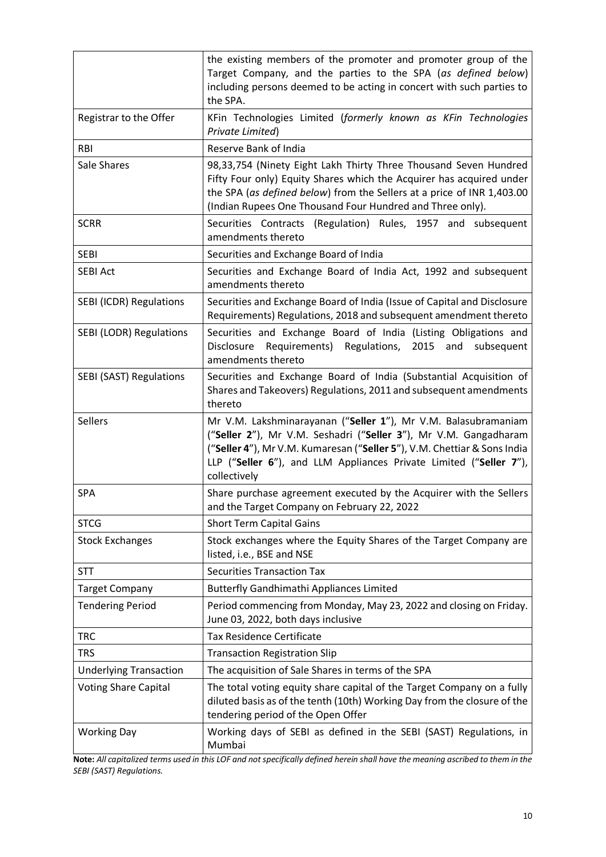|                                | the existing members of the promoter and promoter group of the<br>Target Company, and the parties to the SPA (as defined below)<br>including persons deemed to be acting in concert with such parties to<br>the SPA.                                                                                 |
|--------------------------------|------------------------------------------------------------------------------------------------------------------------------------------------------------------------------------------------------------------------------------------------------------------------------------------------------|
| Registrar to the Offer         | KFin Technologies Limited (formerly known as KFin Technologies<br>Private Limited)                                                                                                                                                                                                                   |
| <b>RBI</b>                     | Reserve Bank of India                                                                                                                                                                                                                                                                                |
| Sale Shares                    | 98,33,754 (Ninety Eight Lakh Thirty Three Thousand Seven Hundred<br>Fifty Four only) Equity Shares which the Acquirer has acquired under<br>the SPA (as defined below) from the Sellers at a price of INR 1,403.00<br>(Indian Rupees One Thousand Four Hundred and Three only).                      |
| <b>SCRR</b>                    | Securities Contracts (Regulation) Rules, 1957 and subsequent<br>amendments thereto                                                                                                                                                                                                                   |
| <b>SEBI</b>                    | Securities and Exchange Board of India                                                                                                                                                                                                                                                               |
| <b>SEBI Act</b>                | Securities and Exchange Board of India Act, 1992 and subsequent<br>amendments thereto                                                                                                                                                                                                                |
| <b>SEBI (ICDR) Regulations</b> | Securities and Exchange Board of India (Issue of Capital and Disclosure<br>Requirements) Regulations, 2018 and subsequent amendment thereto                                                                                                                                                          |
| SEBI (LODR) Regulations        | Securities and Exchange Board of India (Listing Obligations and<br>Requirements) Regulations, 2015 and<br>Disclosure<br>subsequent<br>amendments thereto                                                                                                                                             |
| <b>SEBI (SAST) Regulations</b> | Securities and Exchange Board of India (Substantial Acquisition of<br>Shares and Takeovers) Regulations, 2011 and subsequent amendments<br>thereto                                                                                                                                                   |
| <b>Sellers</b>                 | Mr V.M. Lakshminarayanan ("Seller 1"), Mr V.M. Balasubramaniam<br>("Seller 2"), Mr V.M. Seshadri ("Seller 3"), Mr V.M. Gangadharam<br>("Seller 4"), Mr V.M. Kumaresan ("Seller 5"), V.M. Chettiar & Sons India<br>LLP ("Seller 6"), and LLM Appliances Private Limited ("Seller 7"),<br>collectively |
| SPA                            | Share purchase agreement executed by the Acquirer with the Sellers<br>and the Target Company on February 22, 2022                                                                                                                                                                                    |
| <b>STCG</b>                    | <b>Short Term Capital Gains</b>                                                                                                                                                                                                                                                                      |
| <b>Stock Exchanges</b>         | Stock exchanges where the Equity Shares of the Target Company are<br>listed, i.e., BSE and NSE                                                                                                                                                                                                       |
| STT                            | <b>Securities Transaction Tax</b>                                                                                                                                                                                                                                                                    |
| <b>Target Company</b>          | <b>Butterfly Gandhimathi Appliances Limited</b>                                                                                                                                                                                                                                                      |
| <b>Tendering Period</b>        | Period commencing from Monday, May 23, 2022 and closing on Friday.<br>June 03, 2022, both days inclusive                                                                                                                                                                                             |
| <b>TRC</b>                     | <b>Tax Residence Certificate</b>                                                                                                                                                                                                                                                                     |
| <b>TRS</b>                     | <b>Transaction Registration Slip</b>                                                                                                                                                                                                                                                                 |
| <b>Underlying Transaction</b>  | The acquisition of Sale Shares in terms of the SPA                                                                                                                                                                                                                                                   |
| <b>Voting Share Capital</b>    | The total voting equity share capital of the Target Company on a fully<br>diluted basis as of the tenth (10th) Working Day from the closure of the<br>tendering period of the Open Offer                                                                                                             |
| <b>Working Day</b>             | Working days of SEBI as defined in the SEBI (SAST) Regulations, in<br>Mumbai                                                                                                                                                                                                                         |

**Note:** *All capitalized terms used in this LOF and not specifically defined herein shall have the meaning ascribed to them in the SEBI (SAST) Regulations.*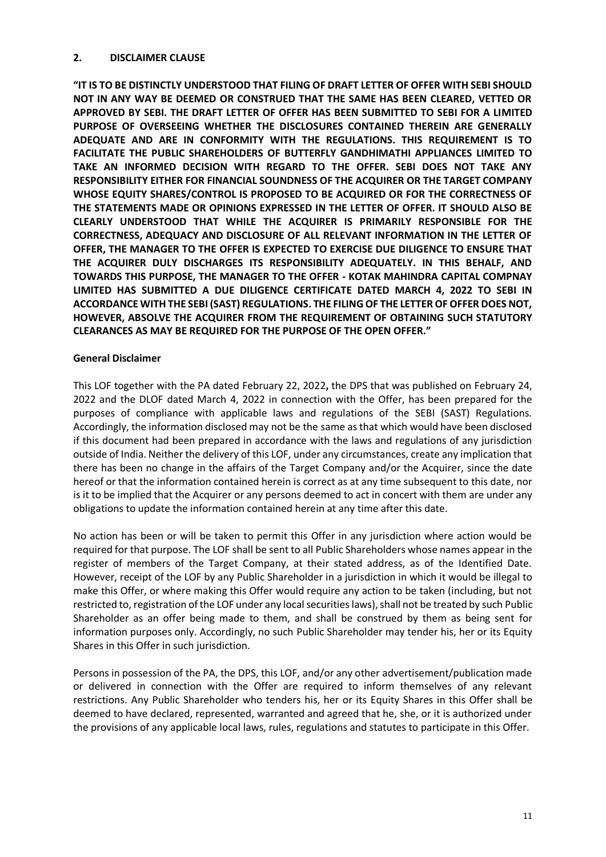### <span id="page-10-0"></span>**2. DISCLAIMER CLAUSE**

**"IT IS TO BE DISTINCTLY UNDERSTOOD THAT FILING OF DRAFT LETTER OF OFFER WITH SEBI SHOULD NOT IN ANY WAY BE DEEMED OR CONSTRUED THAT THE SAME HAS BEEN CLEARED, VETTED OR APPROVED BY SEBI. THE DRAFT LETTER OF OFFER HAS BEEN SUBMITTED TO SEBI FOR A LIMITED PURPOSE OF OVERSEEING WHETHER THE DISCLOSURES CONTAINED THEREIN ARE GENERALLY ADEQUATE AND ARE IN CONFORMITY WITH THE REGULATIONS. THIS REQUIREMENT IS TO FACILITATE THE PUBLIC SHAREHOLDERS OF BUTTERFLY GANDHIMATHI APPLIANCES LIMITED TO TAKE AN INFORMED DECISION WITH REGARD TO THE OFFER. SEBI DOES NOT TAKE ANY RESPONSIBILITY EITHER FOR FINANCIAL SOUNDNESS OF THE ACQUIRER OR THE TARGET COMPANY WHOSE EQUITY SHARES/CONTROL IS PROPOSED TO BE ACQUIRED OR FOR THE CORRECTNESS OF THE STATEMENTS MADE OR OPINIONS EXPRESSED IN THE LETTER OF OFFER. IT SHOULD ALSO BE CLEARLY UNDERSTOOD THAT WHILE THE ACQUIRER IS PRIMARILY RESPONSIBLE FOR THE CORRECTNESS, ADEQUACY AND DISCLOSURE OF ALL RELEVANT INFORMATION IN THE LETTER OF OFFER, THE MANAGER TO THE OFFER IS EXPECTED TO EXERCISE DUE DILIGENCE TO ENSURE THAT THE ACQUIRER DULY DISCHARGES ITS RESPONSIBILITY ADEQUATELY. IN THIS BEHALF, AND TOWARDS THIS PURPOSE, THE MANAGER TO THE OFFER - KOTAK MAHINDRA CAPITAL COMPNAY LIMITED HAS SUBMITTED A DUE DILIGENCE CERTIFICATE DATED MARCH 4, 2022 TO SEBI IN ACCORDANCE WITH THE SEBI (SAST) REGULATIONS. THE FILING OF THE LETTER OF OFFER DOES NOT, HOWEVER, ABSOLVE THE ACQUIRER FROM THE REQUIREMENT OF OBTAINING SUCH STATUTORY CLEARANCES AS MAY BE REQUIRED FOR THE PURPOSE OF THE OPEN OFFER."** 

## **General Disclaimer**

This LOF together with the PA dated February 22, 2022**,** the DPS that was published on February 24, 2022 and the DLOF dated March 4, 2022 in connection with the Offer, has been prepared for the purposes of compliance with applicable laws and regulations of the SEBI (SAST) Regulations. Accordingly, the information disclosed may not be the same as that which would have been disclosed if this document had been prepared in accordance with the laws and regulations of any jurisdiction outside of India. Neither the delivery of this LOF, under any circumstances, create any implication that there has been no change in the affairs of the Target Company and/or the Acquirer, since the date hereof or that the information contained herein is correct as at any time subsequent to this date, nor is it to be implied that the Acquirer or any persons deemed to act in concert with them are under any obligations to update the information contained herein at any time after this date.

No action has been or will be taken to permit this Offer in any jurisdiction where action would be required for that purpose. The LOF shall be sent to all Public Shareholders whose names appear in the register of members of the Target Company, at their stated address, as of the Identified Date. However, receipt of the LOF by any Public Shareholder in a jurisdiction in which it would be illegal to make this Offer, or where making this Offer would require any action to be taken (including, but not restricted to, registration of the LOF under any local securities laws), shall not be treated by such Public Shareholder as an offer being made to them, and shall be construed by them as being sent for information purposes only. Accordingly, no such Public Shareholder may tender his, her or its Equity Shares in this Offer in such jurisdiction.

Persons in possession of the PA, the DPS, this LOF, and/or any other advertisement/publication made or delivered in connection with the Offer are required to inform themselves of any relevant restrictions. Any Public Shareholder who tenders his, her or its Equity Shares in this Offer shall be deemed to have declared, represented, warranted and agreed that he, she, or it is authorized under the provisions of any applicable local laws, rules, regulations and statutes to participate in this Offer.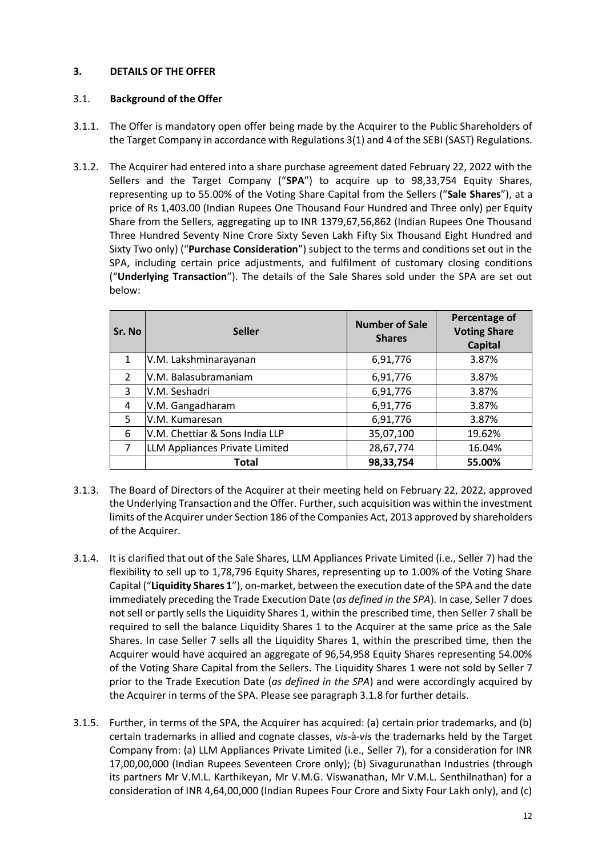## <span id="page-11-0"></span>**3. DETAILS OF THE OFFER**

## 3.1. **Background of the Offer**

- 3.1.1. The Offer is mandatory open offer being made by the Acquirer to the Public Shareholders of the Target Company in accordance with Regulations 3(1) and 4 of the SEBI (SAST) Regulations.
- 3.1.2. The Acquirer had entered into a share purchase agreement dated February 22, 2022 with the Sellers and the Target Company ("**SPA**") to acquire up to 98,33,754 Equity Shares, representing up to 55.00% of the Voting Share Capital from the Sellers ("**Sale Shares**"), at a price of Rs 1,403.00 (Indian Rupees One Thousand Four Hundred and Three only) per Equity Share from the Sellers, aggregating up to INR 1379,67,56,862 (Indian Rupees One Thousand Three Hundred Seventy Nine Crore Sixty Seven Lakh Fifty Six Thousand Eight Hundred and Sixty Two only) ("**Purchase Consideration**") subject to the terms and conditions set out in the SPA, including certain price adjustments, and fulfilment of customary closing conditions ("**Underlying Transaction**"). The details of the Sale Shares sold under the SPA are set out below:

| Sr. No | <b>Seller</b>                  | <b>Number of Sale</b><br><b>Shares</b> | Percentage of<br><b>Voting Share</b><br><b>Capital</b> |
|--------|--------------------------------|----------------------------------------|--------------------------------------------------------|
| 1      | V.M. Lakshminarayanan          | 6,91,776                               | 3.87%                                                  |
| 2      | V.M. Balasubramaniam           | 6,91,776                               | 3.87%                                                  |
| 3      | V.M. Seshadri                  | 6,91,776                               | 3.87%                                                  |
| 4      | V.M. Gangadharam               | 6,91,776                               | 3.87%                                                  |
| 5      | V.M. Kumaresan                 | 6,91,776                               | 3.87%                                                  |
| 6      | V.M. Chettiar & Sons India LLP | 35,07,100                              | 19.62%                                                 |
| 7      | LLM Appliances Private Limited | 28,67,774                              | 16.04%                                                 |
|        | Total                          | 98,33,754                              | 55.00%                                                 |

- 3.1.3. The Board of Directors of the Acquirer at their meeting held on February 22, 2022, approved the Underlying Transaction and the Offer. Further, such acquisition was within the investment limits of the Acquirer under Section 186 of the Companies Act, 2013 approved by shareholders of the Acquirer.
- 3.1.4. It is clarified that out of the Sale Shares, LLM Appliances Private Limited (i.e., Seller 7) had the flexibility to sell up to 1,78,796 Equity Shares, representing up to 1.00% of the Voting Share Capital ("**Liquidity Shares 1**"), on-market, between the execution date of the SPA and the date immediately preceding the Trade Execution Date (*as defined in the SPA*). In case, Seller 7 does not sell or partly sells the Liquidity Shares 1, within the prescribed time, then Seller 7 shall be required to sell the balance Liquidity Shares 1 to the Acquirer at the same price as the Sale Shares. In case Seller 7 sells all the Liquidity Shares 1, within the prescribed time, then the Acquirer would have acquired an aggregate of 96,54,958 Equity Shares representing 54.00% of the Voting Share Capital from the Sellers. The Liquidity Shares 1 were not sold by Seller 7 prior to the Trade Execution Date (*as defined in the SPA*) and were accordingly acquired by the Acquirer in terms of the SPA. Please see paragraph 3.1.8 for further details.
- 3.1.5. Further, in terms of the SPA, the Acquirer has acquired: (a) certain prior trademarks, and (b) certain trademarks in allied and cognate classes, *vis-*à*-vis* the trademarks held by the Target Company from: (a) LLM Appliances Private Limited (i.e., Seller 7), for a consideration for INR 17,00,00,000 (Indian Rupees Seventeen Crore only); (b) Sivagurunathan Industries (through its partners Mr V.M.L. Karthikeyan, Mr V.M.G. Viswanathan, Mr V.M.L. Senthilnathan) for a consideration of INR 4,64,00,000 (Indian Rupees Four Crore and Sixty Four Lakh only), and (c)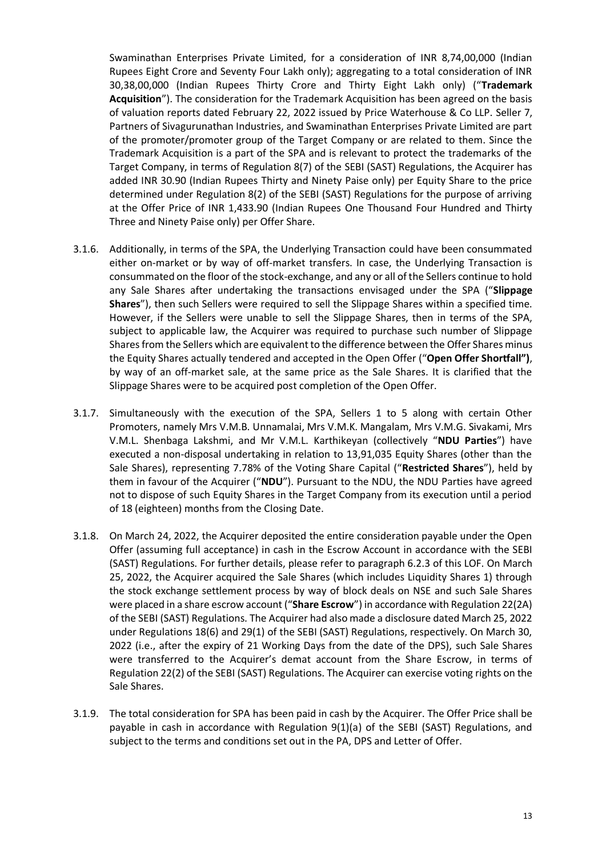Swaminathan Enterprises Private Limited, for a consideration of INR 8,74,00,000 (Indian Rupees Eight Crore and Seventy Four Lakh only); aggregating to a total consideration of INR 30,38,00,000 (Indian Rupees Thirty Crore and Thirty Eight Lakh only) ("**Trademark Acquisition**"). The consideration for the Trademark Acquisition has been agreed on the basis of valuation reports dated February 22, 2022 issued by Price Waterhouse & Co LLP. Seller 7, Partners of Sivagurunathan Industries, and Swaminathan Enterprises Private Limited are part of the promoter/promoter group of the Target Company or are related to them. Since the Trademark Acquisition is a part of the SPA and is relevant to protect the trademarks of the Target Company, in terms of Regulation 8(7) of the SEBI (SAST) Regulations, the Acquirer has added INR 30.90 (Indian Rupees Thirty and Ninety Paise only) per Equity Share to the price determined under Regulation 8(2) of the SEBI (SAST) Regulations for the purpose of arriving at the Offer Price of INR 1,433.90 (Indian Rupees One Thousand Four Hundred and Thirty Three and Ninety Paise only) per Offer Share.

- 3.1.6. Additionally, in terms of the SPA, the Underlying Transaction could have been consummated either on-market or by way of off-market transfers. In case, the Underlying Transaction is consummated on the floor of the stock-exchange, and any or all of the Sellers continue to hold any Sale Shares after undertaking the transactions envisaged under the SPA ("**Slippage Shares**"), then such Sellers were required to sell the Slippage Shares within a specified time. However, if the Sellers were unable to sell the Slippage Shares, then in terms of the SPA, subject to applicable law, the Acquirer was required to purchase such number of Slippage Shares from the Sellers which are equivalent to the difference between the Offer Shares minus the Equity Shares actually tendered and accepted in the Open Offer ("**Open Offer Shortfall")**, by way of an off-market sale, at the same price as the Sale Shares. It is clarified that the Slippage Shares were to be acquired post completion of the Open Offer.
- 3.1.7. Simultaneously with the execution of the SPA, Sellers 1 to 5 along with certain Other Promoters, namely Mrs V.M.B. Unnamalai, Mrs V.M.K. Mangalam, Mrs V.M.G. Sivakami, Mrs V.M.L. Shenbaga Lakshmi, and Mr V.M.L. Karthikeyan (collectively "**NDU Parties**") have executed a non-disposal undertaking in relation to 13,91,035 Equity Shares (other than the Sale Shares), representing 7.78% of the Voting Share Capital ("**Restricted Shares**"), held by them in favour of the Acquirer ("**NDU**"). Pursuant to the NDU, the NDU Parties have agreed not to dispose of such Equity Shares in the Target Company from its execution until a period of 18 (eighteen) months from the Closing Date.
- 3.1.8. On March 24, 2022, the Acquirer deposited the entire consideration payable under the Open Offer (assuming full acceptance) in cash in the Escrow Account in accordance with the SEBI (SAST) Regulations. For further details, please refer to paragraph 6.2.3 of this LOF. On March 25, 2022, the Acquirer acquired the Sale Shares (which includes Liquidity Shares 1) through the stock exchange settlement process by way of block deals on NSE and such Sale Shares were placed in a share escrow account ("**Share Escrow**") in accordance with Regulation 22(2A) of the SEBI (SAST) Regulations. The Acquirer had also made a disclosure dated March 25, 2022 under Regulations 18(6) and 29(1) of the SEBI (SAST) Regulations, respectively. On March 30, 2022 (i.e., after the expiry of 21 Working Days from the date of the DPS), such Sale Shares were transferred to the Acquirer's demat account from the Share Escrow, in terms of Regulation 22(2) of the SEBI (SAST) Regulations. The Acquirer can exercise voting rights on the Sale Shares.
- 3.1.9. The total consideration for SPA has been paid in cash by the Acquirer. The Offer Price shall be payable in cash in accordance with Regulation 9(1)(a) of the SEBI (SAST) Regulations, and subject to the terms and conditions set out in the PA, DPS and Letter of Offer.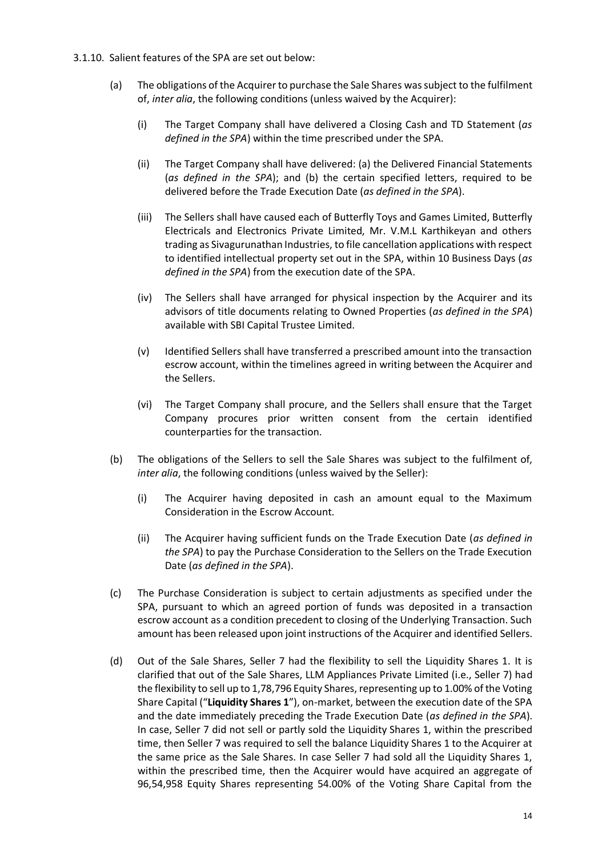- 3.1.10. Salient features of the SPA are set out below:
	- (a) The obligations of the Acquirer to purchase the Sale Shares wassubject to the fulfilment of, *inter alia*, the following conditions (unless waived by the Acquirer):
		- (i) The Target Company shall have delivered a Closing Cash and TD Statement (*as defined in the SPA*) within the time prescribed under the SPA.
		- (ii) The Target Company shall have delivered: (a) the Delivered Financial Statements (*as defined in the SPA*); and (b) the certain specified letters, required to be delivered before the Trade Execution Date (*as defined in the SPA*).
		- (iii) The Sellers shall have caused each of Butterfly Toys and Games Limited, Butterfly Electricals and Electronics Private Limited, Mr. V.M.L Karthikeyan and others trading as Sivagurunathan Industries, to file cancellation applications with respect to identified intellectual property set out in the SPA, within 10 Business Days (*as defined in the SPA*) from the execution date of the SPA.
		- (iv) The Sellers shall have arranged for physical inspection by the Acquirer and its advisors of title documents relating to Owned Properties (*as defined in the SPA*) available with SBI Capital Trustee Limited.
		- (v) Identified Sellers shall have transferred a prescribed amount into the transaction escrow account, within the timelines agreed in writing between the Acquirer and the Sellers.
		- (vi) The Target Company shall procure, and the Sellers shall ensure that the Target Company procures prior written consent from the certain identified counterparties for the transaction.
	- (b) The obligations of the Sellers to sell the Sale Shares was subject to the fulfilment of, *inter alia*, the following conditions (unless waived by the Seller):
		- (i) The Acquirer having deposited in cash an amount equal to the Maximum Consideration in the Escrow Account.
		- (ii) The Acquirer having sufficient funds on the Trade Execution Date (*as defined in the SPA*) to pay the Purchase Consideration to the Sellers on the Trade Execution Date (*as defined in the SPA*).
	- (c) The Purchase Consideration is subject to certain adjustments as specified under the SPA, pursuant to which an agreed portion of funds was deposited in a transaction escrow account as a condition precedent to closing of the Underlying Transaction. Such amount has been released upon joint instructions of the Acquirer and identified Sellers.
	- (d) Out of the Sale Shares, Seller 7 had the flexibility to sell the Liquidity Shares 1. It is clarified that out of the Sale Shares, LLM Appliances Private Limited (i.e., Seller 7) had the flexibility to sell up to 1,78,796 Equity Shares, representing up to 1.00% of the Voting Share Capital ("**Liquidity Shares 1**"), on-market, between the execution date of the SPA and the date immediately preceding the Trade Execution Date (*as defined in the SPA*). In case, Seller 7 did not sell or partly sold the Liquidity Shares 1, within the prescribed time, then Seller 7 was required to sell the balance Liquidity Shares 1 to the Acquirer at the same price as the Sale Shares. In case Seller 7 had sold all the Liquidity Shares 1, within the prescribed time, then the Acquirer would have acquired an aggregate of 96,54,958 Equity Shares representing 54.00% of the Voting Share Capital from the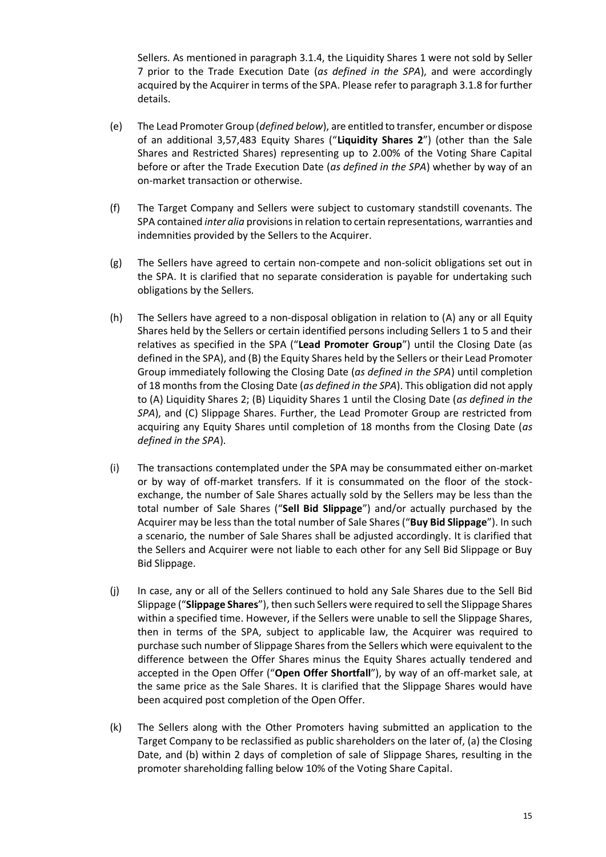Sellers. As mentioned in paragraph 3.1.4, the Liquidity Shares 1 were not sold by Seller 7 prior to the Trade Execution Date (*as defined in the SPA*), and were accordingly acquired by the Acquirer in terms of the SPA. Please refer to paragraph 3.1.8 for further details.

- (e) The Lead Promoter Group (*defined below*), are entitled to transfer, encumber or dispose of an additional 3,57,483 Equity Shares ("**Liquidity Shares 2**") (other than the Sale Shares and Restricted Shares) representing up to 2.00% of the Voting Share Capital before or after the Trade Execution Date (*as defined in the SPA*) whether by way of an on-market transaction or otherwise.
- (f) The Target Company and Sellers were subject to customary standstill covenants. The SPA contained *inter alia* provisions in relation to certain representations, warranties and indemnities provided by the Sellers to the Acquirer.
- (g) The Sellers have agreed to certain non-compete and non-solicit obligations set out in the SPA. It is clarified that no separate consideration is payable for undertaking such obligations by the Sellers.
- (h) The Sellers have agreed to a non-disposal obligation in relation to (A) any or all Equity Shares held by the Sellers or certain identified persons including Sellers 1 to 5 and their relatives as specified in the SPA ("**Lead Promoter Group**") until the Closing Date (as defined in the SPA), and (B) the Equity Shares held by the Sellers or their Lead Promoter Group immediately following the Closing Date (*as defined in the SPA*) until completion of 18 months from the Closing Date (*as defined in the SPA*). This obligation did not apply to (A) Liquidity Shares 2; (B) Liquidity Shares 1 until the Closing Date (*as defined in the SPA*), and (C) Slippage Shares. Further, the Lead Promoter Group are restricted from acquiring any Equity Shares until completion of 18 months from the Closing Date (*as defined in the SPA*).
- (i) The transactions contemplated under the SPA may be consummated either on-market or by way of off-market transfers. If it is consummated on the floor of the stockexchange, the number of Sale Shares actually sold by the Sellers may be less than the total number of Sale Shares ("**Sell Bid Slippage**") and/or actually purchased by the Acquirer may be less than the total number of Sale Shares ("**Buy Bid Slippage**"). In such a scenario, the number of Sale Shares shall be adjusted accordingly. It is clarified that the Sellers and Acquirer were not liable to each other for any Sell Bid Slippage or Buy Bid Slippage.
- (j) In case, any or all of the Sellers continued to hold any Sale Shares due to the Sell Bid Slippage ("**Slippage Shares**"), then such Sellers were required to sell the Slippage Shares within a specified time. However, if the Sellers were unable to sell the Slippage Shares, then in terms of the SPA, subject to applicable law, the Acquirer was required to purchase such number of Slippage Shares from the Sellers which were equivalent to the difference between the Offer Shares minus the Equity Shares actually tendered and accepted in the Open Offer ("**Open Offer Shortfall**"), by way of an off-market sale, at the same price as the Sale Shares. It is clarified that the Slippage Shares would have been acquired post completion of the Open Offer.
- (k) The Sellers along with the Other Promoters having submitted an application to the Target Company to be reclassified as public shareholders on the later of, (a) the Closing Date, and (b) within 2 days of completion of sale of Slippage Shares, resulting in the promoter shareholding falling below 10% of the Voting Share Capital.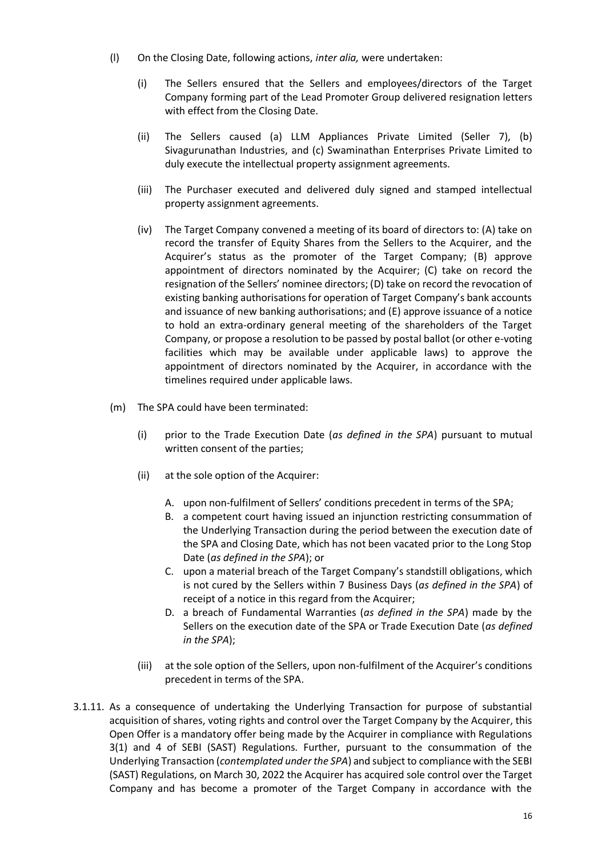- (l) On the Closing Date, following actions, *inter alia,* were undertaken:
	- (i) The Sellers ensured that the Sellers and employees/directors of the Target Company forming part of the Lead Promoter Group delivered resignation letters with effect from the Closing Date.
	- (ii) The Sellers caused (a) LLM Appliances Private Limited (Seller 7), (b) Sivagurunathan Industries, and (c) Swaminathan Enterprises Private Limited to duly execute the intellectual property assignment agreements.
	- (iii) The Purchaser executed and delivered duly signed and stamped intellectual property assignment agreements.
	- (iv) The Target Company convened a meeting of its board of directors to: (A) take on record the transfer of Equity Shares from the Sellers to the Acquirer, and the Acquirer's status as the promoter of the Target Company; (B) approve appointment of directors nominated by the Acquirer; (C) take on record the resignation of the Sellers' nominee directors; (D) take on record the revocation of existing banking authorisations for operation of Target Company's bank accounts and issuance of new banking authorisations; and (E) approve issuance of a notice to hold an extra-ordinary general meeting of the shareholders of the Target Company, or propose a resolution to be passed by postal ballot (or other e-voting facilities which may be available under applicable laws) to approve the appointment of directors nominated by the Acquirer, in accordance with the timelines required under applicable laws.
- (m) The SPA could have been terminated:
	- (i) prior to the Trade Execution Date (*as defined in the SPA*) pursuant to mutual written consent of the parties;
	- (ii) at the sole option of the Acquirer:
		- A. upon non-fulfilment of Sellers' conditions precedent in terms of the SPA;
		- B. a competent court having issued an injunction restricting consummation of the Underlying Transaction during the period between the execution date of the SPA and Closing Date, which has not been vacated prior to the Long Stop Date (*as defined in the SPA*); or
		- C. upon a material breach of the Target Company's standstill obligations, which is not cured by the Sellers within 7 Business Days (*as defined in the SPA*) of receipt of a notice in this regard from the Acquirer;
		- D. a breach of Fundamental Warranties (*as defined in the SPA*) made by the Sellers on the execution date of the SPA or Trade Execution Date (*as defined in the SPA*);
	- (iii) at the sole option of the Sellers, upon non-fulfilment of the Acquirer's conditions precedent in terms of the SPA.
- 3.1.11. As a consequence of undertaking the Underlying Transaction for purpose of substantial acquisition of shares, voting rights and control over the Target Company by the Acquirer, this Open Offer is a mandatory offer being made by the Acquirer in compliance with Regulations 3(1) and 4 of SEBI (SAST) Regulations. Further, pursuant to the consummation of the Underlying Transaction (*contemplated under the SPA*) and subject to compliance with the SEBI (SAST) Regulations, on March 30, 2022 the Acquirer has acquired sole control over the Target Company and has become a promoter of the Target Company in accordance with the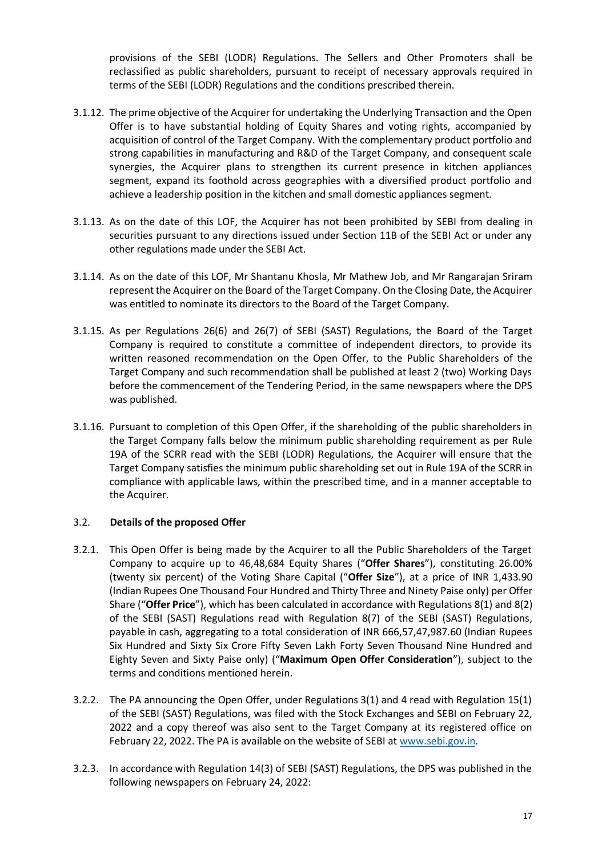provisions of the SEBI (LODR) Regulations. The Sellers and Other Promoters shall be reclassified as public shareholders, pursuant to receipt of necessary approvals required in terms of the SEBI (LODR) Regulations and the conditions prescribed therein.

- 3.1.12. The prime objective of the Acquirer for undertaking the Underlying Transaction and the Open Offer is to have substantial holding of Equity Shares and voting rights, accompanied by acquisition of control of the Target Company. With the complementary product portfolio and strong capabilities in manufacturing and R&D of the Target Company, and consequent scale synergies, the Acquirer plans to strengthen its current presence in kitchen appliances segment, expand its foothold across geographies with a diversified product portfolio and achieve a leadership position in the kitchen and small domestic appliances segment.
- 3.1.13. As on the date of this LOF, the Acquirer has not been prohibited by SEBI from dealing in securities pursuant to any directions issued under Section 11B of the SEBI Act or under any other regulations made under the SEBI Act.
- 3.1.14. As on the date of this LOF, Mr Shantanu Khosla, Mr Mathew Job, and Mr Rangarajan Sriram represent the Acquirer on the Board of the Target Company. On the Closing Date, the Acquirer was entitled to nominate its directors to the Board of the Target Company.
- 3.1.15. As per Regulations 26(6) and 26(7) of SEBI (SAST) Regulations, the Board of the Target Company is required to constitute a committee of independent directors, to provide its written reasoned recommendation on the Open Offer, to the Public Shareholders of the Target Company and such recommendation shall be published at least 2 (two) Working Days before the commencement of the Tendering Period, in the same newspapers where the DPS was published.
- 3.1.16. Pursuant to completion of this Open Offer, if the shareholding of the public shareholders in the Target Company falls below the minimum public shareholding requirement as per Rule 19A of the SCRR read with the SEBI (LODR) Regulations, the Acquirer will ensure that the Target Company satisfies the minimum public shareholding set out in Rule 19A of the SCRR in compliance with applicable laws, within the prescribed time, and in a manner acceptable to the Acquirer.

## 3.2. **Details of the proposed Offer**

- 3.2.1. This Open Offer is being made by the Acquirer to all the Public Shareholders of the Target Company to acquire up to 46,48,684 Equity Shares ("**Offer Shares**"), constituting 26.00% (twenty six percent) of the Voting Share Capital ("**Offer Size**"), at a price of INR 1,433.90 (Indian Rupees One Thousand Four Hundred and Thirty Three and Ninety Paise only) per Offer Share ("**Offer Price**"), which has been calculated in accordance with Regulations 8(1) and 8(2) of the SEBI (SAST) Regulations read with Regulation 8(7) of the SEBI (SAST) Regulations, payable in cash, aggregating to a total consideration of INR 666,57,47,987.60 (Indian Rupees Six Hundred and Sixty Six Crore Fifty Seven Lakh Forty Seven Thousand Nine Hundred and Eighty Seven and Sixty Paise only) ("**Maximum Open Offer Consideration**"), subject to the terms and conditions mentioned herein.
- 3.2.2. The PA announcing the Open Offer, under Regulations 3(1) and 4 read with Regulation 15(1) of the SEBI (SAST) Regulations, was filed with the Stock Exchanges and SEBI on February 22, 2022 and a copy thereof was also sent to the Target Company at its registered office on February 22, 2022. The PA is available on the website of SEBI a[t www.sebi.gov.in.](http://www.sebi.gov.in/)
- 3.2.3. In accordance with Regulation 14(3) of SEBI (SAST) Regulations, the DPS was published in the following newspapers on February 24, 2022: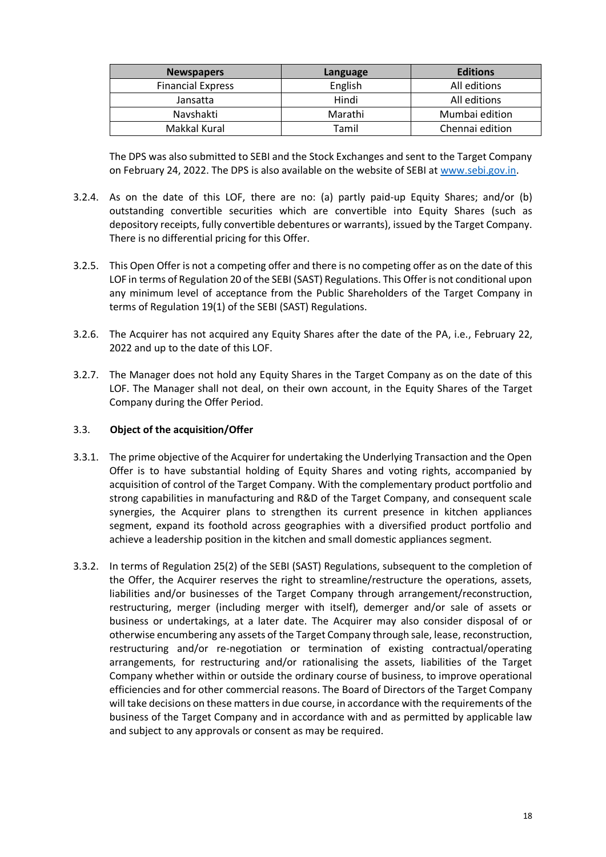| <b>Newspapers</b>        | Language | <b>Editions</b> |
|--------------------------|----------|-----------------|
| <b>Financial Express</b> | English  | All editions    |
| Jansatta                 | Hindi    | All editions    |
| Navshakti                | Marathi  | Mumbai edition  |
| Makkal Kural             | Tamil    | Chennai edition |

The DPS was also submitted to SEBI and the Stock Exchanges and sent to the Target Company on February 24, 2022. The DPS is also available on the website of SEBI a[t www.sebi.gov.in.](http://www.sebi.gov.in/)

- 3.2.4. As on the date of this LOF, there are no: (a) partly paid-up Equity Shares; and/or (b) outstanding convertible securities which are convertible into Equity Shares (such as depository receipts, fully convertible debentures or warrants), issued by the Target Company. There is no differential pricing for this Offer.
- 3.2.5. This Open Offer is not a competing offer and there is no competing offer as on the date of this LOF in terms of Regulation 20 of the SEBI (SAST) Regulations. This Offer is not conditional upon any minimum level of acceptance from the Public Shareholders of the Target Company in terms of Regulation 19(1) of the SEBI (SAST) Regulations.
- 3.2.6. The Acquirer has not acquired any Equity Shares after the date of the PA, i.e., February 22, 2022 and up to the date of this LOF.
- 3.2.7. The Manager does not hold any Equity Shares in the Target Company as on the date of this LOF. The Manager shall not deal, on their own account, in the Equity Shares of the Target Company during the Offer Period.

## 3.3. **Object of the acquisition/Offer**

- 3.3.1. The prime objective of the Acquirer for undertaking the Underlying Transaction and the Open Offer is to have substantial holding of Equity Shares and voting rights, accompanied by acquisition of control of the Target Company. With the complementary product portfolio and strong capabilities in manufacturing and R&D of the Target Company, and consequent scale synergies, the Acquirer plans to strengthen its current presence in kitchen appliances segment, expand its foothold across geographies with a diversified product portfolio and achieve a leadership position in the kitchen and small domestic appliances segment.
- 3.3.2. In terms of Regulation 25(2) of the SEBI (SAST) Regulations, subsequent to the completion of the Offer, the Acquirer reserves the right to streamline/restructure the operations, assets, liabilities and/or businesses of the Target Company through arrangement/reconstruction, restructuring, merger (including merger with itself), demerger and/or sale of assets or business or undertakings, at a later date. The Acquirer may also consider disposal of or otherwise encumbering any assets of the Target Company through sale, lease, reconstruction, restructuring and/or re-negotiation or termination of existing contractual/operating arrangements, for restructuring and/or rationalising the assets, liabilities of the Target Company whether within or outside the ordinary course of business, to improve operational efficiencies and for other commercial reasons. The Board of Directors of the Target Company will take decisions on these matters in due course, in accordance with the requirements of the business of the Target Company and in accordance with and as permitted by applicable law and subject to any approvals or consent as may be required.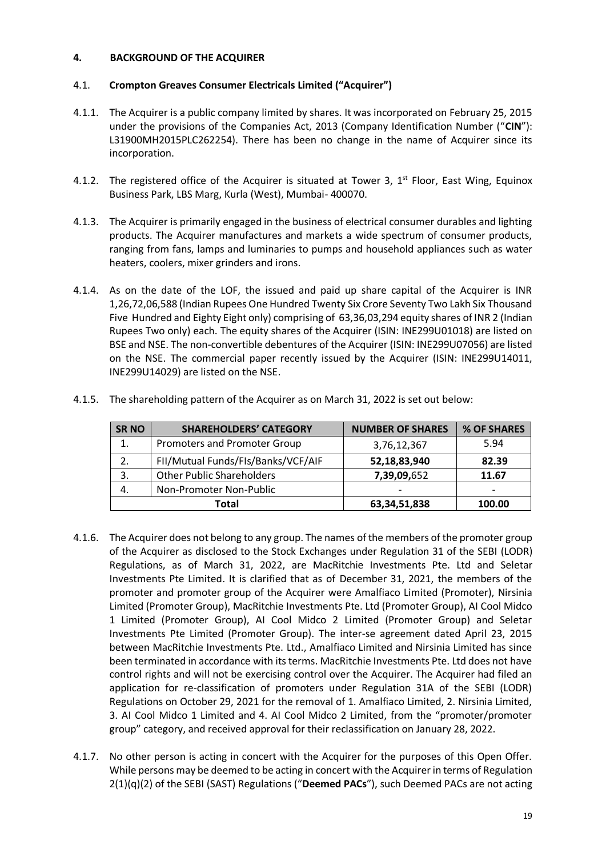## <span id="page-18-0"></span>**4. BACKGROUND OF THE ACQUIRER**

## 4.1. **Crompton Greaves Consumer Electricals Limited ("Acquirer")**

- 4.1.1. The Acquirer is a public company limited by shares. It was incorporated on February 25, 2015 under the provisions of the Companies Act, 2013 (Company Identification Number ("**CIN**"): L31900MH2015PLC262254). There has been no change in the name of Acquirer since its incorporation.
- 4.1.2. The registered office of the Acquirer is situated at Tower 3,  $1<sup>st</sup>$  Floor, East Wing, Equinox Business Park, LBS Marg, Kurla (West), Mumbai- 400070.
- 4.1.3. The Acquirer is primarily engaged in the business of electrical consumer durables and lighting products. The Acquirer manufactures and markets a wide spectrum of consumer products, ranging from fans, lamps and luminaries to pumps and household appliances such as water heaters, coolers, mixer grinders and irons.
- 4.1.4. As on the date of the LOF, the issued and paid up share capital of the Acquirer is INR 1,26,72,06,588 (Indian Rupees One Hundred Twenty Six Crore Seventy Two Lakh Six Thousand Five Hundred and Eighty Eight only) comprising of 63,36,03,294 equity shares of INR 2 (Indian Rupees Two only) each. The equity shares of the Acquirer (ISIN: INE299U01018) are listed on BSE and NSE. The non-convertible debentures of the Acquirer (ISIN: INE299U07056) are listed on the NSE. The commercial paper recently issued by the Acquirer (ISIN: INE299U14011, INE299U14029) are listed on the NSE.

| <b>SRNO</b> | <b>SHAREHOLDERS' CATEGORY</b>      | <b>NUMBER OF SHARES</b> | % OF SHARES              |
|-------------|------------------------------------|-------------------------|--------------------------|
| 1.          | Promoters and Promoter Group       | 3,76,12,367             | 5.94                     |
| 2.          | FII/Mutual Funds/FIs/Banks/VCF/AIF | 52,18,83,940            | 82.39                    |
| 3.          | <b>Other Public Shareholders</b>   | 7,39,09,652             | 11.67                    |
| 4.          | Non-Promoter Non-Public            |                         | $\overline{\phantom{0}}$ |
|             | Total                              | 63, 34, 51, 838         | 100.00                   |

4.1.5. The shareholding pattern of the Acquirer as on March 31, 2022 is set out below:

- 4.1.6. The Acquirer does not belong to any group. The names of the members of the promoter group of the Acquirer as disclosed to the Stock Exchanges under Regulation 31 of the SEBI (LODR) Regulations, as of March 31, 2022, are MacRitchie Investments Pte. Ltd and Seletar Investments Pte Limited. It is clarified that as of December 31, 2021, the members of the promoter and promoter group of the Acquirer were Amalfiaco Limited (Promoter), Nirsinia Limited (Promoter Group), MacRitchie Investments Pte. Ltd (Promoter Group), AI Cool Midco 1 Limited (Promoter Group), AI Cool Midco 2 Limited (Promoter Group) and Seletar Investments Pte Limited (Promoter Group). The inter-se agreement dated April 23, 2015 between MacRitchie Investments Pte. Ltd., Amalfiaco Limited and Nirsinia Limited has since been terminated in accordance with its terms. MacRitchie Investments Pte. Ltd does not have control rights and will not be exercising control over the Acquirer. The Acquirer had filed an application for re-classification of promoters under Regulation 31A of the SEBI (LODR) Regulations on October 29, 2021 for the removal of 1. Amalfiaco Limited, 2. Nirsinia Limited, 3. AI Cool Midco 1 Limited and 4. AI Cool Midco 2 Limited, from the "promoter/promoter group" category, and received approval for their reclassification on January 28, 2022.
- 4.1.7. No other person is acting in concert with the Acquirer for the purposes of this Open Offer. While persons may be deemed to be acting in concert with the Acquirer in terms of Regulation 2(1)(q)(2) of the SEBI (SAST) Regulations ("**Deemed PACs**"), such Deemed PACs are not acting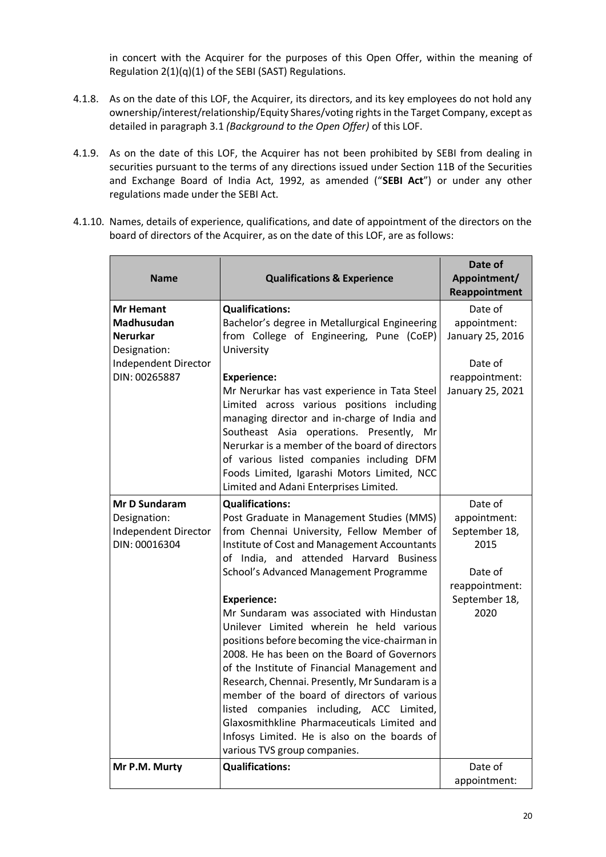in concert with the Acquirer for the purposes of this Open Offer, within the meaning of Regulation 2(1)(q)(1) of the SEBI (SAST) Regulations.

- 4.1.8. As on the date of this LOF, the Acquirer, its directors, and its key employees do not hold any ownership/interest/relationship/Equity Shares/voting rights in the Target Company, except as detailed in paragraph 3.1 *(Background to the Open Offer)* of this LOF.
- 4.1.9. As on the date of this LOF, the Acquirer has not been prohibited by SEBI from dealing in securities pursuant to the terms of any directions issued under Section 11B of the Securities and Exchange Board of India Act, 1992, as amended ("**SEBI Act**") or under any other regulations made under the SEBI Act.
- 4.1.10. Names, details of experience, qualifications, and date of appointment of the directors on the board of directors of the Acquirer, as on the date of this LOF, are as follows:

| <b>Name</b>                                                                                                | <b>Qualifications &amp; Experience</b>                                                                                                                                                                                                                                                                                                                                                                                                                                                                                                                                                                                                                                                                                                                                                            | Date of<br>Appointment/<br>Reappointment                                                               |
|------------------------------------------------------------------------------------------------------------|---------------------------------------------------------------------------------------------------------------------------------------------------------------------------------------------------------------------------------------------------------------------------------------------------------------------------------------------------------------------------------------------------------------------------------------------------------------------------------------------------------------------------------------------------------------------------------------------------------------------------------------------------------------------------------------------------------------------------------------------------------------------------------------------------|--------------------------------------------------------------------------------------------------------|
| Mr Hemant<br><b>Madhusudan</b><br>Nerurkar<br>Designation:<br><b>Independent Director</b><br>DIN: 00265887 | <b>Qualifications:</b><br>Bachelor's degree in Metallurgical Engineering<br>from College of Engineering, Pune (CoEP)<br>University<br><b>Experience:</b><br>Mr Nerurkar has vast experience in Tata Steel<br>Limited across various positions including<br>managing director and in-charge of India and<br>Southeast Asia operations. Presently,<br>Mr<br>Nerurkar is a member of the board of directors<br>of various listed companies including DFM<br>Foods Limited, Igarashi Motors Limited, NCC<br>Limited and Adani Enterprises Limited.                                                                                                                                                                                                                                                    | Date of<br>appointment:<br>January 25, 2016<br>Date of<br>reappointment:<br>January 25, 2021           |
| Mr D Sundaram<br>Designation:<br><b>Independent Director</b><br>DIN: 00016304                              | <b>Qualifications:</b><br>Post Graduate in Management Studies (MMS)<br>from Chennai University, Fellow Member of<br>Institute of Cost and Management Accountants<br>of India, and attended Harvard Business<br>School's Advanced Management Programme<br><b>Experience:</b><br>Mr Sundaram was associated with Hindustan<br>Unilever Limited wherein he held various<br>positions before becoming the vice-chairman in<br>2008. He has been on the Board of Governors<br>of the Institute of Financial Management and<br>Research, Chennai. Presently, Mr Sundaram is a<br>member of the board of directors of various<br>listed companies including, ACC Limited,<br>Glaxosmithkline Pharmaceuticals Limited and<br>Infosys Limited. He is also on the boards of<br>various TVS group companies. | Date of<br>appointment:<br>September 18,<br>2015<br>Date of<br>reappointment:<br>September 18,<br>2020 |
| Mr P.M. Murty                                                                                              | <b>Qualifications:</b>                                                                                                                                                                                                                                                                                                                                                                                                                                                                                                                                                                                                                                                                                                                                                                            | Date of<br>appointment:                                                                                |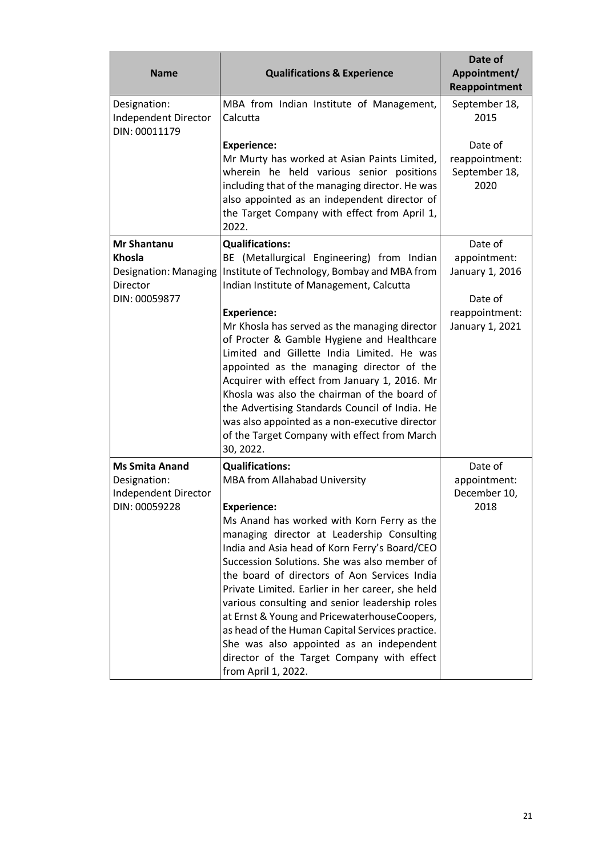| <b>Name</b>                                                                        | <b>Qualifications &amp; Experience</b>                                                                                                                                                                                                                                                                                                                                                                                                                                                                                                                                                                                                               | Date of<br>Appointment/<br>Reappointment              |
|------------------------------------------------------------------------------------|------------------------------------------------------------------------------------------------------------------------------------------------------------------------------------------------------------------------------------------------------------------------------------------------------------------------------------------------------------------------------------------------------------------------------------------------------------------------------------------------------------------------------------------------------------------------------------------------------------------------------------------------------|-------------------------------------------------------|
| Designation:<br>Independent Director<br>DIN: 00011179                              | MBA from Indian Institute of Management,<br>Calcutta                                                                                                                                                                                                                                                                                                                                                                                                                                                                                                                                                                                                 | September 18,<br>2015                                 |
|                                                                                    | <b>Experience:</b><br>Mr Murty has worked at Asian Paints Limited,<br>wherein he held various senior positions<br>including that of the managing director. He was<br>also appointed as an independent director of<br>the Target Company with effect from April 1,<br>2022.                                                                                                                                                                                                                                                                                                                                                                           | Date of<br>reappointment:<br>September 18,<br>2020    |
| <b>Mr Shantanu</b><br>Khosla<br>Designation: Managing<br>Director<br>DIN: 00059877 | <b>Qualifications:</b><br>BE (Metallurgical Engineering) from Indian<br>Institute of Technology, Bombay and MBA from<br>Indian Institute of Management, Calcutta                                                                                                                                                                                                                                                                                                                                                                                                                                                                                     | Date of<br>appointment:<br>January 1, 2016<br>Date of |
|                                                                                    | <b>Experience:</b><br>Mr Khosla has served as the managing director<br>of Procter & Gamble Hygiene and Healthcare<br>Limited and Gillette India Limited. He was<br>appointed as the managing director of the<br>Acquirer with effect from January 1, 2016. Mr<br>Khosla was also the chairman of the board of<br>the Advertising Standards Council of India. He<br>was also appointed as a non-executive director<br>of the Target Company with effect from March<br>30, 2022.                                                                                                                                                                       | reappointment:<br>January 1, 2021                     |
| <b>Ms Smita Anand</b><br>Designation:<br>Independent Director<br>DIN: 00059228     | <b>Qualifications:</b><br>MBA from Allahabad University<br><b>Experience:</b><br>Ms Anand has worked with Korn Ferry as the<br>managing director at Leadership Consulting<br>India and Asia head of Korn Ferry's Board/CEO<br>Succession Solutions. She was also member of<br>the board of directors of Aon Services India<br>Private Limited. Earlier in her career, she held<br>various consulting and senior leadership roles<br>at Ernst & Young and PricewaterhouseCoopers,<br>as head of the Human Capital Services practice.<br>She was also appointed as an independent<br>director of the Target Company with effect<br>from April 1, 2022. | Date of<br>appointment:<br>December 10,<br>2018       |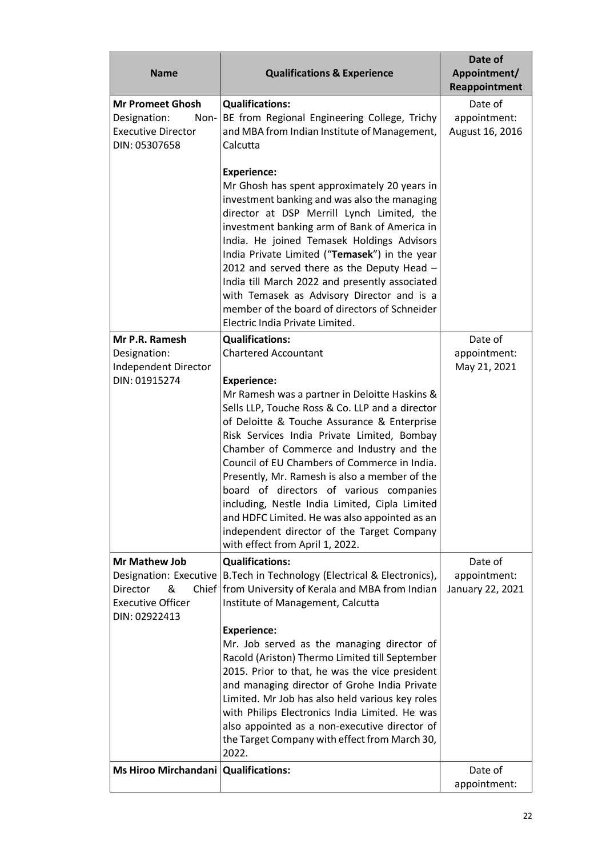| <b>Name</b>                                                                                   | <b>Qualifications &amp; Experience</b>                                                                                                                                                                                                                                                                                                                                                                                                                                                                                                                                     | Date of<br>Appointment/<br>Reappointment   |
|-----------------------------------------------------------------------------------------------|----------------------------------------------------------------------------------------------------------------------------------------------------------------------------------------------------------------------------------------------------------------------------------------------------------------------------------------------------------------------------------------------------------------------------------------------------------------------------------------------------------------------------------------------------------------------------|--------------------------------------------|
| <b>Mr Promeet Ghosh</b><br>Designation:<br>Non-<br><b>Executive Director</b><br>DIN: 05307658 | <b>Qualifications:</b><br>BE from Regional Engineering College, Trichy<br>and MBA from Indian Institute of Management,<br>Calcutta                                                                                                                                                                                                                                                                                                                                                                                                                                         | Date of<br>appointment:<br>August 16, 2016 |
|                                                                                               | <b>Experience:</b><br>Mr Ghosh has spent approximately 20 years in<br>investment banking and was also the managing<br>director at DSP Merrill Lynch Limited, the<br>investment banking arm of Bank of America in<br>India. He joined Temasek Holdings Advisors<br>India Private Limited ("Temasek") in the year<br>2012 and served there as the Deputy Head -<br>India till March 2022 and presently associated<br>with Temasek as Advisory Director and is a<br>member of the board of directors of Schneider<br>Electric India Private Limited.                          |                                            |
| Mr P.R. Ramesh                                                                                | <b>Qualifications:</b>                                                                                                                                                                                                                                                                                                                                                                                                                                                                                                                                                     | Date of                                    |
| Designation:<br>Independent Director                                                          | <b>Chartered Accountant</b>                                                                                                                                                                                                                                                                                                                                                                                                                                                                                                                                                | appointment:<br>May 21, 2021               |
| DIN: 01915274                                                                                 | <b>Experience:</b>                                                                                                                                                                                                                                                                                                                                                                                                                                                                                                                                                         |                                            |
|                                                                                               | Mr Ramesh was a partner in Deloitte Haskins &<br>Sells LLP, Touche Ross & Co. LLP and a director<br>of Deloitte & Touche Assurance & Enterprise<br>Risk Services India Private Limited, Bombay<br>Chamber of Commerce and Industry and the<br>Council of EU Chambers of Commerce in India.<br>Presently, Mr. Ramesh is also a member of the<br>board of directors of various companies<br>including, Nestle India Limited, Cipla Limited<br>and HDFC Limited. He was also appointed as an<br>independent director of the Target Company<br>with effect from April 1, 2022. |                                            |
| <b>Mr Mathew Job</b>                                                                          | <b>Qualifications:</b>                                                                                                                                                                                                                                                                                                                                                                                                                                                                                                                                                     | Date of                                    |
| Director<br>&<br><b>Executive Officer</b><br>DIN: 02922413                                    | Designation: Executive   B.Tech in Technology (Electrical & Electronics),<br>Chief   from University of Kerala and MBA from Indian<br>Institute of Management, Calcutta                                                                                                                                                                                                                                                                                                                                                                                                    | appointment:<br>January 22, 2021           |
|                                                                                               | <b>Experience:</b>                                                                                                                                                                                                                                                                                                                                                                                                                                                                                                                                                         |                                            |
|                                                                                               | Mr. Job served as the managing director of<br>Racold (Ariston) Thermo Limited till September<br>2015. Prior to that, he was the vice president<br>and managing director of Grohe India Private<br>Limited. Mr Job has also held various key roles<br>with Philips Electronics India Limited. He was<br>also appointed as a non-executive director of<br>the Target Company with effect from March 30,<br>2022.                                                                                                                                                             |                                            |
| Ms Hiroo Mirchandani Qualifications:                                                          |                                                                                                                                                                                                                                                                                                                                                                                                                                                                                                                                                                            | Date of<br>appointment:                    |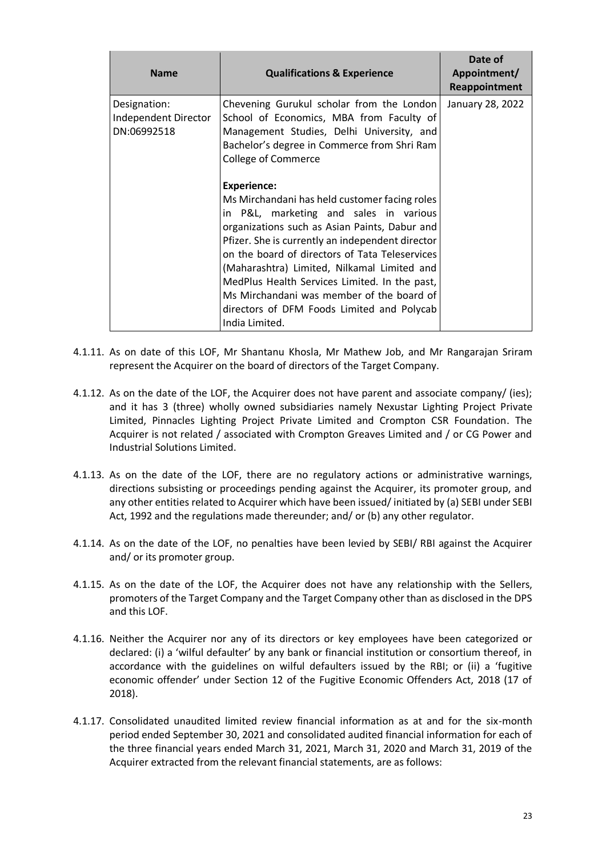| <b>Name</b>                                         | <b>Qualifications &amp; Experience</b>                                                                                                                                                                                                                                                                                                                                                                                                                                                                                                 | Date of<br>Appointment/<br>Reappointment |
|-----------------------------------------------------|----------------------------------------------------------------------------------------------------------------------------------------------------------------------------------------------------------------------------------------------------------------------------------------------------------------------------------------------------------------------------------------------------------------------------------------------------------------------------------------------------------------------------------------|------------------------------------------|
| Designation:<br>Independent Director<br>DN:06992518 | Chevening Gurukul scholar from the London<br>School of Economics, MBA from Faculty of<br>Management Studies, Delhi University, and<br>Bachelor's degree in Commerce from Shri Ram<br><b>College of Commerce</b><br><b>Experience:</b><br>Ms Mirchandani has held customer facing roles<br>in P&L, marketing and sales in various<br>organizations such as Asian Paints, Dabur and<br>Pfizer. She is currently an independent director<br>on the board of directors of Tata Teleservices<br>(Maharashtra) Limited, Nilkamal Limited and | January 28, 2022                         |
|                                                     | MedPlus Health Services Limited. In the past,<br>Ms Mirchandani was member of the board of<br>directors of DFM Foods Limited and Polycab<br>India Limited.                                                                                                                                                                                                                                                                                                                                                                             |                                          |

- 4.1.11. As on date of this LOF, Mr Shantanu Khosla, Mr Mathew Job, and Mr Rangarajan Sriram represent the Acquirer on the board of directors of the Target Company.
- 4.1.12. As on the date of the LOF, the Acquirer does not have parent and associate company/ (ies); and it has 3 (three) wholly owned subsidiaries namely Nexustar Lighting Project Private Limited, Pinnacles Lighting Project Private Limited and Crompton CSR Foundation. The Acquirer is not related / associated with Crompton Greaves Limited and / or CG Power and Industrial Solutions Limited.
- 4.1.13. As on the date of the LOF, there are no regulatory actions or administrative warnings, directions subsisting or proceedings pending against the Acquirer, its promoter group, and any other entities related to Acquirer which have been issued/ initiated by (a) SEBI under SEBI Act, 1992 and the regulations made thereunder; and/ or (b) any other regulator.
- 4.1.14. As on the date of the LOF, no penalties have been levied by SEBI/ RBI against the Acquirer and/ or its promoter group.
- 4.1.15. As on the date of the LOF, the Acquirer does not have any relationship with the Sellers, promoters of the Target Company and the Target Company other than as disclosed in the DPS and this LOF.
- 4.1.16. Neither the Acquirer nor any of its directors or key employees have been categorized or declared: (i) a 'wilful defaulter' by any bank or financial institution or consortium thereof, in accordance with the guidelines on wilful defaulters issued by the RBI; or (ii) a 'fugitive economic offender' under Section 12 of the Fugitive Economic Offenders Act, 2018 (17 of 2018).
- 4.1.17. Consolidated unaudited limited review financial information as at and for the six-month period ended September 30, 2021 and consolidated audited financial information for each of the three financial years ended March 31, 2021, March 31, 2020 and March 31, 2019 of the Acquirer extracted from the relevant financial statements, are as follows: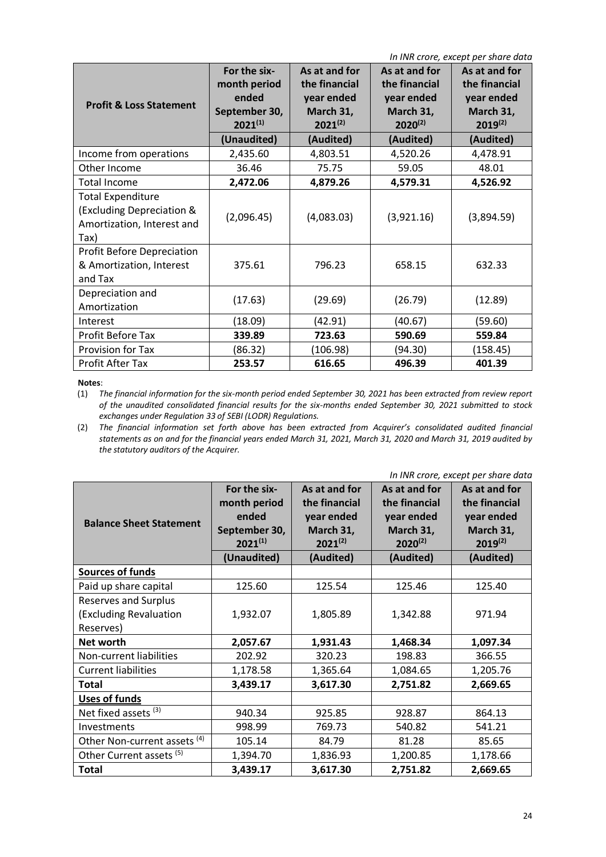| In INR crore, except per share data                                                         |                                                                                       |                                                                                        |                                                                                        |                                                                                        |  |  |  |
|---------------------------------------------------------------------------------------------|---------------------------------------------------------------------------------------|----------------------------------------------------------------------------------------|----------------------------------------------------------------------------------------|----------------------------------------------------------------------------------------|--|--|--|
| <b>Profit &amp; Loss Statement</b>                                                          | For the six-<br>month period<br>ended<br>September 30,<br>$2021^{(1)}$<br>(Unaudited) | As at and for<br>the financial<br>year ended<br>March 31,<br>$2021^{(2)}$<br>(Audited) | As at and for<br>the financial<br>year ended<br>March 31,<br>$2020^{(2)}$<br>(Audited) | As at and for<br>the financial<br>year ended<br>March 31,<br>$2019^{(2)}$<br>(Audited) |  |  |  |
| Income from operations                                                                      | 2,435.60                                                                              | 4,803.51                                                                               | 4,520.26                                                                               | 4,478.91                                                                               |  |  |  |
| Other Income                                                                                | 36.46                                                                                 | 75.75                                                                                  | 59.05                                                                                  | 48.01                                                                                  |  |  |  |
| <b>Total Income</b>                                                                         | 2,472.06                                                                              | 4,879.26                                                                               | 4,579.31                                                                               | 4,526.92                                                                               |  |  |  |
| <b>Total Expenditure</b><br>(Excluding Depreciation &<br>Amortization, Interest and<br>Tax) | (2,096.45)                                                                            | (4,083.03)                                                                             | (3,921.16)                                                                             | (3,894.59)                                                                             |  |  |  |
| <b>Profit Before Depreciation</b><br>& Amortization, Interest<br>and Tax                    | 375.61                                                                                | 796.23                                                                                 | 658.15                                                                                 | 632.33                                                                                 |  |  |  |
| Depreciation and<br>Amortization                                                            | (17.63)                                                                               | (29.69)                                                                                | (26.79)                                                                                | (12.89)                                                                                |  |  |  |
| Interest                                                                                    | (18.09)                                                                               | (42.91)                                                                                | (40.67)                                                                                | (59.60)                                                                                |  |  |  |
| Profit Before Tax                                                                           | 339.89                                                                                | 723.63                                                                                 | 590.69                                                                                 | 559.84                                                                                 |  |  |  |
| Provision for Tax                                                                           | (86.32)                                                                               | (106.98)                                                                               | (94.30)                                                                                | (158.45)                                                                               |  |  |  |
| <b>Profit After Tax</b>                                                                     | 253.57                                                                                | 616.65                                                                                 | 496.39                                                                                 | 401.39                                                                                 |  |  |  |

#### **Notes**:

(1) *The financial information for the six-month period ended September 30, 2021 has been extracted from review report of the unaudited consolidated financial results for the six-months ended September 30, 2021 submitted to stock exchanges under Regulation 33 of SEBI (LODR) Regulations.*

(2) *The financial information set forth above has been extracted from Acquirer's consolidated audited financial statements as on and for the financial years ended March 31, 2021, March 31, 2020 and March 31, 2019 audited by the statutory auditors of the Acquirer.*

| In INR crore, except per share data                                |                                                                                       |                                                                                        |                                                                                        |                                                                                        |  |  |
|--------------------------------------------------------------------|---------------------------------------------------------------------------------------|----------------------------------------------------------------------------------------|----------------------------------------------------------------------------------------|----------------------------------------------------------------------------------------|--|--|
| <b>Balance Sheet Statement</b>                                     | For the six-<br>month period<br>ended<br>September 30,<br>$2021^{(1)}$<br>(Unaudited) | As at and for<br>the financial<br>year ended<br>March 31,<br>$2021^{(2)}$<br>(Audited) | As at and for<br>the financial<br>year ended<br>March 31,<br>$2020^{(2)}$<br>(Audited) | As at and for<br>the financial<br>year ended<br>March 31,<br>$2019^{(2)}$<br>(Audited) |  |  |
| <b>Sources of funds</b>                                            |                                                                                       |                                                                                        |                                                                                        |                                                                                        |  |  |
| Paid up share capital                                              | 125.60                                                                                | 125.54                                                                                 | 125.46                                                                                 | 125.40                                                                                 |  |  |
| <b>Reserves and Surplus</b><br>(Excluding Revaluation<br>Reserves) | 1,932.07                                                                              | 1,805.89                                                                               | 1,342.88                                                                               | 971.94                                                                                 |  |  |
| Net worth                                                          | 2,057.67                                                                              | 1,931.43                                                                               | 1,468.34                                                                               | 1,097.34                                                                               |  |  |
| Non-current liabilities                                            | 202.92                                                                                | 320.23                                                                                 | 198.83                                                                                 | 366.55                                                                                 |  |  |
| <b>Current liabilities</b>                                         | 1,178.58                                                                              | 1,365.64                                                                               | 1,084.65                                                                               | 1,205.76                                                                               |  |  |
| Total                                                              | 3,439.17                                                                              | 3,617.30                                                                               | 2,751.82                                                                               | 2,669.65                                                                               |  |  |
| <b>Uses of funds</b>                                               |                                                                                       |                                                                                        |                                                                                        |                                                                                        |  |  |
| Net fixed assets <sup>(3)</sup>                                    | 940.34                                                                                | 925.85                                                                                 | 928.87                                                                                 | 864.13                                                                                 |  |  |
| Investments                                                        | 998.99                                                                                | 769.73                                                                                 | 540.82                                                                                 | 541.21                                                                                 |  |  |
| Other Non-current assets <sup>(4)</sup>                            | 105.14                                                                                | 84.79                                                                                  | 81.28                                                                                  | 85.65                                                                                  |  |  |
| Other Current assets <sup>(5)</sup>                                | 1,394.70                                                                              | 1,836.93                                                                               | 1,200.85                                                                               | 1,178.66                                                                               |  |  |
| <b>Total</b>                                                       | 3,439.17                                                                              | 3,617.30                                                                               | 2,751.82                                                                               | 2,669.65                                                                               |  |  |

24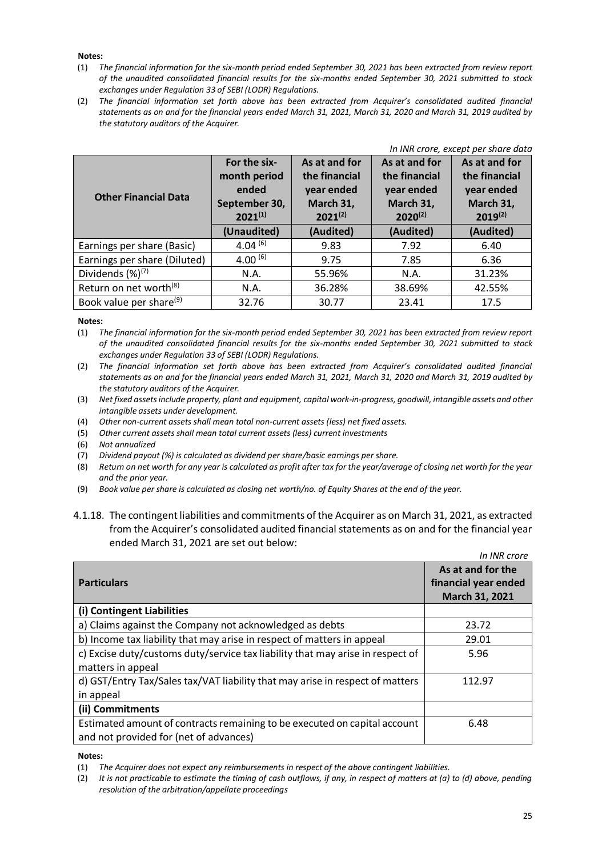#### **Notes:**

- (1) *The financial information for the six-month period ended September 30, 2021 has been extracted from review report of the unaudited consolidated financial results for the six-months ended September 30, 2021 submitted to stock exchanges under Regulation 33 of SEBI (LODR) Regulations.*
- (2) *The financial information set forth above has been extracted from Acquirer's consolidated audited financial statements as on and for the financial years ended March 31, 2021, March 31, 2020 and March 31, 2019 audited by the statutory auditors of the Acquirer.*

| In INR crore, except per share data |                                                                        |                                                                           |                                                                           |                                                                           |  |  |  |
|-------------------------------------|------------------------------------------------------------------------|---------------------------------------------------------------------------|---------------------------------------------------------------------------|---------------------------------------------------------------------------|--|--|--|
| <b>Other Financial Data</b>         | For the six-<br>month period<br>ended<br>September 30,<br>$2021^{(1)}$ | As at and for<br>the financial<br>year ended<br>March 31,<br>$2021^{(2)}$ | As at and for<br>the financial<br>year ended<br>March 31,<br>$2020^{(2)}$ | As at and for<br>the financial<br>year ended<br>March 31,<br>$2019^{(2)}$ |  |  |  |
|                                     | (Unaudited)                                                            | (Audited)                                                                 | (Audited)                                                                 | (Audited)                                                                 |  |  |  |
| Earnings per share (Basic)          | 4.04 $(6)$                                                             | 9.83                                                                      | 7.92                                                                      | 6.40                                                                      |  |  |  |
| Earnings per share (Diluted)        | 4.00 $(6)$                                                             | 9.75                                                                      | 7.85                                                                      | 6.36                                                                      |  |  |  |
| Dividends $(\%)^{(7)}$              | N.A.                                                                   | 55.96%                                                                    | N.A.                                                                      | 31.23%                                                                    |  |  |  |
| Return on net worth <sup>(8)</sup>  | N.A.                                                                   | 36.28%                                                                    | 38.69%                                                                    | 42.55%                                                                    |  |  |  |
| Book value per share <sup>(9)</sup> | 32.76                                                                  | 30.77                                                                     | 23.41                                                                     | 17.5                                                                      |  |  |  |

#### **Notes:**

(1) *The financial information for the six-month period ended September 30, 2021 has been extracted from review report of the unaudited consolidated financial results for the six-months ended September 30, 2021 submitted to stock exchanges under Regulation 33 of SEBI (LODR) Regulations.*

(2) *The financial information set forth above has been extracted from Acquirer's consolidated audited financial statements as on and for the financial years ended March 31, 2021, March 31, 2020 and March 31, 2019 audited by the statutory auditors of the Acquirer.*

(3) *Net fixed assets include property, plant and equipment, capital work-in-progress, goodwill, intangible assets and other intangible assets under development.*

(4) *Other non-current assets shall mean total non-current assets (less) net fixed assets.*

(5) *Other current assets shall mean total current assets (less) current investments*

(6) *Not annualized*

(7) *Dividend payout (%) is calculated as dividend per share/basic earnings per share.*

(8) *Return on net worth for any year is calculated as profit after tax for the year/average of closing net worth for the year and the prior year.*

(9) *Book value per share is calculated as closing net worth/no. of Equity Shares at the end of the year.*

## 4.1.18. The contingent liabilities and commitments of the Acquirer as on March 31, 2021, as extracted from the Acquirer's consolidated audited financial statements as on and for the financial year ended March 31, 2021 are set out below:

|                                                                                | In INR crore         |
|--------------------------------------------------------------------------------|----------------------|
|                                                                                | As at and for the    |
| <b>Particulars</b>                                                             | financial year ended |
|                                                                                | March 31, 2021       |
| (i) Contingent Liabilities                                                     |                      |
| a) Claims against the Company not acknowledged as debts                        | 23.72                |
| b) Income tax liability that may arise in respect of matters in appeal         | 29.01                |
| c) Excise duty/customs duty/service tax liability that may arise in respect of | 5.96                 |
| matters in appeal                                                              |                      |
| d) GST/Entry Tax/Sales tax/VAT liability that may arise in respect of matters  | 112.97               |
| in appeal                                                                      |                      |
| (ii) Commitments                                                               |                      |
| Estimated amount of contracts remaining to be executed on capital account      | 6.48                 |
| and not provided for (net of advances)                                         |                      |

#### **Notes:**

(1) *The Acquirer does not expect any reimbursements in respect of the above contingent liabilities.*

(2) *It is not practicable to estimate the timing of cash outflows, if any, in respect of matters at (a) to (d) above, pending resolution of the arbitration/appellate proceedings*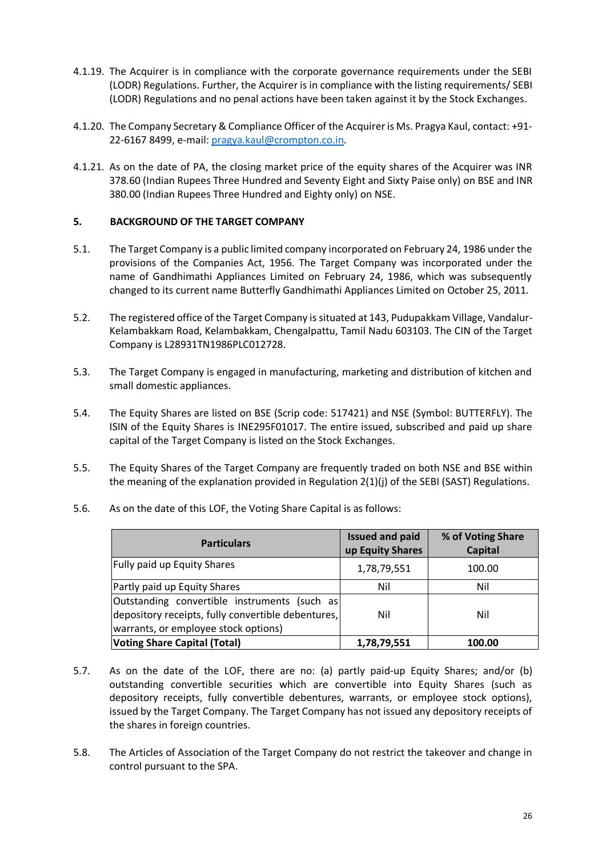- 4.1.19. The Acquirer is in compliance with the corporate governance requirements under the SEBI (LODR) Regulations. Further, the Acquirer is in compliance with the listing requirements/ SEBI (LODR) Regulations and no penal actions have been taken against it by the Stock Exchanges.
- 4.1.20. The Company Secretary & Compliance Officer of the Acquirer is Ms. Pragya Kaul, contact: +91- 22-6167 8499, e-mail[: pragya.kaul@crompton.co.in.](mailto:pragya.kaul@crompton.co.in)
- 4.1.21. As on the date of PA, the closing market price of the equity shares of the Acquirer was INR 378.60 (Indian Rupees Three Hundred and Seventy Eight and Sixty Paise only) on BSE and INR 380.00 (Indian Rupees Three Hundred and Eighty only) on NSE.

## <span id="page-25-0"></span>**5. BACKGROUND OF THE TARGET COMPANY**

- 5.1. The Target Company is a public limited company incorporated on February 24, 1986 under the provisions of the Companies Act, 1956. The Target Company was incorporated under the name of Gandhimathi Appliances Limited on February 24, 1986, which was subsequently changed to its current name Butterfly Gandhimathi Appliances Limited on October 25, 2011.
- 5.2. The registered office of the Target Company is situated at 143, Pudupakkam Village, Vandalur-Kelambakkam Road, Kelambakkam, Chengalpattu, Tamil Nadu 603103. The CIN of the Target Company is L28931TN1986PLC012728.
- 5.3. The Target Company is engaged in manufacturing, marketing and distribution of kitchen and small domestic appliances.
- 5.4. The Equity Shares are listed on BSE (Scrip code: 517421) and NSE (Symbol: BUTTERFLY). The ISIN of the Equity Shares is INE295F01017. The entire issued, subscribed and paid up share capital of the Target Company is listed on the Stock Exchanges.
- 5.5. The Equity Shares of the Target Company are frequently traded on both NSE and BSE within the meaning of the explanation provided in Regulation 2(1)(j) of the SEBI (SAST) Regulations.
	- **Particulars Issued and paid Particulars up Equity Shares % of Voting Share Capital** Fully paid up Equity Shares 1,78,79,551 100.00 Partly paid up Equity Shares Nil Nil Outstanding convertible instruments (such as depository receipts, fully convertible debentures, warrants, or employee stock options) Nil Nil
- 5.6. As on the date of this LOF, the Voting Share Capital is as follows:

5.7. As on the date of the LOF, there are no: (a) partly paid-up Equity Shares; and/or (b) outstanding convertible securities which are convertible into Equity Shares (such as depository receipts, fully convertible debentures, warrants, or employee stock options), issued by the Target Company. The Target Company has not issued any depository receipts of the shares in foreign countries.

**Voting Share Capital (Total) 1,78,79,551 100.00**

5.8. The Articles of Association of the Target Company do not restrict the takeover and change in control pursuant to the SPA.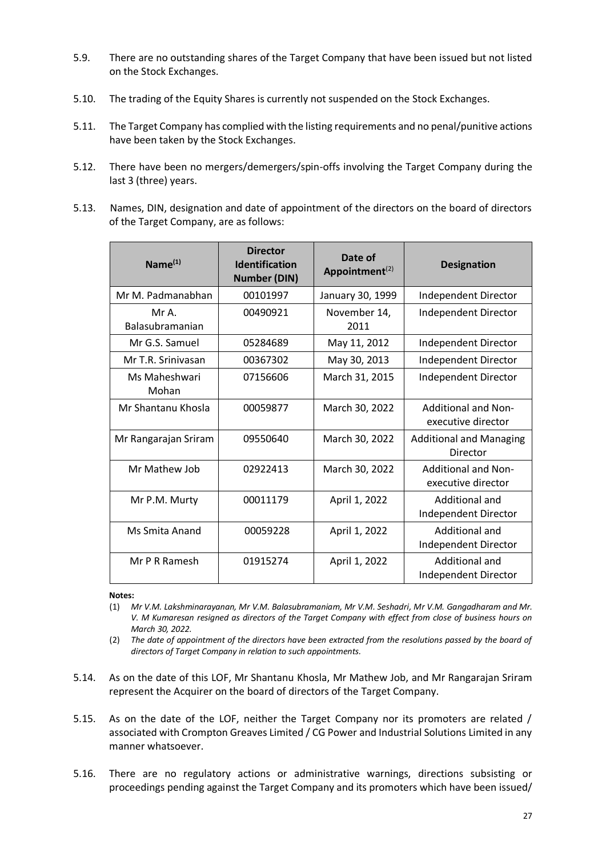- 5.9. There are no outstanding shares of the Target Company that have been issued but not listed on the Stock Exchanges.
- 5.10. The trading of the Equity Shares is currently not suspended on the Stock Exchanges.
- 5.11. The Target Company has complied with the listing requirements and no penal/punitive actions have been taken by the Stock Exchanges.
- 5.12. There have been no mergers/demergers/spin-offs involving the Target Company during the last 3 (three) years.
- 5.13. Names, DIN, designation and date of appointment of the directors on the board of directors of the Target Company, are as follows:

| Name <sup>(1)</sup>             | <b>Director</b><br><b>Identification</b><br><b>Number (DIN)</b> | Date of<br>Appointment $(2)$ | <b>Designation</b>                               |
|---------------------------------|-----------------------------------------------------------------|------------------------------|--------------------------------------------------|
| Mr M. Padmanabhan               | 00101997                                                        | January 30, 1999             | Independent Director                             |
| Mr A.<br><b>Balasubramanian</b> | 00490921                                                        | November 14,<br>2011         | Independent Director                             |
| Mr G.S. Samuel                  | 05284689                                                        | May 11, 2012                 | Independent Director                             |
| Mr T.R. Srinivasan              | 00367302                                                        | May 30, 2013                 | Independent Director                             |
| Ms Maheshwari<br>Mohan          | 07156606                                                        | March 31, 2015               | Independent Director                             |
| Mr Shantanu Khosla              | 00059877                                                        | March 30, 2022               | <b>Additional and Non-</b><br>executive director |
| Mr Rangarajan Sriram            | 09550640                                                        | March 30, 2022               | <b>Additional and Managing</b><br>Director       |
| Mr Mathew Job                   | 02922413                                                        | March 30, 2022               | <b>Additional and Non-</b><br>executive director |
| Mr P.M. Murty                   | 00011179                                                        | April 1, 2022                | Additional and<br>Independent Director           |
| Ms Smita Anand                  | 00059228                                                        | April 1, 2022                | Additional and<br>Independent Director           |
| Mr P R Ramesh                   | 01915274                                                        | April 1, 2022                | Additional and<br>Independent Director           |

#### **Notes:**

- (1) *Mr V.M. Lakshminarayanan, Mr V.M. Balasubramaniam, Mr V.M. Seshadri, Mr V.M. Gangadharam and Mr. V. M Kumaresan resigned as directors of the Target Company with effect from close of business hours on March 30, 2022.*
- (2) *The date of appointment of the directors have been extracted from the resolutions passed by the board of directors of Target Company in relation to such appointments.*
- 5.14. As on the date of this LOF, Mr Shantanu Khosla, Mr Mathew Job, and Mr Rangarajan Sriram represent the Acquirer on the board of directors of the Target Company.
- 5.15. As on the date of the LOF, neither the Target Company nor its promoters are related / associated with Crompton Greaves Limited / CG Power and Industrial Solutions Limited in any manner whatsoever.
- 5.16. There are no regulatory actions or administrative warnings, directions subsisting or proceedings pending against the Target Company and its promoters which have been issued/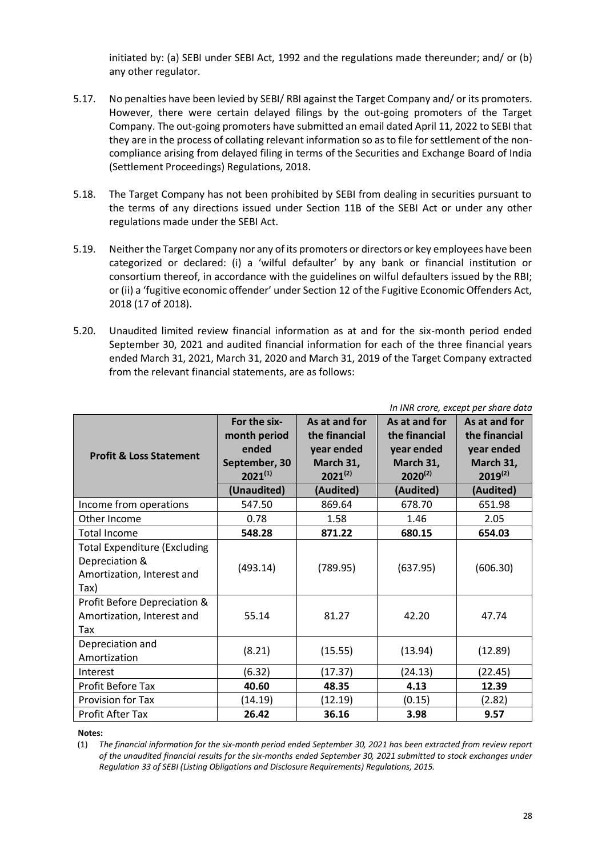initiated by: (a) SEBI under SEBI Act, 1992 and the regulations made thereunder; and/ or (b) any other regulator.

- 5.17. No penalties have been levied by SEBI/ RBI against the Target Company and/ or its promoters. However, there were certain delayed filings by the out-going promoters of the Target Company. The out-going promoters have submitted an email dated April 11, 2022 to SEBI that they are in the process of collating relevant information so as to file for settlement of the noncompliance arising from delayed filing in terms of the Securities and Exchange Board of India (Settlement Proceedings) Regulations, 2018.
- 5.18. The Target Company has not been prohibited by SEBI from dealing in securities pursuant to the terms of any directions issued under Section 11B of the SEBI Act or under any other regulations made under the SEBI Act.
- 5.19. Neither the Target Company nor any of its promoters or directors or key employees have been categorized or declared: (i) a 'wilful defaulter' by any bank or financial institution or consortium thereof, in accordance with the guidelines on wilful defaulters issued by the RBI; or (ii) a 'fugitive economic offender' under Section 12 of the Fugitive Economic Offenders Act, 2018 (17 of 2018).
- 5.20. Unaudited limited review financial information as at and for the six-month period ended September 30, 2021 and audited financial information for each of the three financial years ended March 31, 2021, March 31, 2020 and March 31, 2019 of the Target Company extracted from the relevant financial statements, are as follows:

| In INR crore, except per share data                                                         |                                                                        |                                                                           |                                                                           |                                                                           |  |  |
|---------------------------------------------------------------------------------------------|------------------------------------------------------------------------|---------------------------------------------------------------------------|---------------------------------------------------------------------------|---------------------------------------------------------------------------|--|--|
| <b>Profit &amp; Loss Statement</b>                                                          | For the six-<br>month period<br>ended<br>September, 30<br>$2021^{(1)}$ | As at and for<br>the financial<br>year ended<br>March 31,<br>$2021^{(2)}$ | As at and for<br>the financial<br>year ended<br>March 31,<br>$2020^{(2)}$ | As at and for<br>the financial<br>year ended<br>March 31,<br>$2019^{(2)}$ |  |  |
|                                                                                             | (Unaudited)                                                            | (Audited)                                                                 | (Audited)                                                                 | (Audited)                                                                 |  |  |
| Income from operations                                                                      | 547.50                                                                 | 869.64                                                                    | 678.70                                                                    | 651.98                                                                    |  |  |
| Other Income                                                                                | 0.78                                                                   | 1.58                                                                      | 1.46                                                                      | 2.05                                                                      |  |  |
| <b>Total Income</b>                                                                         | 548.28                                                                 | 871.22                                                                    | 680.15                                                                    | 654.03                                                                    |  |  |
| <b>Total Expenditure (Excluding</b><br>Depreciation &<br>Amortization, Interest and<br>Tax) | (493.14)                                                               | (789.95)                                                                  | (637.95)                                                                  | (606.30)                                                                  |  |  |
| Profit Before Depreciation &<br>Amortization, Interest and<br>Tax                           | 55.14                                                                  | 81.27                                                                     | 42.20                                                                     | 47.74                                                                     |  |  |
| Depreciation and<br>Amortization                                                            | (8.21)                                                                 | (15.55)                                                                   | (13.94)                                                                   | (12.89)                                                                   |  |  |
| Interest                                                                                    | (6.32)                                                                 | (17.37)                                                                   | (24.13)                                                                   | (22.45)                                                                   |  |  |
| Profit Before Tax                                                                           | 40.60                                                                  | 48.35                                                                     | 4.13                                                                      | 12.39                                                                     |  |  |
| Provision for Tax                                                                           | (14.19)                                                                | (12.19)                                                                   | (0.15)                                                                    | (2.82)                                                                    |  |  |
| Profit After Tax                                                                            | 26.42                                                                  | 36.16                                                                     | 3.98                                                                      | 9.57                                                                      |  |  |

**Notes:** 

(1) *The financial information for the six-month period ended September 30, 2021 has been extracted from review report of the unaudited financial results for the six-months ended September 30, 2021 submitted to stock exchanges under Regulation 33 of SEBI (Listing Obligations and Disclosure Requirements) Regulations, 2015.*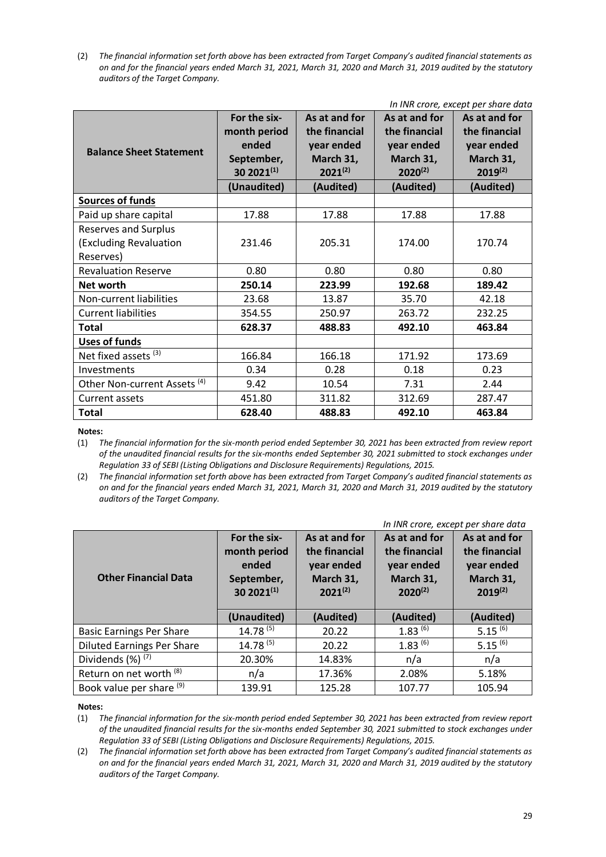(2) *The financial information set forth above has been extracted from Target Company's audited financial statements as on and for the financial years ended March 31, 2021, March 31, 2020 and March 31, 2019 audited by the statutory auditors of the Target Company.*

|                                         | In INR crore, except per share data |               |               |               |  |  |  |  |
|-----------------------------------------|-------------------------------------|---------------|---------------|---------------|--|--|--|--|
|                                         | For the six-                        | As at and for | As at and for | As at and for |  |  |  |  |
|                                         | month period                        | the financial | the financial | the financial |  |  |  |  |
| <b>Balance Sheet Statement</b>          | ended                               | year ended    | year ended    | year ended    |  |  |  |  |
|                                         | September,                          | March 31,     | March 31,     | March 31,     |  |  |  |  |
|                                         | 30 202 $1^{(1)}$                    | $2021^{(2)}$  | $2020^{(2)}$  | $2019^{(2)}$  |  |  |  |  |
|                                         | (Unaudited)                         | (Audited)     | (Audited)     | (Audited)     |  |  |  |  |
| <b>Sources of funds</b>                 |                                     |               |               |               |  |  |  |  |
| Paid up share capital                   | 17.88                               | 17.88         | 17.88         | 17.88         |  |  |  |  |
| <b>Reserves and Surplus</b>             |                                     |               |               |               |  |  |  |  |
| (Excluding Revaluation                  | 231.46                              | 205.31        | 174.00        | 170.74        |  |  |  |  |
| Reserves)                               |                                     |               |               |               |  |  |  |  |
| <b>Revaluation Reserve</b>              | 0.80                                | 0.80          | 0.80          | 0.80          |  |  |  |  |
| Net worth                               | 250.14                              | 223.99        | 192.68        | 189.42        |  |  |  |  |
| Non-current liabilities                 | 23.68                               | 13.87         | 35.70         | 42.18         |  |  |  |  |
| <b>Current liabilities</b>              | 354.55                              | 250.97        | 263.72        | 232.25        |  |  |  |  |
| <b>Total</b>                            | 628.37                              | 488.83        | 492.10        | 463.84        |  |  |  |  |
| Uses of funds                           |                                     |               |               |               |  |  |  |  |
| Net fixed assets <sup>(3)</sup>         | 166.84                              | 166.18        | 171.92        | 173.69        |  |  |  |  |
| Investments                             | 0.34                                | 0.28          | 0.18          | 0.23          |  |  |  |  |
| Other Non-current Assets <sup>(4)</sup> | 9.42                                | 10.54         | 7.31          | 2.44          |  |  |  |  |
| Current assets                          | 451.80                              | 311.82        | 312.69        | 287.47        |  |  |  |  |
| <b>Total</b>                            | 628.40                              | 488.83        | 492.10        | 463.84        |  |  |  |  |

**Notes:** 

(1) *The financial information for the six-month period ended September 30, 2021 has been extracted from review report of the unaudited financial results for the six-months ended September 30, 2021 submitted to stock exchanges under Regulation 33 of SEBI (Listing Obligations and Disclosure Requirements) Regulations, 2015.*

(2) *The financial information set forth above has been extracted from Target Company's audited financial statements as on and for the financial years ended March 31, 2021, March 31, 2020 and March 31, 2019 audited by the statutory auditors of the Target Company.*

| In INR crore, except per share data |                                                                         |                                                                           |                                                                           |                                                                           |  |  |  |
|-------------------------------------|-------------------------------------------------------------------------|---------------------------------------------------------------------------|---------------------------------------------------------------------------|---------------------------------------------------------------------------|--|--|--|
| <b>Other Financial Data</b>         | For the six-<br>month period<br>ended<br>September,<br>30 202 $1^{(1)}$ | As at and for<br>the financial<br>year ended<br>March 31,<br>$2021^{(2)}$ | As at and for<br>the financial<br>year ended<br>March 31,<br>$2020^{(2)}$ | As at and for<br>the financial<br>year ended<br>March 31,<br>$2019^{(2)}$ |  |  |  |
|                                     | (Unaudited)                                                             | (Audited)                                                                 | (Audited)                                                                 | (Audited)                                                                 |  |  |  |
| <b>Basic Earnings Per Share</b>     | $14.78^{(5)}$                                                           | 20.22                                                                     | $1.83^{(6)}$                                                              | $5.15^{(6)}$                                                              |  |  |  |
| <b>Diluted Earnings Per Share</b>   | $14.78^{(5)}$                                                           | 20.22                                                                     | $1.83^{(6)}$                                                              | $5.15^{(6)}$                                                              |  |  |  |
| Dividends (%) <sup>(7)</sup>        | 20.30%                                                                  | 14.83%                                                                    | n/a                                                                       | n/a                                                                       |  |  |  |
| Return on net worth (8)             | n/a                                                                     | 17.36%                                                                    | 2.08%                                                                     | 5.18%                                                                     |  |  |  |
| Book value per share (9)            | 139.91                                                                  | 125.28                                                                    | 107.77                                                                    | 105.94                                                                    |  |  |  |

#### **Notes:**

(1) *The financial information for the six-month period ended September 30, 2021 has been extracted from review report of the unaudited financial results for the six-months ended September 30, 2021 submitted to stock exchanges under Regulation 33 of SEBI (Listing Obligations and Disclosure Requirements) Regulations, 2015.*

(2) *The financial information set forth above has been extracted from Target Company's audited financial statements as on and for the financial years ended March 31, 2021, March 31, 2020 and March 31, 2019 audited by the statutory auditors of the Target Company.*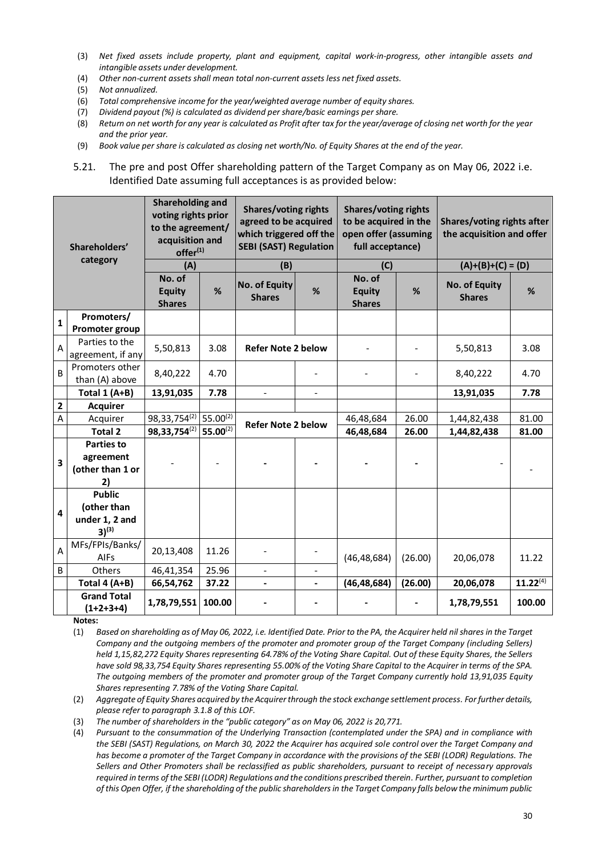- (3) *Net fixed assets include property, plant and equipment, capital work-in-progress, other intangible assets and intangible assets under development.*
- (4) *Other non-current assets shall mean total non-current assets less net fixed assets.*
- (5) *Not annualized.*
- (6) *Total comprehensive income for the year/weighted average number of equity shares.*
- (7) *Dividend payout (%) is calculated as dividend per share/basic earnings per share.*
- (8) *Return on net worth for any year is calculated as Profit after tax for the year/average of closing net worth for the year and the prior year.*
- (9) *Book value per share is calculated as closing net worth/No. of Equity Shares at the end of the year.*
- 5.21. The pre and post Offer shareholding pattern of the Target Company as on May 06, 2022 i.e. Identified Date assuming full acceptances is as provided below:

| Shareholders'           |                                                                       | Shareholding and<br>voting rights prior<br>to the agreement/<br>acquisition and<br>offer <sup>(1)</sup> |                  | <b>Shares/voting rights</b><br>agreed to be acquired<br>which triggered off the<br><b>SEBI (SAST) Regulation</b> |                              | <b>Shares/voting rights</b><br>to be acquired in the<br>open offer (assuming<br>full acceptance) |         | Shares/voting rights after<br>the acquisition and offer |               |
|-------------------------|-----------------------------------------------------------------------|---------------------------------------------------------------------------------------------------------|------------------|------------------------------------------------------------------------------------------------------------------|------------------------------|--------------------------------------------------------------------------------------------------|---------|---------------------------------------------------------|---------------|
|                         | category                                                              | (A)                                                                                                     |                  | (B)                                                                                                              |                              | (C)                                                                                              |         | $(A)+(B)+(C) = (D)$                                     |               |
|                         |                                                                       | No. of<br><b>Equity</b><br><b>Shares</b>                                                                | %                | <b>No. of Equity</b><br><b>Shares</b>                                                                            | %                            | No. of<br><b>Equity</b><br><b>Shares</b>                                                         | %       | <b>No. of Equity</b><br><b>Shares</b>                   | %             |
| $\mathbf{1}$            | Promoters/<br>Promoter group                                          |                                                                                                         |                  |                                                                                                                  |                              |                                                                                                  |         |                                                         |               |
| $\overline{A}$          | Parties to the<br>agreement, if any                                   | 5,50,813                                                                                                | 3.08             | <b>Refer Note 2 below</b>                                                                                        |                              |                                                                                                  |         | 5,50,813                                                | 3.08          |
| $\overline{B}$          | Promoters other<br>than (A) above                                     | 8,40,222                                                                                                | 4.70             |                                                                                                                  |                              |                                                                                                  |         | 8,40,222                                                | 4.70          |
|                         | Total $1(A+B)$                                                        | 13,91,035                                                                                               | 7.78             | $\blacksquare$                                                                                                   | $\blacksquare$               |                                                                                                  |         | 13,91,035                                               | 7.78          |
| $\overline{\mathbf{2}}$ | <b>Acquirer</b>                                                       |                                                                                                         |                  |                                                                                                                  |                              |                                                                                                  |         |                                                         |               |
| $\mathsf A$             | Acquirer                                                              | 98, 33, 754(2)                                                                                          | 55.00 $\sqrt{2}$ | <b>Refer Note 2 below</b>                                                                                        |                              | 46,48,684                                                                                        | 26.00   | 1,44,82,438                                             | 81.00         |
|                         | Total 2                                                               | 98, 33, 754(2)                                                                                          | $55.00^{(2)}$    |                                                                                                                  |                              | 46,48,684                                                                                        | 26.00   | 1,44,82,438                                             | 81.00         |
| $\overline{\mathbf{3}}$ | <b>Parties to</b><br>agreement<br>(other than 1 or<br>2)              |                                                                                                         |                  |                                                                                                                  |                              |                                                                                                  |         |                                                         |               |
| $\overline{\mathbf{4}}$ | <b>Public</b><br>(other than<br>under 1, 2 and<br>$3)$ <sup>(3)</sup> |                                                                                                         |                  |                                                                                                                  |                              |                                                                                                  |         |                                                         |               |
| $\overline{A}$          | MFs/FPIs/Banks/<br><b>AIFs</b>                                        | 20,13,408                                                                                               | 11.26            |                                                                                                                  |                              | (46, 48, 684)                                                                                    | (26.00) | 20,06,078                                               | 11.22         |
| $\sf B$                 | Others                                                                | 46,41,354                                                                                               | 25.96            |                                                                                                                  |                              |                                                                                                  |         |                                                         |               |
|                         | Total 4 (A+B)                                                         | 66,54,762                                                                                               | 37.22            | $\blacksquare$                                                                                                   | $\qquad \qquad \blacksquare$ | (46, 48, 684)                                                                                    | (26.00) | 20,06,078                                               | $11.22^{(4)}$ |
|                         | <b>Grand Total</b><br>$(1+2+3+4)$                                     | 1,78,79,551                                                                                             | 100.00           |                                                                                                                  |                              |                                                                                                  |         | 1,78,79,551                                             | 100.00        |

**Notes:**

- (1) *Based on shareholding as of May 06, 2022, i.e. Identified Date. Prior to the PA, the Acquirer held nil shares in the Target Company and the outgoing members of the promoter and promoter group of the Target Company (including Sellers) held 1,15,82,272 Equity Shares representing 64.78% of the Voting Share Capital. Out of these Equity Shares, the Sellers have sold 98,33,754 Equity Shares representing 55.00% of the Voting Share Capital to the Acquirer in terms of the SPA. The outgoing members of the promoter and promoter group of the Target Company currently hold 13,91,035 Equity Shares representing 7.78% of the Voting Share Capital.*
- (2) *Aggregate of Equity Shares acquired by the Acquirer through the stock exchange settlement process. For further details, please refer to paragraph 3.1.8 of this LOF.*
- (3) *The number of shareholders in the "public category" as on May 06, 2022 is 20,771.*
- (4) *Pursuant to the consummation of the Underlying Transaction (contemplated under the SPA) and in compliance with the SEBI (SAST) Regulations, on March 30, 2022 the Acquirer has acquired sole control over the Target Company and has become a promoter of the Target Company in accordance with the provisions of the SEBI (LODR) Regulations. The Sellers and Other Promoters shall be reclassified as public shareholders, pursuant to receipt of necessary approvals required in terms of the SEBI (LODR) Regulations and the conditions prescribed therein. Further, pursuant to completion of this Open Offer, if the shareholding of the public shareholders in the Target Company falls below the minimum public*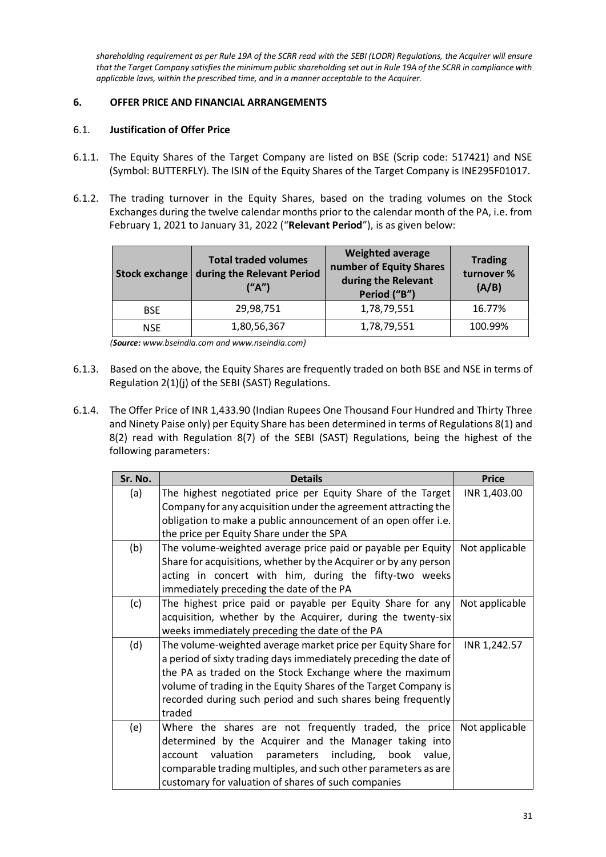*shareholding requirement as per Rule 19A of the SCRR read with the SEBI (LODR) Regulations, the Acquirer will ensure that the Target Company satisfies the minimum public shareholding set out in Rule 19A of the SCRR in compliance with applicable laws, within the prescribed time, and in a manner acceptable to the Acquirer.*

## <span id="page-30-0"></span>**6. OFFER PRICE AND FINANCIAL ARRANGEMENTS**

## 6.1. **Justification of Offer Price**

- 6.1.1. The Equity Shares of the Target Company are listed on BSE (Scrip code: 517421) and NSE (Symbol: BUTTERFLY). The ISIN of the Equity Shares of the Target Company is INE295F01017.
- 6.1.2. The trading turnover in the Equity Shares, based on the trading volumes on the Stock Exchanges during the twelve calendar months prior to the calendar month of the PA, i.e. from February 1, 2021 to January 31, 2022 ("**Relevant Period**"), is as given below:

| Stock exchange | <b>Total traded volumes</b><br>during the Relevant Period<br>("A") | <b>Weighted average</b><br>number of Equity Shares<br>during the Relevant<br>Period ("B") | <b>Trading</b><br>turnover %<br>(A/B) |
|----------------|--------------------------------------------------------------------|-------------------------------------------------------------------------------------------|---------------------------------------|
| <b>BSE</b>     | 29,98,751                                                          | 1,78,79,551                                                                               | 16.77%                                |
| <b>NSE</b>     | 1,80,56,367                                                        | 1,78,79,551                                                                               | 100.99%                               |

*(Source: [www.bseindia.com](http://www.bseindia.com/) an[d www.nseindia.com\)](http://www.nseindia.com/)*

- 6.1.3. Based on the above, the Equity Shares are frequently traded on both BSE and NSE in terms of Regulation 2(1)(j) of the SEBI (SAST) Regulations.
- 6.1.4. The Offer Price of INR 1,433.90 (Indian Rupees One Thousand Four Hundred and Thirty Three and Ninety Paise only) per Equity Share has been determined in terms of Regulations 8(1) and 8(2) read with Regulation 8(7) of the SEBI (SAST) Regulations, being the highest of the following parameters:

| Sr. No. | <b>Details</b>                                                   | <b>Price</b>   |
|---------|------------------------------------------------------------------|----------------|
| (a)     | The highest negotiated price per Equity Share of the Target      | INR 1,403.00   |
|         | Company for any acquisition under the agreement attracting the   |                |
|         | obligation to make a public announcement of an open offer i.e.   |                |
|         | the price per Equity Share under the SPA                         |                |
| (b)     | The volume-weighted average price paid or payable per Equity     | Not applicable |
|         | Share for acquisitions, whether by the Acquirer or by any person |                |
|         | acting in concert with him, during the fifty-two weeks           |                |
|         | immediately preceding the date of the PA                         |                |
| (c)     | The highest price paid or payable per Equity Share for any       | Not applicable |
|         | acquisition, whether by the Acquirer, during the twenty-six      |                |
|         | weeks immediately preceding the date of the PA                   |                |
| (d)     | The volume-weighted average market price per Equity Share for    | INR 1,242.57   |
|         | a period of sixty trading days immediately preceding the date of |                |
|         | the PA as traded on the Stock Exchange where the maximum         |                |
|         | volume of trading in the Equity Shares of the Target Company is  |                |
|         | recorded during such period and such shares being frequently     |                |
|         | traded                                                           |                |
| (e)     | Where the shares are not frequently traded, the price            | Not applicable |
|         | determined by the Acquirer and the Manager taking into           |                |
|         | valuation parameters including,<br>account<br>book value,        |                |
|         | comparable trading multiples, and such other parameters as are   |                |
|         | customary for valuation of shares of such companies              |                |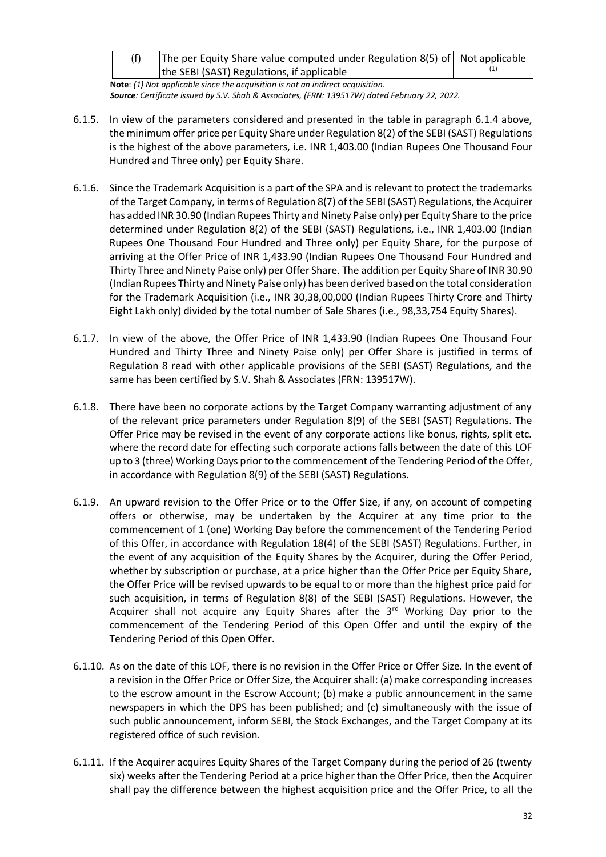| (f) | The per Equity Share value computed under Regulation 8(5) of Not applicable |  |
|-----|-----------------------------------------------------------------------------|--|
|     | the SEBI (SAST) Regulations, if applicable                                  |  |

**Note**: *(1) Not applicable since the acquisition is not an indirect acquisition. Source: Certificate issued by S.V. Shah & Associates, (FRN: 139517W) dated February 22, 2022.*

- 6.1.5. In view of the parameters considered and presented in the table in paragraph 6.1.4 above, the minimum offer price per Equity Share under Regulation 8(2) of the SEBI (SAST) Regulations is the highest of the above parameters, i.e. INR 1,403.00 (Indian Rupees One Thousand Four Hundred and Three only) per Equity Share.
- 6.1.6. Since the Trademark Acquisition is a part of the SPA and is relevant to protect the trademarks of the Target Company, in terms of Regulation 8(7) of the SEBI (SAST) Regulations, the Acquirer has added INR 30.90 (Indian Rupees Thirty and Ninety Paise only) per Equity Share to the price determined under Regulation 8(2) of the SEBI (SAST) Regulations, i.e., INR 1,403.00 (Indian Rupees One Thousand Four Hundred and Three only) per Equity Share, for the purpose of arriving at the Offer Price of INR 1,433.90 (Indian Rupees One Thousand Four Hundred and Thirty Three and Ninety Paise only) per Offer Share. The addition per Equity Share of INR 30.90 (Indian Rupees Thirty and Ninety Paise only) has been derived based on the total consideration for the Trademark Acquisition (i.e., INR 30,38,00,000 (Indian Rupees Thirty Crore and Thirty Eight Lakh only) divided by the total number of Sale Shares (i.e., 98,33,754 Equity Shares).
- 6.1.7. In view of the above, the Offer Price of INR 1,433.90 (Indian Rupees One Thousand Four Hundred and Thirty Three and Ninety Paise only) per Offer Share is justified in terms of Regulation 8 read with other applicable provisions of the SEBI (SAST) Regulations, and the same has been certified by S.V. Shah & Associates (FRN: 139517W).
- 6.1.8. There have been no corporate actions by the Target Company warranting adjustment of any of the relevant price parameters under Regulation 8(9) of the SEBI (SAST) Regulations. The Offer Price may be revised in the event of any corporate actions like bonus, rights, split etc. where the record date for effecting such corporate actions falls between the date of this LOF up to 3 (three) Working Days prior to the commencement of the Tendering Period of the Offer, in accordance with Regulation 8(9) of the SEBI (SAST) Regulations.
- 6.1.9. An upward revision to the Offer Price or to the Offer Size, if any, on account of competing offers or otherwise, may be undertaken by the Acquirer at any time prior to the commencement of 1 (one) Working Day before the commencement of the Tendering Period of this Offer, in accordance with Regulation 18(4) of the SEBI (SAST) Regulations. Further, in the event of any acquisition of the Equity Shares by the Acquirer, during the Offer Period, whether by subscription or purchase, at a price higher than the Offer Price per Equity Share, the Offer Price will be revised upwards to be equal to or more than the highest price paid for such acquisition, in terms of Regulation 8(8) of the SEBI (SAST) Regulations. However, the Acquirer shall not acquire any Equity Shares after the  $3<sup>rd</sup>$  Working Day prior to the commencement of the Tendering Period of this Open Offer and until the expiry of the Tendering Period of this Open Offer.
- 6.1.10. As on the date of this LOF, there is no revision in the Offer Price or Offer Size. In the event of a revision in the Offer Price or Offer Size, the Acquirer shall: (a) make corresponding increases to the escrow amount in the Escrow Account; (b) make a public announcement in the same newspapers in which the DPS has been published; and (c) simultaneously with the issue of such public announcement, inform SEBI, the Stock Exchanges, and the Target Company at its registered office of such revision.
- 6.1.11. If the Acquirer acquires Equity Shares of the Target Company during the period of 26 (twenty six) weeks after the Tendering Period at a price higher than the Offer Price, then the Acquirer shall pay the difference between the highest acquisition price and the Offer Price, to all the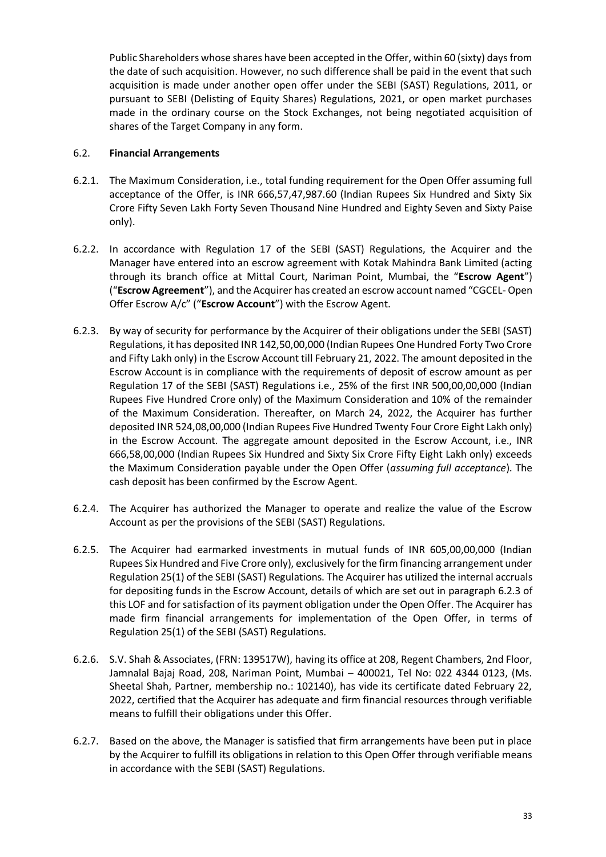Public Shareholders whose shares have been accepted in the Offer, within 60 (sixty) days from the date of such acquisition. However, no such difference shall be paid in the event that such acquisition is made under another open offer under the SEBI (SAST) Regulations, 2011, or pursuant to SEBI (Delisting of Equity Shares) Regulations, 2021, or open market purchases made in the ordinary course on the Stock Exchanges, not being negotiated acquisition of shares of the Target Company in any form.

## 6.2. **Financial Arrangements**

- 6.2.1. The Maximum Consideration, i.e., total funding requirement for the Open Offer assuming full acceptance of the Offer, is INR 666,57,47,987.60 (Indian Rupees Six Hundred and Sixty Six Crore Fifty Seven Lakh Forty Seven Thousand Nine Hundred and Eighty Seven and Sixty Paise only).
- 6.2.2. In accordance with Regulation 17 of the SEBI (SAST) Regulations, the Acquirer and the Manager have entered into an escrow agreement with Kotak Mahindra Bank Limited (acting through its branch office at Mittal Court, Nariman Point, Mumbai, the "**Escrow Agent**") ("**Escrow Agreement**"), and the Acquirer has created an escrow account named "CGCEL- Open Offer Escrow A/c" ("**Escrow Account**") with the Escrow Agent.
- 6.2.3. By way of security for performance by the Acquirer of their obligations under the SEBI (SAST) Regulations, it has deposited INR 142,50,00,000 (Indian Rupees One Hundred Forty Two Crore and Fifty Lakh only) in the Escrow Account till February 21, 2022. The amount deposited in the Escrow Account is in compliance with the requirements of deposit of escrow amount as per Regulation 17 of the SEBI (SAST) Regulations i.e., 25% of the first INR 500,00,00,000 (Indian Rupees Five Hundred Crore only) of the Maximum Consideration and 10% of the remainder of the Maximum Consideration. Thereafter, on March 24, 2022, the Acquirer has further deposited INR 524,08,00,000 (Indian Rupees Five Hundred Twenty Four Crore Eight Lakh only) in the Escrow Account. The aggregate amount deposited in the Escrow Account, i.e., INR 666,58,00,000 (Indian Rupees Six Hundred and Sixty Six Crore Fifty Eight Lakh only) exceeds the Maximum Consideration payable under the Open Offer (*assuming full acceptance*). The cash deposit has been confirmed by the Escrow Agent.
- 6.2.4. The Acquirer has authorized the Manager to operate and realize the value of the Escrow Account as per the provisions of the SEBI (SAST) Regulations.
- 6.2.5. The Acquirer had earmarked investments in mutual funds of INR 605,00,00,000 (Indian Rupees Six Hundred and Five Crore only), exclusively for the firm financing arrangement under Regulation 25(1) of the SEBI (SAST) Regulations. The Acquirer has utilized the internal accruals for depositing funds in the Escrow Account, details of which are set out in paragraph 6.2.3 of this LOF and for satisfaction of its payment obligation under the Open Offer. The Acquirer has made firm financial arrangements for implementation of the Open Offer, in terms of Regulation 25(1) of the SEBI (SAST) Regulations.
- 6.2.6. S.V. Shah & Associates, (FRN: 139517W), having its office at 208, Regent Chambers, 2nd Floor, Jamnalal Bajaj Road, 208, Nariman Point, Mumbai – 400021, Tel No: 022 4344 0123, (Ms. Sheetal Shah, Partner, membership no.: 102140), has vide its certificate dated February 22, 2022, certified that the Acquirer has adequate and firm financial resources through verifiable means to fulfill their obligations under this Offer.
- 6.2.7. Based on the above, the Manager is satisfied that firm arrangements have been put in place by the Acquirer to fulfill its obligations in relation to this Open Offer through verifiable means in accordance with the SEBI (SAST) Regulations.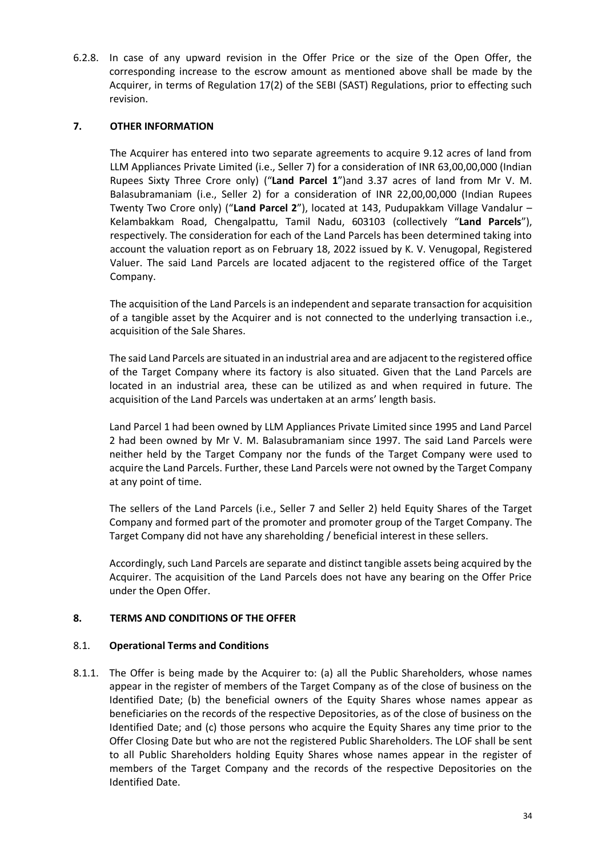6.2.8. In case of any upward revision in the Offer Price or the size of the Open Offer, the corresponding increase to the escrow amount as mentioned above shall be made by the Acquirer, in terms of Regulation 17(2) of the SEBI (SAST) Regulations, prior to effecting such revision.

## <span id="page-33-0"></span>**7. OTHER INFORMATION**

The Acquirer has entered into two separate agreements to acquire 9.12 acres of land from LLM Appliances Private Limited (i.e., Seller 7) for a consideration of INR 63,00,00,000 (Indian Rupees Sixty Three Crore only) ("**Land Parcel 1**")and 3.37 acres of land from Mr V. M. Balasubramaniam (i.e., Seller 2) for a consideration of INR 22,00,00,000 (Indian Rupees Twenty Two Crore only) ("**Land Parcel 2**"), located at 143, Pudupakkam Village Vandalur – Kelambakkam Road, Chengalpattu, Tamil Nadu, 603103 (collectively "**Land Parcels**"), respectively. The consideration for each of the Land Parcels has been determined taking into account the valuation report as on February 18, 2022 issued by K. V. Venugopal, Registered Valuer. The said Land Parcels are located adjacent to the registered office of the Target Company.

The acquisition of the Land Parcels is an independent and separate transaction for acquisition of a tangible asset by the Acquirer and is not connected to the underlying transaction i.e., acquisition of the Sale Shares.

The said Land Parcels are situated in an industrial area and are adjacent to the registered office of the Target Company where its factory is also situated. Given that the Land Parcels are located in an industrial area, these can be utilized as and when required in future. The acquisition of the Land Parcels was undertaken at an arms' length basis.

Land Parcel 1 had been owned by LLM Appliances Private Limited since 1995 and Land Parcel 2 had been owned by Mr V. M. Balasubramaniam since 1997. The said Land Parcels were neither held by the Target Company nor the funds of the Target Company were used to acquire the Land Parcels. Further, these Land Parcels were not owned by the Target Company at any point of time.

The sellers of the Land Parcels (i.e., Seller 7 and Seller 2) held Equity Shares of the Target Company and formed part of the promoter and promoter group of the Target Company. The Target Company did not have any shareholding / beneficial interest in these sellers.

Accordingly, such Land Parcels are separate and distinct tangible assets being acquired by the Acquirer. The acquisition of the Land Parcels does not have any bearing on the Offer Price under the Open Offer.

### <span id="page-33-1"></span>**8. TERMS AND CONDITIONS OF THE OFFER**

### 8.1. **Operational Terms and Conditions**

8.1.1. The Offer is being made by the Acquirer to: (a) all the Public Shareholders, whose names appear in the register of members of the Target Company as of the close of business on the Identified Date; (b) the beneficial owners of the Equity Shares whose names appear as beneficiaries on the records of the respective Depositories, as of the close of business on the Identified Date; and (c) those persons who acquire the Equity Shares any time prior to the Offer Closing Date but who are not the registered Public Shareholders. The LOF shall be sent to all Public Shareholders holding Equity Shares whose names appear in the register of members of the Target Company and the records of the respective Depositories on the Identified Date.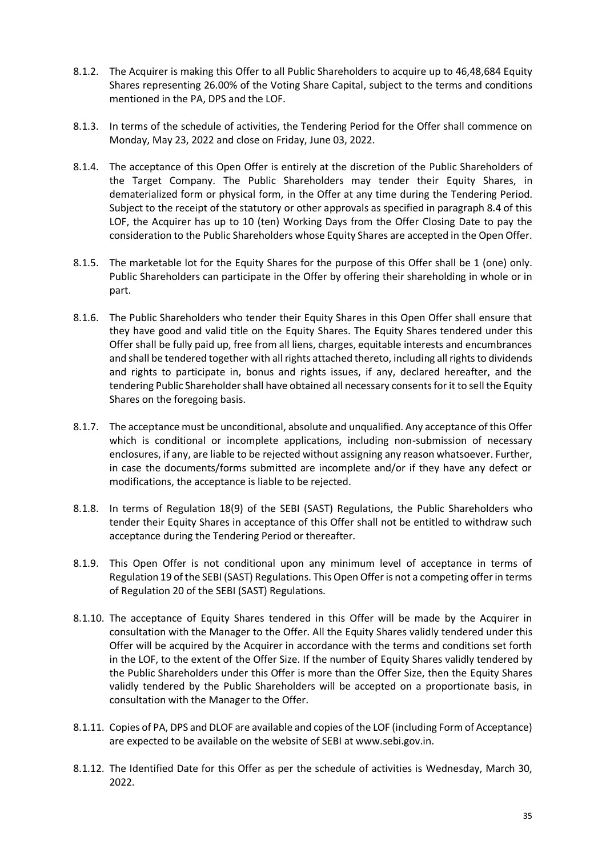- 8.1.2. The Acquirer is making this Offer to all Public Shareholders to acquire up to 46,48,684 Equity Shares representing 26.00% of the Voting Share Capital, subject to the terms and conditions mentioned in the PA, DPS and the LOF.
- 8.1.3. In terms of the schedule of activities, the Tendering Period for the Offer shall commence on Monday, May 23, 2022 and close on Friday, June 03, 2022.
- 8.1.4. The acceptance of this Open Offer is entirely at the discretion of the Public Shareholders of the Target Company. The Public Shareholders may tender their Equity Shares, in dematerialized form or physical form, in the Offer at any time during the Tendering Period. Subject to the receipt of the statutory or other approvals as specified in paragraph 8.4 of this LOF, the Acquirer has up to 10 (ten) Working Days from the Offer Closing Date to pay the consideration to the Public Shareholders whose Equity Shares are accepted in the Open Offer.
- 8.1.5. The marketable lot for the Equity Shares for the purpose of this Offer shall be 1 (one) only. Public Shareholders can participate in the Offer by offering their shareholding in whole or in part.
- 8.1.6. The Public Shareholders who tender their Equity Shares in this Open Offer shall ensure that they have good and valid title on the Equity Shares. The Equity Shares tendered under this Offer shall be fully paid up, free from all liens, charges, equitable interests and encumbrances and shall be tendered together with all rights attached thereto, including all rights to dividends and rights to participate in, bonus and rights issues, if any, declared hereafter, and the tendering Public Shareholder shall have obtained all necessary consents for it to sell the Equity Shares on the foregoing basis.
- 8.1.7. The acceptance must be unconditional, absolute and unqualified. Any acceptance of this Offer which is conditional or incomplete applications, including non-submission of necessary enclosures, if any, are liable to be rejected without assigning any reason whatsoever. Further, in case the documents/forms submitted are incomplete and/or if they have any defect or modifications, the acceptance is liable to be rejected.
- 8.1.8. In terms of Regulation 18(9) of the SEBI (SAST) Regulations, the Public Shareholders who tender their Equity Shares in acceptance of this Offer shall not be entitled to withdraw such acceptance during the Tendering Period or thereafter.
- 8.1.9. This Open Offer is not conditional upon any minimum level of acceptance in terms of Regulation 19 of the SEBI (SAST) Regulations. This Open Offer is not a competing offer in terms of Regulation 20 of the SEBI (SAST) Regulations.
- 8.1.10. The acceptance of Equity Shares tendered in this Offer will be made by the Acquirer in consultation with the Manager to the Offer. All the Equity Shares validly tendered under this Offer will be acquired by the Acquirer in accordance with the terms and conditions set forth in the LOF, to the extent of the Offer Size. If the number of Equity Shares validly tendered by the Public Shareholders under this Offer is more than the Offer Size, then the Equity Shares validly tendered by the Public Shareholders will be accepted on a proportionate basis, in consultation with the Manager to the Offer.
- 8.1.11. Copies of PA, DPS and DLOF are available and copies of the LOF (including Form of Acceptance) are expected to be available on the website of SEBI at www.sebi.gov.in.
- 8.1.12. The Identified Date for this Offer as per the schedule of activities is Wednesday, March 30, 2022.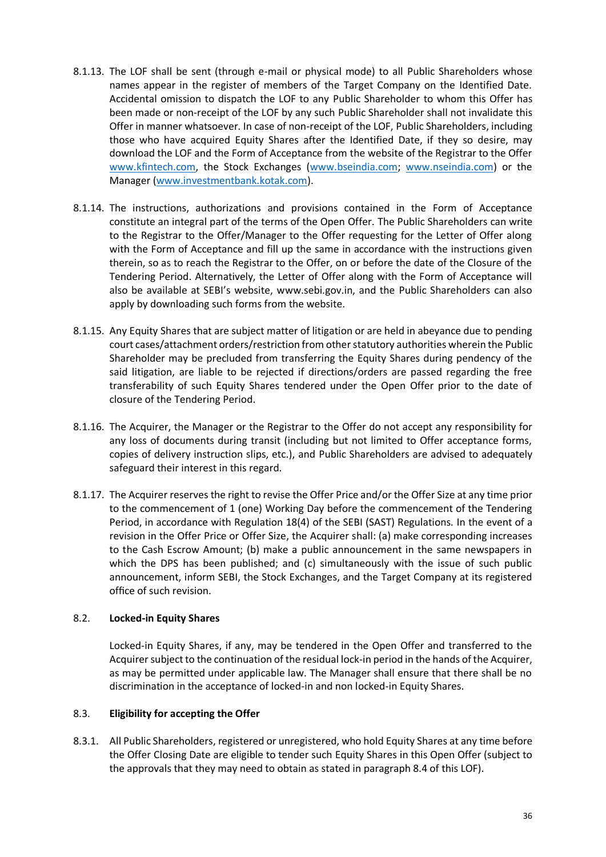- 8.1.13. The LOF shall be sent (through e-mail or physical mode) to all Public Shareholders whose names appear in the register of members of the Target Company on the Identified Date. Accidental omission to dispatch the LOF to any Public Shareholder to whom this Offer has been made or non-receipt of the LOF by any such Public Shareholder shall not invalidate this Offer in manner whatsoever. In case of non-receipt of the LOF, Public Shareholders, including those who have acquired Equity Shares after the Identified Date, if they so desire, may download the LOF and the Form of Acceptance from the website of the Registrar to the Offer [www.kfintech.com,](http://www.kfintech.com/) the Stock Exchanges [\(www.bseindia.com;](http://www.bseindia.com/) [www.nseindia.com\)](http://www.nseindia.com/) or the Manager [\(www.investmentbank.kotak.com\)](http://www.investmentbank.kotak.com/).
- 8.1.14. The instructions, authorizations and provisions contained in the Form of Acceptance constitute an integral part of the terms of the Open Offer. The Public Shareholders can write to the Registrar to the Offer/Manager to the Offer requesting for the Letter of Offer along with the Form of Acceptance and fill up the same in accordance with the instructions given therein, so as to reach the Registrar to the Offer, on or before the date of the Closure of the Tendering Period. Alternatively, the Letter of Offer along with the Form of Acceptance will also be available at SEBI's website, www.sebi.gov.in, and the Public Shareholders can also apply by downloading such forms from the website.
- 8.1.15. Any Equity Shares that are subject matter of litigation or are held in abeyance due to pending court cases/attachment orders/restriction from other statutory authorities wherein the Public Shareholder may be precluded from transferring the Equity Shares during pendency of the said litigation, are liable to be rejected if directions/orders are passed regarding the free transferability of such Equity Shares tendered under the Open Offer prior to the date of closure of the Tendering Period.
- 8.1.16. The Acquirer, the Manager or the Registrar to the Offer do not accept any responsibility for any loss of documents during transit (including but not limited to Offer acceptance forms, copies of delivery instruction slips, etc.), and Public Shareholders are advised to adequately safeguard their interest in this regard.
- 8.1.17. The Acquirer reserves the right to revise the Offer Price and/or the Offer Size at any time prior to the commencement of 1 (one) Working Day before the commencement of the Tendering Period, in accordance with Regulation 18(4) of the SEBI (SAST) Regulations. In the event of a revision in the Offer Price or Offer Size, the Acquirer shall: (a) make corresponding increases to the Cash Escrow Amount; (b) make a public announcement in the same newspapers in which the DPS has been published; and (c) simultaneously with the issue of such public announcement, inform SEBI, the Stock Exchanges, and the Target Company at its registered office of such revision.

### 8.2. **Locked-in Equity Shares**

Locked-in Equity Shares, if any, may be tendered in the Open Offer and transferred to the Acquirer subject to the continuation of the residual lock-in period in the hands of the Acquirer, as may be permitted under applicable law. The Manager shall ensure that there shall be no discrimination in the acceptance of locked-in and non locked-in Equity Shares.

### 8.3. **Eligibility for accepting the Offer**

8.3.1. All Public Shareholders, registered or unregistered, who hold Equity Shares at any time before the Offer Closing Date are eligible to tender such Equity Shares in this Open Offer (subject to the approvals that they may need to obtain as stated in paragraph 8.4 of this LOF).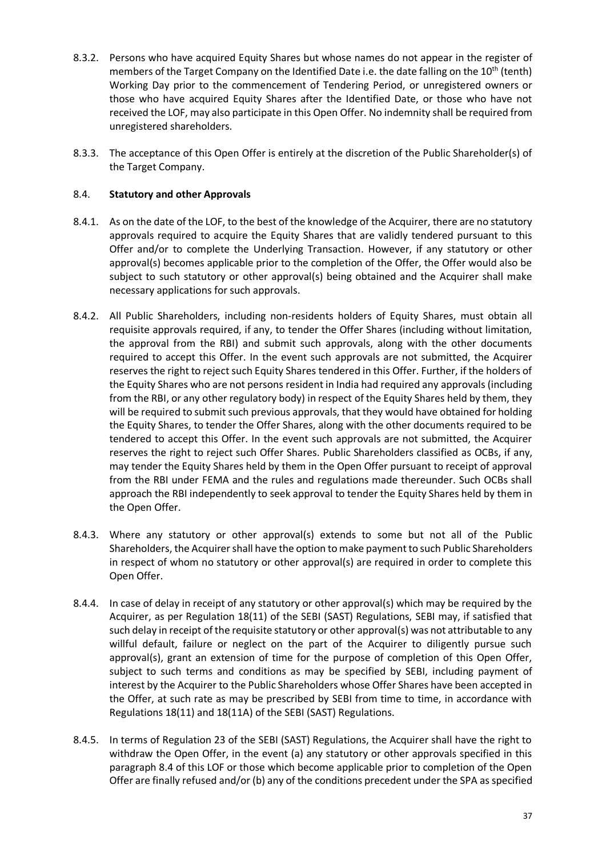- 8.3.2. Persons who have acquired Equity Shares but whose names do not appear in the register of members of the Target Company on the Identified Date i.e. the date falling on the 10<sup>th</sup> (tenth) Working Day prior to the commencement of Tendering Period, or unregistered owners or those who have acquired Equity Shares after the Identified Date, or those who have not received the LOF, may also participate in this Open Offer. No indemnity shall be required from unregistered shareholders.
- 8.3.3. The acceptance of this Open Offer is entirely at the discretion of the Public Shareholder(s) of the Target Company.

## 8.4. **Statutory and other Approvals**

- 8.4.1. As on the date of the LOF, to the best of the knowledge of the Acquirer, there are no statutory approvals required to acquire the Equity Shares that are validly tendered pursuant to this Offer and/or to complete the Underlying Transaction. However, if any statutory or other approval(s) becomes applicable prior to the completion of the Offer, the Offer would also be subject to such statutory or other approval(s) being obtained and the Acquirer shall make necessary applications for such approvals.
- 8.4.2. All Public Shareholders, including non-residents holders of Equity Shares, must obtain all requisite approvals required, if any, to tender the Offer Shares (including without limitation, the approval from the RBI) and submit such approvals, along with the other documents required to accept this Offer. In the event such approvals are not submitted, the Acquirer reserves the right to reject such Equity Shares tendered in this Offer. Further, if the holders of the Equity Shares who are not persons resident in India had required any approvals (including from the RBI, or any other regulatory body) in respect of the Equity Shares held by them, they will be required to submit such previous approvals, that they would have obtained for holding the Equity Shares, to tender the Offer Shares, along with the other documents required to be tendered to accept this Offer. In the event such approvals are not submitted, the Acquirer reserves the right to reject such Offer Shares. Public Shareholders classified as OCBs, if any, may tender the Equity Shares held by them in the Open Offer pursuant to receipt of approval from the RBI under FEMA and the rules and regulations made thereunder. Such OCBs shall approach the RBI independently to seek approval to tender the Equity Shares held by them in the Open Offer.
- 8.4.3. Where any statutory or other approval(s) extends to some but not all of the Public Shareholders, the Acquirer shall have the option to make payment to such Public Shareholders in respect of whom no statutory or other approval(s) are required in order to complete this Open Offer.
- 8.4.4. In case of delay in receipt of any statutory or other approval(s) which may be required by the Acquirer, as per Regulation 18(11) of the SEBI (SAST) Regulations, SEBI may, if satisfied that such delay in receipt of the requisite statutory or other approval(s) was not attributable to any willful default, failure or neglect on the part of the Acquirer to diligently pursue such approval(s), grant an extension of time for the purpose of completion of this Open Offer, subject to such terms and conditions as may be specified by SEBI, including payment of interest by the Acquirer to the Public Shareholders whose Offer Shares have been accepted in the Offer, at such rate as may be prescribed by SEBI from time to time, in accordance with Regulations 18(11) and 18(11A) of the SEBI (SAST) Regulations.
- 8.4.5. In terms of Regulation 23 of the SEBI (SAST) Regulations, the Acquirer shall have the right to withdraw the Open Offer, in the event (a) any statutory or other approvals specified in this paragraph 8.4 of this LOF or those which become applicable prior to completion of the Open Offer are finally refused and/or (b) any of the conditions precedent under the SPA as specified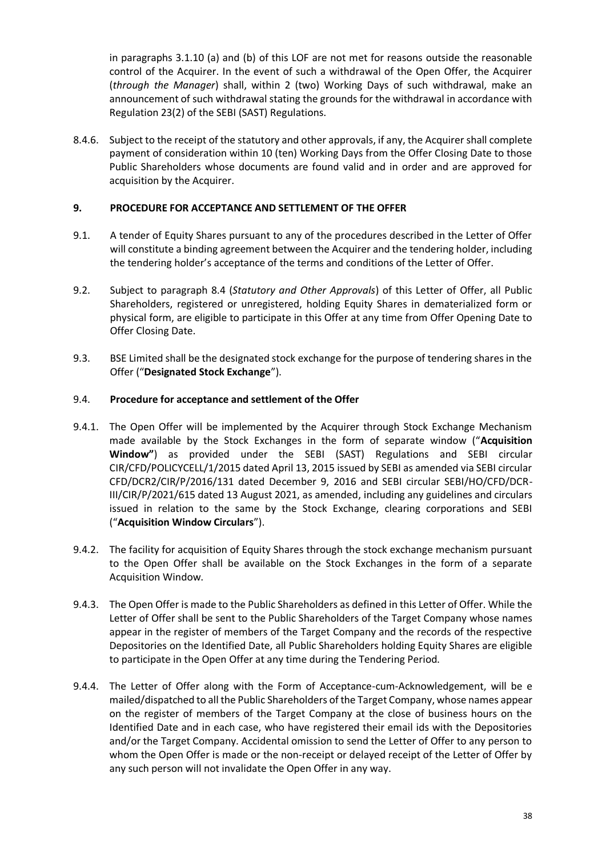in paragraphs 3.1.10 (a) and (b) of this LOF are not met for reasons outside the reasonable control of the Acquirer. In the event of such a withdrawal of the Open Offer, the Acquirer (*through the Manager*) shall, within 2 (two) Working Days of such withdrawal, make an announcement of such withdrawal stating the grounds for the withdrawal in accordance with Regulation 23(2) of the SEBI (SAST) Regulations.

8.4.6. Subject to the receipt of the statutory and other approvals, if any, the Acquirer shall complete payment of consideration within 10 (ten) Working Days from the Offer Closing Date to those Public Shareholders whose documents are found valid and in order and are approved for acquisition by the Acquirer.

## <span id="page-37-0"></span>**9. PROCEDURE FOR ACCEPTANCE AND SETTLEMENT OF THE OFFER**

- 9.1. A tender of Equity Shares pursuant to any of the procedures described in the Letter of Offer will constitute a binding agreement between the Acquirer and the tendering holder, including the tendering holder's acceptance of the terms and conditions of the Letter of Offer.
- 9.2. Subject to paragraph 8.4 (*Statutory and Other Approvals*) of this Letter of Offer, all Public Shareholders, registered or unregistered, holding Equity Shares in dematerialized form or physical form, are eligible to participate in this Offer at any time from Offer Opening Date to Offer Closing Date.
- 9.3. BSE Limited shall be the designated stock exchange for the purpose of tendering shares in the Offer ("**Designated Stock Exchange**").

### 9.4. **Procedure for acceptance and settlement of the Offer**

- 9.4.1. The Open Offer will be implemented by the Acquirer through Stock Exchange Mechanism made available by the Stock Exchanges in the form of separate window ("**Acquisition Window"**) as provided under the SEBI (SAST) Regulations and SEBI circular CIR/CFD/POLICYCELL/1/2015 dated April 13, 2015 issued by SEBI as amended via SEBI circular CFD/DCR2/CIR/P/2016/131 dated December 9, 2016 and SEBI circular SEBI/HO/CFD/DCR-III/CIR/P/2021/615 dated 13 August 2021, as amended, including any guidelines and circulars issued in relation to the same by the Stock Exchange, clearing corporations and SEBI ("**Acquisition Window Circulars**").
- 9.4.2. The facility for acquisition of Equity Shares through the stock exchange mechanism pursuant to the Open Offer shall be available on the Stock Exchanges in the form of a separate Acquisition Window.
- 9.4.3. The Open Offer is made to the Public Shareholders as defined in this Letter of Offer. While the Letter of Offer shall be sent to the Public Shareholders of the Target Company whose names appear in the register of members of the Target Company and the records of the respective Depositories on the Identified Date, all Public Shareholders holding Equity Shares are eligible to participate in the Open Offer at any time during the Tendering Period.
- 9.4.4. The Letter of Offer along with the Form of Acceptance-cum-Acknowledgement, will be e mailed/dispatched to all the Public Shareholders of the Target Company, whose names appear on the register of members of the Target Company at the close of business hours on the Identified Date and in each case, who have registered their email ids with the Depositories and/or the Target Company. Accidental omission to send the Letter of Offer to any person to whom the Open Offer is made or the non-receipt or delayed receipt of the Letter of Offer by any such person will not invalidate the Open Offer in any way.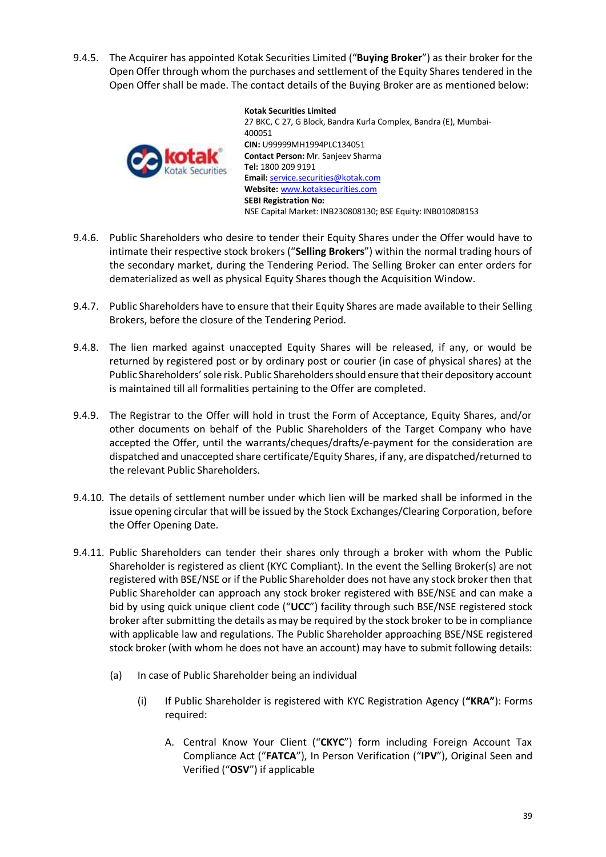9.4.5. The Acquirer has appointed Kotak Securities Limited ("**Buying Broker**") as their broker for the Open Offer through whom the purchases and settlement of the Equity Shares tendered in the Open Offer shall be made. The contact details of the Buying Broker are as mentioned below:



**Kotak Securities Limited** 27 BKC, C 27, G Block, Bandra Kurla Complex, Bandra (E), Mumbai-400051 **CIN:** U99999MH1994PLC134051 **Contact Person:** Mr. Sanjeev Sharma **Tel:** 1800 209 9191 **Email:** [service.securities@kotak.com](mailto:service.securities@kotak.com) **Website:** [www.kotaksecurities.com](http://www.kotaksecurities.com/) **SEBI Registration No:**  NSE Capital Market: INB230808130; BSE Equity: INB010808153

- 9.4.6. Public Shareholders who desire to tender their Equity Shares under the Offer would have to intimate their respective stock brokers ("**Selling Brokers**") within the normal trading hours of the secondary market, during the Tendering Period. The Selling Broker can enter orders for dematerialized as well as physical Equity Shares though the Acquisition Window.
- 9.4.7. Public Shareholders have to ensure that their Equity Shares are made available to their Selling Brokers, before the closure of the Tendering Period.
- 9.4.8. The lien marked against unaccepted Equity Shares will be released, if any, or would be returned by registered post or by ordinary post or courier (in case of physical shares) at the Public Shareholders' sole risk. Public Shareholders should ensure that their depository account is maintained till all formalities pertaining to the Offer are completed.
- 9.4.9. The Registrar to the Offer will hold in trust the Form of Acceptance, Equity Shares, and/or other documents on behalf of the Public Shareholders of the Target Company who have accepted the Offer, until the warrants/cheques/drafts/e-payment for the consideration are dispatched and unaccepted share certificate/Equity Shares, if any, are dispatched/returned to the relevant Public Shareholders.
- 9.4.10. The details of settlement number under which lien will be marked shall be informed in the issue opening circular that will be issued by the Stock Exchanges/Clearing Corporation, before the Offer Opening Date.
- 9.4.11. Public Shareholders can tender their shares only through a broker with whom the Public Shareholder is registered as client (KYC Compliant). In the event the Selling Broker(s) are not registered with BSE/NSE or if the Public Shareholder does not have any stock broker then that Public Shareholder can approach any stock broker registered with BSE/NSE and can make a bid by using quick unique client code ("**UCC**") facility through such BSE/NSE registered stock broker after submitting the details as may be required by the stock broker to be in compliance with applicable law and regulations. The Public Shareholder approaching BSE/NSE registered stock broker (with whom he does not have an account) may have to submit following details:
	- (a) In case of Public Shareholder being an individual
		- (i) If Public Shareholder is registered with KYC Registration Agency (**"KRA"**): Forms required:
			- A. Central Know Your Client ("**CKYC**") form including Foreign Account Tax Compliance Act ("**FATCA**"), In Person Verification ("**IPV**"), Original Seen and Verified ("**OSV**") if applicable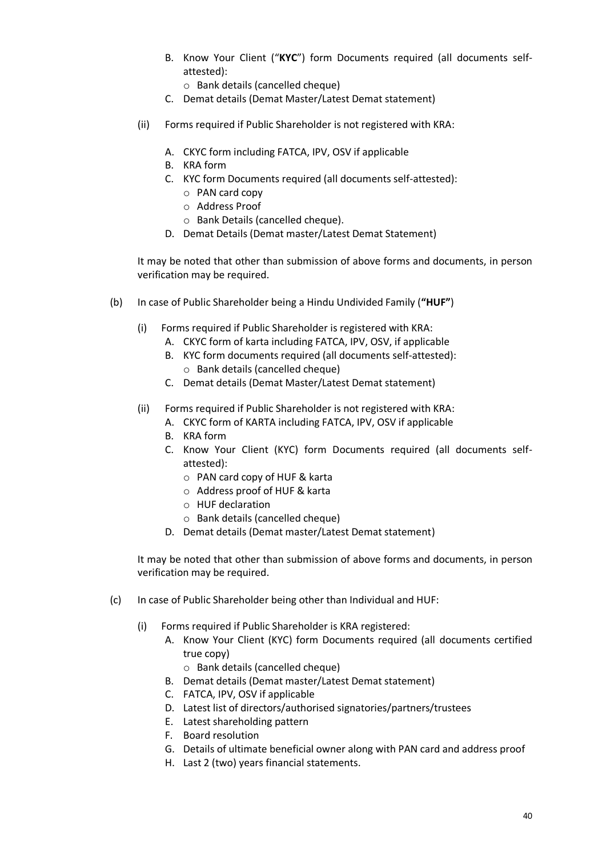B. Know Your Client ("**KYC**") form Documents required (all documents selfattested):

o Bank details (cancelled cheque)

- C. Demat details (Demat Master/Latest Demat statement)
- (ii) Forms required if Public Shareholder is not registered with KRA:
	- A. CKYC form including FATCA, IPV, OSV if applicable
	- B. KRA form
	- C. KYC form Documents required (all documents self-attested):
		- o PAN card copy
		- o Address Proof
		- o Bank Details (cancelled cheque).
	- D. Demat Details (Demat master/Latest Demat Statement)

It may be noted that other than submission of above forms and documents, in person verification may be required.

- (b) In case of Public Shareholder being a Hindu Undivided Family (**"HUF"**)
	- (i) Forms required if Public Shareholder is registered with KRA:
		- A. CKYC form of karta including FATCA, IPV, OSV, if applicable
		- B. KYC form documents required (all documents self-attested): o Bank details (cancelled cheque)
		- C. Demat details (Demat Master/Latest Demat statement)
	- (ii) Forms required if Public Shareholder is not registered with KRA:
		- A. CKYC form of KARTA including FATCA, IPV, OSV if applicable
		- B. KRA form
		- C. Know Your Client (KYC) form Documents required (all documents selfattested):
			- o PAN card copy of HUF & karta
			- o Address proof of HUF & karta
			- o HUF declaration
			- o Bank details (cancelled cheque)
		- D. Demat details (Demat master/Latest Demat statement)

It may be noted that other than submission of above forms and documents, in person verification may be required.

- (c) In case of Public Shareholder being other than Individual and HUF:
	- (i) Forms required if Public Shareholder is KRA registered:
		- A. Know Your Client (KYC) form Documents required (all documents certified true copy)
			- o Bank details (cancelled cheque)
		- B. Demat details (Demat master/Latest Demat statement)
		- C. FATCA, IPV, OSV if applicable
		- D. Latest list of directors/authorised signatories/partners/trustees
		- E. Latest shareholding pattern
		- F. Board resolution
		- G. Details of ultimate beneficial owner along with PAN card and address proof
		- H. Last 2 (two) years financial statements.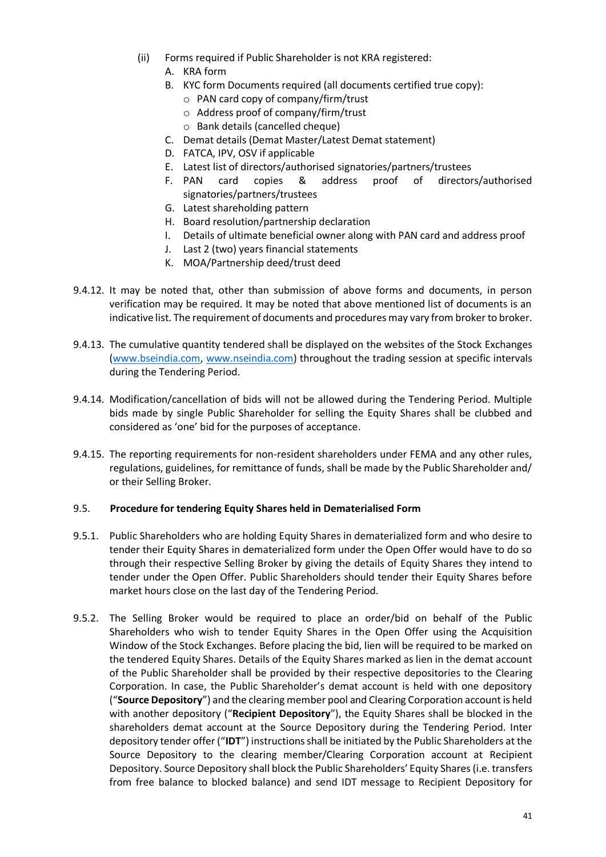- (ii) Forms required if Public Shareholder is not KRA registered:
	- A. KRA form
	- B. KYC form Documents required (all documents certified true copy):
		- o PAN card copy of company/firm/trust
		- o Address proof of company/firm/trust
		- o Bank details (cancelled cheque)
	- C. Demat details (Demat Master/Latest Demat statement)
	- D. FATCA, IPV, OSV if applicable
	- E. Latest list of directors/authorised signatories/partners/trustees
	- F. PAN card copies & address proof of directors/authorised signatories/partners/trustees
	- G. Latest shareholding pattern
	- H. Board resolution/partnership declaration
	- I. Details of ultimate beneficial owner along with PAN card and address proof
	- J. Last 2 (two) years financial statements
	- K. MOA/Partnership deed/trust deed
- 9.4.12. It may be noted that, other than submission of above forms and documents, in person verification may be required. It may be noted that above mentioned list of documents is an indicative list. The requirement of documents and procedures may vary from broker to broker.
- 9.4.13. The cumulative quantity tendered shall be displayed on the websites of the Stock Exchanges [\(www.bseindia.com,](http://www.bseindia.com/) [www.nseindia.com\)](http://www.nseindia.com/) throughout the trading session at specific intervals during the Tendering Period.
- 9.4.14. Modification/cancellation of bids will not be allowed during the Tendering Period. Multiple bids made by single Public Shareholder for selling the Equity Shares shall be clubbed and considered as 'one' bid for the purposes of acceptance.
- 9.4.15. The reporting requirements for non-resident shareholders under FEMA and any other rules, regulations, guidelines, for remittance of funds, shall be made by the Public Shareholder and/ or their Selling Broker.

### 9.5. **Procedure for tendering Equity Shares held in Dematerialised Form**

- 9.5.1. Public Shareholders who are holding Equity Shares in dematerialized form and who desire to tender their Equity Shares in dematerialized form under the Open Offer would have to do so through their respective Selling Broker by giving the details of Equity Shares they intend to tender under the Open Offer. Public Shareholders should tender their Equity Shares before market hours close on the last day of the Tendering Period.
- 9.5.2. The Selling Broker would be required to place an order/bid on behalf of the Public Shareholders who wish to tender Equity Shares in the Open Offer using the Acquisition Window of the Stock Exchanges. Before placing the bid, lien will be required to be marked on the tendered Equity Shares. Details of the Equity Shares marked as lien in the demat account of the Public Shareholder shall be provided by their respective depositories to the Clearing Corporation. In case, the Public Shareholder's demat account is held with one depository ("**Source Depository**") and the clearing member pool and Clearing Corporation account is held with another depository ("**Recipient Depository**"), the Equity Shares shall be blocked in the shareholders demat account at the Source Depository during the Tendering Period. Inter depository tender offer ("**IDT**") instructions shall be initiated by the Public Shareholders at the Source Depository to the clearing member/Clearing Corporation account at Recipient Depository. Source Depository shall block the Public Shareholders' Equity Shares (i.e. transfers from free balance to blocked balance) and send IDT message to Recipient Depository for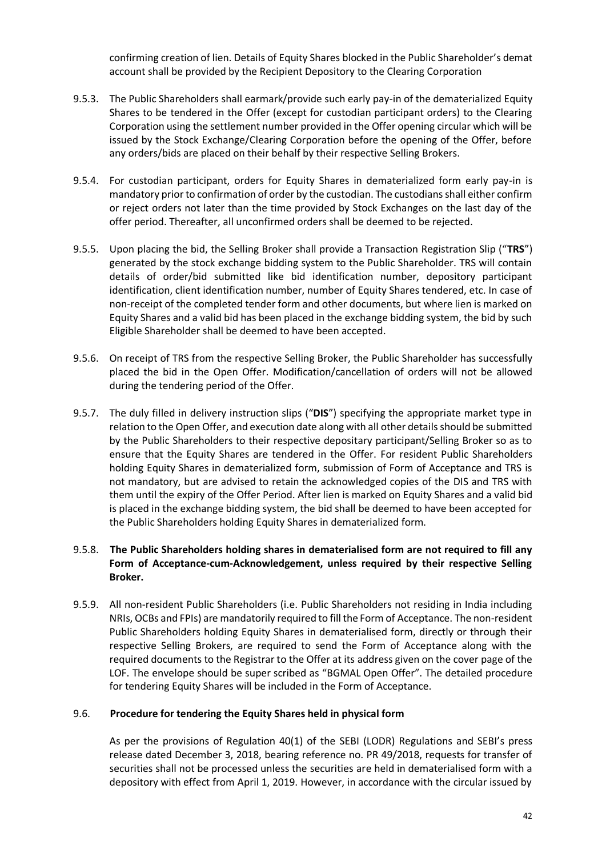confirming creation of lien. Details of Equity Shares blocked in the Public Shareholder's demat account shall be provided by the Recipient Depository to the Clearing Corporation

- 9.5.3. The Public Shareholders shall earmark/provide such early pay-in of the dematerialized Equity Shares to be tendered in the Offer (except for custodian participant orders) to the Clearing Corporation using the settlement number provided in the Offer opening circular which will be issued by the Stock Exchange/Clearing Corporation before the opening of the Offer, before any orders/bids are placed on their behalf by their respective Selling Brokers.
- 9.5.4. For custodian participant, orders for Equity Shares in dematerialized form early pay-in is mandatory prior to confirmation of order by the custodian. The custodians shall either confirm or reject orders not later than the time provided by Stock Exchanges on the last day of the offer period. Thereafter, all unconfirmed orders shall be deemed to be rejected.
- 9.5.5. Upon placing the bid, the Selling Broker shall provide a Transaction Registration Slip ("**TRS**") generated by the stock exchange bidding system to the Public Shareholder. TRS will contain details of order/bid submitted like bid identification number, depository participant identification, client identification number, number of Equity Shares tendered, etc. In case of non-receipt of the completed tender form and other documents, but where lien is marked on Equity Shares and a valid bid has been placed in the exchange bidding system, the bid by such Eligible Shareholder shall be deemed to have been accepted.
- 9.5.6. On receipt of TRS from the respective Selling Broker, the Public Shareholder has successfully placed the bid in the Open Offer. Modification/cancellation of orders will not be allowed during the tendering period of the Offer.
- 9.5.7. The duly filled in delivery instruction slips ("**DIS**") specifying the appropriate market type in relation to the Open Offer, and execution date along with all other details should be submitted by the Public Shareholders to their respective depositary participant/Selling Broker so as to ensure that the Equity Shares are tendered in the Offer. For resident Public Shareholders holding Equity Shares in dematerialized form, submission of Form of Acceptance and TRS is not mandatory, but are advised to retain the acknowledged copies of the DIS and TRS with them until the expiry of the Offer Period. After lien is marked on Equity Shares and a valid bid is placed in the exchange bidding system, the bid shall be deemed to have been accepted for the Public Shareholders holding Equity Shares in dematerialized form.

## 9.5.8. **The Public Shareholders holding shares in dematerialised form are not required to fill any Form of Acceptance-cum-Acknowledgement, unless required by their respective Selling Broker.**

9.5.9. All non-resident Public Shareholders (i.e. Public Shareholders not residing in India including NRIs, OCBs and FPIs) are mandatorily required to fill the Form of Acceptance. The non-resident Public Shareholders holding Equity Shares in dematerialised form, directly or through their respective Selling Brokers, are required to send the Form of Acceptance along with the required documents to the Registrar to the Offer at its address given on the cover page of the LOF. The envelope should be super scribed as "BGMAL Open Offer". The detailed procedure for tendering Equity Shares will be included in the Form of Acceptance.

### 9.6. **Procedure for tendering the Equity Shares held in physical form**

As per the provisions of Regulation 40(1) of the SEBI (LODR) Regulations and SEBI's press release dated December 3, 2018, bearing reference no. PR 49/2018, requests for transfer of securities shall not be processed unless the securities are held in dematerialised form with a depository with effect from April 1, 2019. However, in accordance with the circular issued by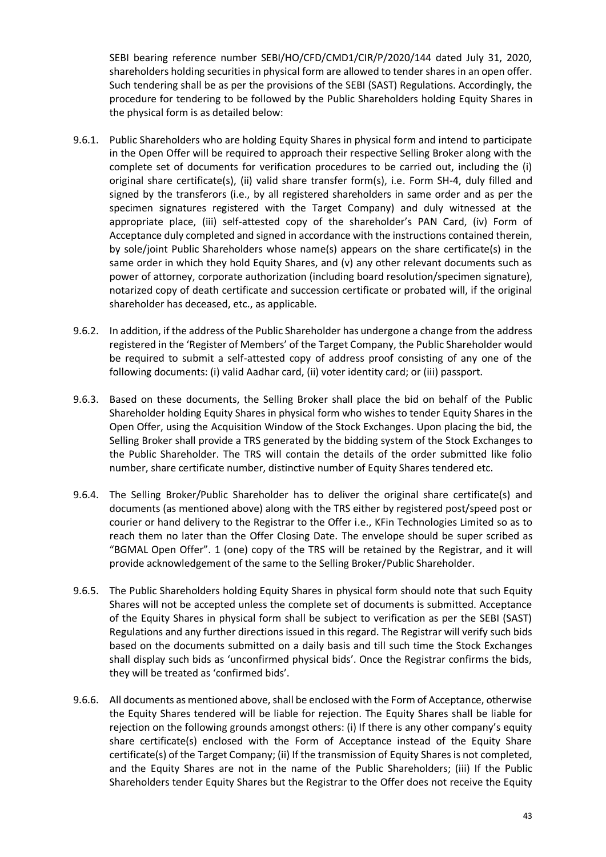SEBI bearing reference number SEBI/HO/CFD/CMD1/CIR/P/2020/144 dated July 31, 2020, shareholders holding securities in physical form are allowed to tender shares in an open offer. Such tendering shall be as per the provisions of the SEBI (SAST) Regulations. Accordingly, the procedure for tendering to be followed by the Public Shareholders holding Equity Shares in the physical form is as detailed below:

- 9.6.1. Public Shareholders who are holding Equity Shares in physical form and intend to participate in the Open Offer will be required to approach their respective Selling Broker along with the complete set of documents for verification procedures to be carried out, including the (i) original share certificate(s), (ii) valid share transfer form(s), i.e. Form SH-4, duly filled and signed by the transferors (i.e., by all registered shareholders in same order and as per the specimen signatures registered with the Target Company) and duly witnessed at the appropriate place, (iii) self-attested copy of the shareholder's PAN Card, (iv) Form of Acceptance duly completed and signed in accordance with the instructions contained therein, by sole/joint Public Shareholders whose name(s) appears on the share certificate(s) in the same order in which they hold Equity Shares, and (v) any other relevant documents such as power of attorney, corporate authorization (including board resolution/specimen signature), notarized copy of death certificate and succession certificate or probated will, if the original shareholder has deceased, etc., as applicable.
- 9.6.2. In addition, if the address of the Public Shareholder has undergone a change from the address registered in the 'Register of Members' of the Target Company, the Public Shareholder would be required to submit a self-attested copy of address proof consisting of any one of the following documents: (i) valid Aadhar card, (ii) voter identity card; or (iii) passport.
- 9.6.3. Based on these documents, the Selling Broker shall place the bid on behalf of the Public Shareholder holding Equity Shares in physical form who wishes to tender Equity Shares in the Open Offer, using the Acquisition Window of the Stock Exchanges. Upon placing the bid, the Selling Broker shall provide a TRS generated by the bidding system of the Stock Exchanges to the Public Shareholder. The TRS will contain the details of the order submitted like folio number, share certificate number, distinctive number of Equity Shares tendered etc.
- 9.6.4. The Selling Broker/Public Shareholder has to deliver the original share certificate(s) and documents (as mentioned above) along with the TRS either by registered post/speed post or courier or hand delivery to the Registrar to the Offer i.e., KFin Technologies Limited so as to reach them no later than the Offer Closing Date. The envelope should be super scribed as "BGMAL Open Offer". 1 (one) copy of the TRS will be retained by the Registrar, and it will provide acknowledgement of the same to the Selling Broker/Public Shareholder.
- 9.6.5. The Public Shareholders holding Equity Shares in physical form should note that such Equity Shares will not be accepted unless the complete set of documents is submitted. Acceptance of the Equity Shares in physical form shall be subject to verification as per the SEBI (SAST) Regulations and any further directions issued in this regard. The Registrar will verify such bids based on the documents submitted on a daily basis and till such time the Stock Exchanges shall display such bids as 'unconfirmed physical bids'. Once the Registrar confirms the bids, they will be treated as 'confirmed bids'.
- 9.6.6. All documents as mentioned above, shall be enclosed with the Form of Acceptance, otherwise the Equity Shares tendered will be liable for rejection. The Equity Shares shall be liable for rejection on the following grounds amongst others: (i) If there is any other company's equity share certificate(s) enclosed with the Form of Acceptance instead of the Equity Share certificate(s) of the Target Company; (ii) If the transmission of Equity Shares is not completed, and the Equity Shares are not in the name of the Public Shareholders; (iii) If the Public Shareholders tender Equity Shares but the Registrar to the Offer does not receive the Equity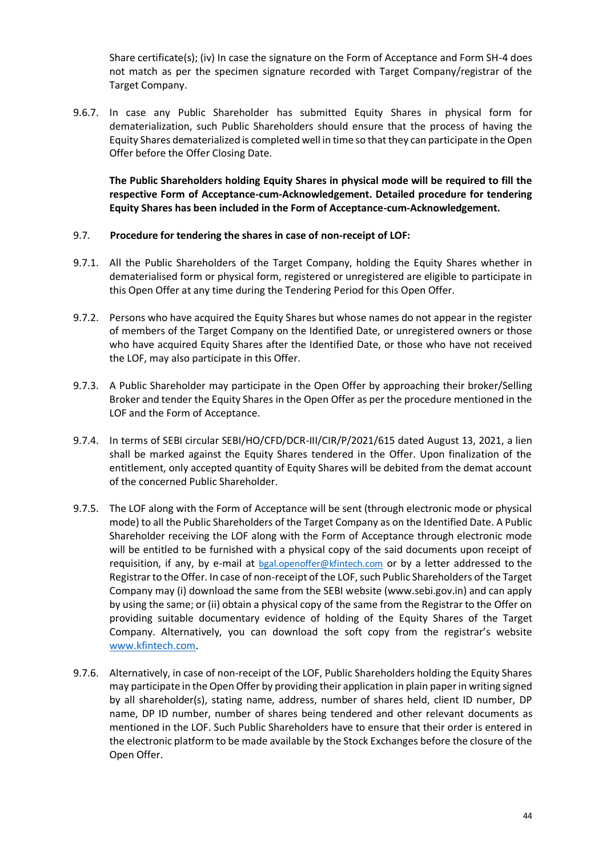Share certificate(s); (iv) In case the signature on the Form of Acceptance and Form SH-4 does not match as per the specimen signature recorded with Target Company/registrar of the Target Company.

9.6.7. In case any Public Shareholder has submitted Equity Shares in physical form for dematerialization, such Public Shareholders should ensure that the process of having the Equity Shares dematerialized is completed well in time so that they can participate in the Open Offer before the Offer Closing Date.

**The Public Shareholders holding Equity Shares in physical mode will be required to fill the respective Form of Acceptance-cum-Acknowledgement. Detailed procedure for tendering Equity Shares has been included in the Form of Acceptance-cum-Acknowledgement.**

## 9.7. **Procedure for tendering the shares in case of non-receipt of LOF:**

- 9.7.1. All the Public Shareholders of the Target Company, holding the Equity Shares whether in dematerialised form or physical form, registered or unregistered are eligible to participate in this Open Offer at any time during the Tendering Period for this Open Offer.
- 9.7.2. Persons who have acquired the Equity Shares but whose names do not appear in the register of members of the Target Company on the Identified Date, or unregistered owners or those who have acquired Equity Shares after the Identified Date, or those who have not received the LOF, may also participate in this Offer.
- 9.7.3. A Public Shareholder may participate in the Open Offer by approaching their broker/Selling Broker and tender the Equity Shares in the Open Offer as per the procedure mentioned in the LOF and the Form of Acceptance.
- 9.7.4. In terms of SEBI circular SEBI/HO/CFD/DCR-III/CIR/P/2021/615 dated August 13, 2021, a lien shall be marked against the Equity Shares tendered in the Offer. Upon finalization of the entitlement, only accepted quantity of Equity Shares will be debited from the demat account of the concerned Public Shareholder.
- 9.7.5. The LOF along with the Form of Acceptance will be sent (through electronic mode or physical mode) to all the Public Shareholders of the Target Company as on the Identified Date. A Public Shareholder receiving the LOF along with the Form of Acceptance through electronic mode will be entitled to be furnished with a physical copy of the said documents upon receipt of requisition, if any, by e-mail at bgal.openoffer@kfintech.com or by a letter addressed to the Registrar to the Offer. In case of non-receipt of the LOF, such Public Shareholders of the Target Company may (i) download the same from the SEBI website (www.sebi.gov.in) and can apply by using the same; or (ii) obtain a physical copy of the same from the Registrar to the Offer on providing suitable documentary evidence of holding of the Equity Shares of the Target Company. Alternatively, you can download the soft copy from the registrar's website [www.kfintech.com.](http://www.kfintech.com/)
- 9.7.6. Alternatively, in case of non-receipt of the LOF, Public Shareholders holding the Equity Shares may participate in the Open Offer by providing their application in plain paper in writing signed by all shareholder(s), stating name, address, number of shares held, client ID number, DP name, DP ID number, number of shares being tendered and other relevant documents as mentioned in the LOF. Such Public Shareholders have to ensure that their order is entered in the electronic platform to be made available by the Stock Exchanges before the closure of the Open Offer.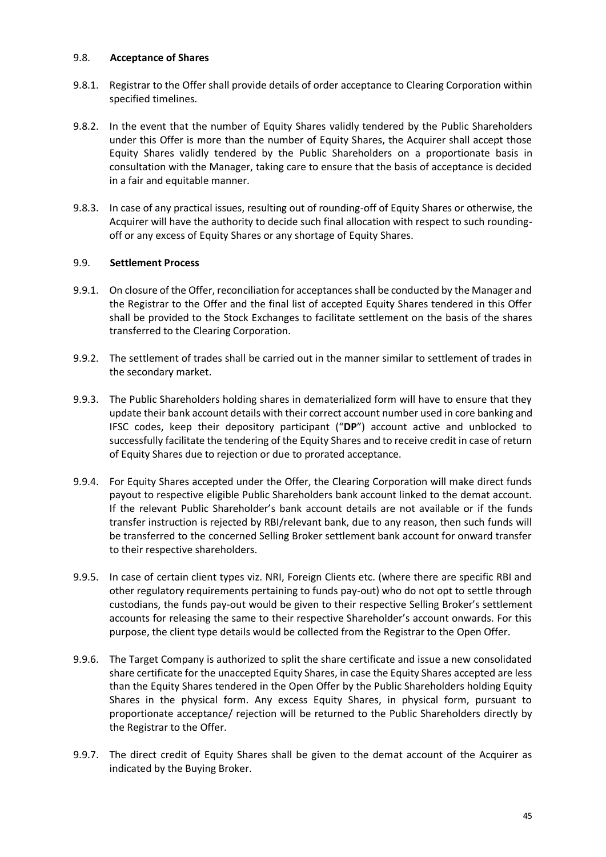### 9.8. **Acceptance of Shares**

- 9.8.1. Registrar to the Offer shall provide details of order acceptance to Clearing Corporation within specified timelines.
- 9.8.2. In the event that the number of Equity Shares validly tendered by the Public Shareholders under this Offer is more than the number of Equity Shares, the Acquirer shall accept those Equity Shares validly tendered by the Public Shareholders on a proportionate basis in consultation with the Manager, taking care to ensure that the basis of acceptance is decided in a fair and equitable manner.
- 9.8.3. In case of any practical issues, resulting out of rounding-off of Equity Shares or otherwise, the Acquirer will have the authority to decide such final allocation with respect to such roundingoff or any excess of Equity Shares or any shortage of Equity Shares.

## 9.9. **Settlement Process**

- 9.9.1. On closure of the Offer, reconciliation for acceptances shall be conducted by the Manager and the Registrar to the Offer and the final list of accepted Equity Shares tendered in this Offer shall be provided to the Stock Exchanges to facilitate settlement on the basis of the shares transferred to the Clearing Corporation.
- 9.9.2. The settlement of trades shall be carried out in the manner similar to settlement of trades in the secondary market.
- 9.9.3. The Public Shareholders holding shares in dematerialized form will have to ensure that they update their bank account details with their correct account number used in core banking and IFSC codes, keep their depository participant ("**DP**") account active and unblocked to successfully facilitate the tendering of the Equity Shares and to receive credit in case of return of Equity Shares due to rejection or due to prorated acceptance.
- 9.9.4. For Equity Shares accepted under the Offer, the Clearing Corporation will make direct funds payout to respective eligible Public Shareholders bank account linked to the demat account. If the relevant Public Shareholder's bank account details are not available or if the funds transfer instruction is rejected by RBI/relevant bank, due to any reason, then such funds will be transferred to the concerned Selling Broker settlement bank account for onward transfer to their respective shareholders.
- 9.9.5. In case of certain client types viz. NRI, Foreign Clients etc. (where there are specific RBI and other regulatory requirements pertaining to funds pay-out) who do not opt to settle through custodians, the funds pay-out would be given to their respective Selling Broker's settlement accounts for releasing the same to their respective Shareholder's account onwards. For this purpose, the client type details would be collected from the Registrar to the Open Offer.
- 9.9.6. The Target Company is authorized to split the share certificate and issue a new consolidated share certificate for the unaccepted Equity Shares, in case the Equity Shares accepted are less than the Equity Shares tendered in the Open Offer by the Public Shareholders holding Equity Shares in the physical form. Any excess Equity Shares, in physical form, pursuant to proportionate acceptance/ rejection will be returned to the Public Shareholders directly by the Registrar to the Offer.
- 9.9.7. The direct credit of Equity Shares shall be given to the demat account of the Acquirer as indicated by the Buying Broker.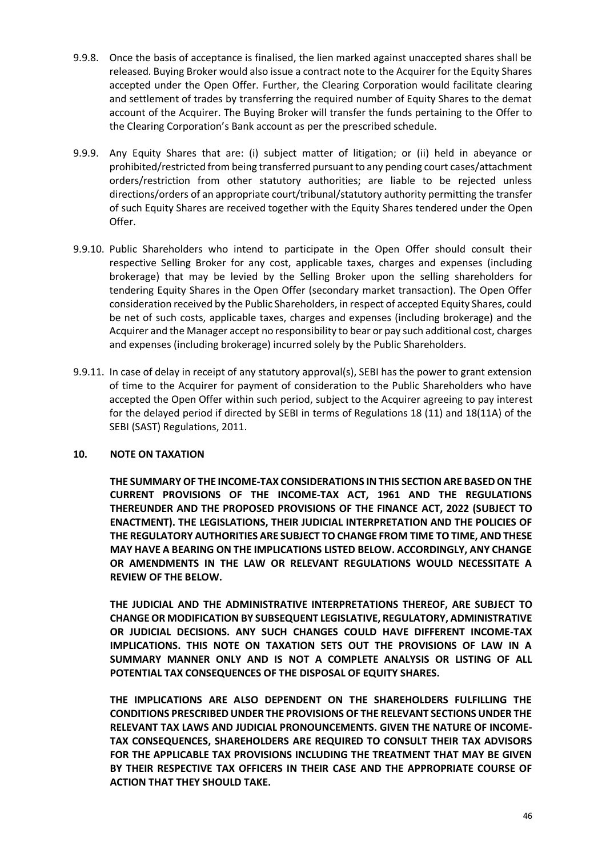- 9.9.8. Once the basis of acceptance is finalised, the lien marked against unaccepted shares shall be released. Buying Broker would also issue a contract note to the Acquirer for the Equity Shares accepted under the Open Offer. Further, the Clearing Corporation would facilitate clearing and settlement of trades by transferring the required number of Equity Shares to the demat account of the Acquirer. The Buying Broker will transfer the funds pertaining to the Offer to the Clearing Corporation's Bank account as per the prescribed schedule.
- 9.9.9. Any Equity Shares that are: (i) subject matter of litigation; or (ii) held in abeyance or prohibited/restricted from being transferred pursuant to any pending court cases/attachment orders/restriction from other statutory authorities; are liable to be rejected unless directions/orders of an appropriate court/tribunal/statutory authority permitting the transfer of such Equity Shares are received together with the Equity Shares tendered under the Open Offer.
- 9.9.10. Public Shareholders who intend to participate in the Open Offer should consult their respective Selling Broker for any cost, applicable taxes, charges and expenses (including brokerage) that may be levied by the Selling Broker upon the selling shareholders for tendering Equity Shares in the Open Offer (secondary market transaction). The Open Offer consideration received by the Public Shareholders, in respect of accepted Equity Shares, could be net of such costs, applicable taxes, charges and expenses (including brokerage) and the Acquirer and the Manager accept no responsibility to bear or pay such additional cost, charges and expenses (including brokerage) incurred solely by the Public Shareholders.
- 9.9.11. In case of delay in receipt of any statutory approval(s), SEBI has the power to grant extension of time to the Acquirer for payment of consideration to the Public Shareholders who have accepted the Open Offer within such period, subject to the Acquirer agreeing to pay interest for the delayed period if directed by SEBI in terms of Regulations 18 (11) and 18(11A) of the SEBI (SAST) Regulations, 2011.

## <span id="page-45-0"></span>**10. NOTE ON TAXATION**

**THE SUMMARY OF THE INCOME-TAX CONSIDERATIONS IN THIS SECTION ARE BASED ON THE CURRENT PROVISIONS OF THE INCOME-TAX ACT, 1961 AND THE REGULATIONS THEREUNDER AND THE PROPOSED PROVISIONS OF THE FINANCE ACT, 2022 (SUBJECT TO ENACTMENT). THE LEGISLATIONS, THEIR JUDICIAL INTERPRETATION AND THE POLICIES OF THE REGULATORY AUTHORITIES ARE SUBJECT TO CHANGE FROM TIME TO TIME, AND THESE MAY HAVE A BEARING ON THE IMPLICATIONS LISTED BELOW. ACCORDINGLY, ANY CHANGE OR AMENDMENTS IN THE LAW OR RELEVANT REGULATIONS WOULD NECESSITATE A REVIEW OF THE BELOW.**

**THE JUDICIAL AND THE ADMINISTRATIVE INTERPRETATIONS THEREOF, ARE SUBJECT TO CHANGE OR MODIFICATION BY SUBSEQUENT LEGISLATIVE, REGULATORY, ADMINISTRATIVE OR JUDICIAL DECISIONS. ANY SUCH CHANGES COULD HAVE DIFFERENT INCOME-TAX IMPLICATIONS. THIS NOTE ON TAXATION SETS OUT THE PROVISIONS OF LAW IN A SUMMARY MANNER ONLY AND IS NOT A COMPLETE ANALYSIS OR LISTING OF ALL POTENTIAL TAX CONSEQUENCES OF THE DISPOSAL OF EQUITY SHARES.**

**THE IMPLICATIONS ARE ALSO DEPENDENT ON THE SHAREHOLDERS FULFILLING THE CONDITIONS PRESCRIBED UNDER THE PROVISIONS OF THE RELEVANT SECTIONS UNDER THE RELEVANT TAX LAWS AND JUDICIAL PRONOUNCEMENTS. GIVEN THE NATURE OF INCOME-TAX CONSEQUENCES, SHAREHOLDERS ARE REQUIRED TO CONSULT THEIR TAX ADVISORS FOR THE APPLICABLE TAX PROVISIONS INCLUDING THE TREATMENT THAT MAY BE GIVEN BY THEIR RESPECTIVE TAX OFFICERS IN THEIR CASE AND THE APPROPRIATE COURSE OF ACTION THAT THEY SHOULD TAKE.**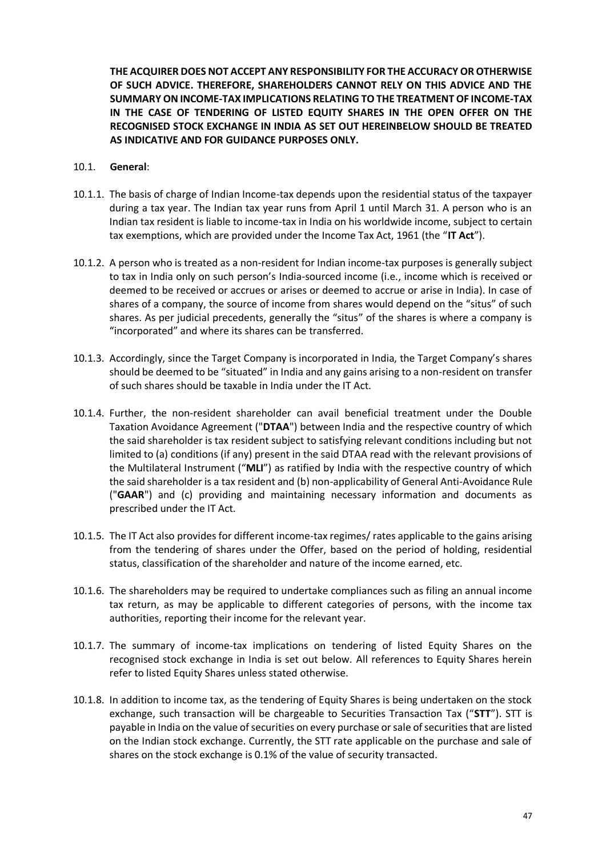**THE ACQUIRER DOES NOT ACCEPT ANY RESPONSIBILITY FOR THE ACCURACY OR OTHERWISE OF SUCH ADVICE. THEREFORE, SHAREHOLDERS CANNOT RELY ON THIS ADVICE AND THE SUMMARY ON INCOME-TAX IMPLICATIONS RELATING TO THE TREATMENT OF INCOME-TAX IN THE CASE OF TENDERING OF LISTED EQUITY SHARES IN THE OPEN OFFER ON THE RECOGNISED STOCK EXCHANGE IN INDIA AS SET OUT HEREINBELOW SHOULD BE TREATED AS INDICATIVE AND FOR GUIDANCE PURPOSES ONLY.**

#### 10.1. **General**:

- 10.1.1. The basis of charge of Indian Income-tax depends upon the residential status of the taxpayer during a tax year. The Indian tax year runs from April 1 until March 31. A person who is an Indian tax resident is liable to income-tax in India on his worldwide income, subject to certain tax exemptions, which are provided under the Income Tax Act, 1961 (the "**IT Act**").
- 10.1.2. A person who is treated as a non-resident for Indian income-tax purposes is generally subject to tax in India only on such person's India-sourced income (i.e., income which is received or deemed to be received or accrues or arises or deemed to accrue or arise in India). In case of shares of a company, the source of income from shares would depend on the "situs" of such shares. As per judicial precedents, generally the "situs" of the shares is where a company is "incorporated" and where its shares can be transferred.
- 10.1.3. Accordingly, since the Target Company is incorporated in India, the Target Company's shares should be deemed to be "situated" in India and any gains arising to a non-resident on transfer of such shares should be taxable in India under the IT Act.
- 10.1.4. Further, the non-resident shareholder can avail beneficial treatment under the Double Taxation Avoidance Agreement ("**DTAA**") between India and the respective country of which the said shareholder is tax resident subject to satisfying relevant conditions including but not limited to (a) conditions (if any) present in the said DTAA read with the relevant provisions of the Multilateral Instrument ("**MLI**") as ratified by India with the respective country of which the said shareholder is a tax resident and (b) non-applicability of General Anti-Avoidance Rule ("**GAAR**") and (c) providing and maintaining necessary information and documents as prescribed under the IT Act.
- 10.1.5. The IT Act also provides for different income-tax regimes/ rates applicable to the gains arising from the tendering of shares under the Offer, based on the period of holding, residential status, classification of the shareholder and nature of the income earned, etc.
- 10.1.6. The shareholders may be required to undertake compliances such as filing an annual income tax return, as may be applicable to different categories of persons, with the income tax authorities, reporting their income for the relevant year.
- 10.1.7. The summary of income-tax implications on tendering of listed Equity Shares on the recognised stock exchange in India is set out below. All references to Equity Shares herein refer to listed Equity Shares unless stated otherwise.
- 10.1.8. In addition to income tax, as the tendering of Equity Shares is being undertaken on the stock exchange, such transaction will be chargeable to Securities Transaction Tax ("**STT**"). STT is payable in India on the value of securities on every purchase or sale of securities that are listed on the Indian stock exchange. Currently, the STT rate applicable on the purchase and sale of shares on the stock exchange is 0.1% of the value of security transacted.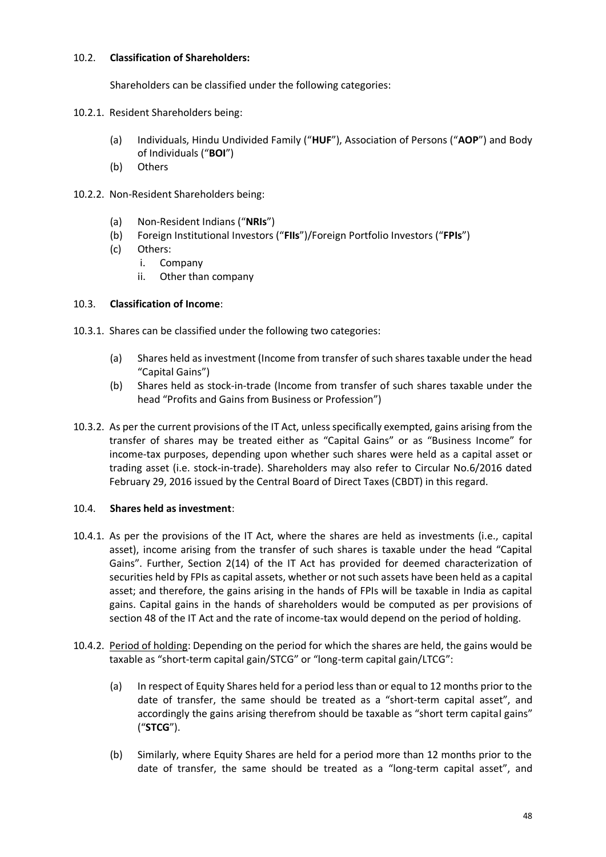## 10.2. **Classification of Shareholders:**

Shareholders can be classified under the following categories:

- 10.2.1. Resident Shareholders being:
	- (a) Individuals, Hindu Undivided Family ("**HUF**"), Association of Persons ("**AOP**") and Body of Individuals ("**BOI**")
	- (b) Others
- 10.2.2. Non-Resident Shareholders being:
	- (a) Non-Resident Indians ("**NRIs**")
	- (b) Foreign Institutional Investors ("**FIIs**")/Foreign Portfolio Investors ("**FPIs**")
	- (c) Others:
		- i. Company
		- ii. Other than company

## 10.3. **Classification of Income**:

- 10.3.1. Shares can be classified under the following two categories:
	- (a) Shares held as investment (Income from transfer of such shares taxable under the head "Capital Gains")
	- (b) Shares held as stock-in-trade (Income from transfer of such shares taxable under the head "Profits and Gains from Business or Profession")
- 10.3.2. As per the current provisions of the IT Act, unless specifically exempted, gains arising from the transfer of shares may be treated either as "Capital Gains" or as "Business Income" for income-tax purposes, depending upon whether such shares were held as a capital asset or trading asset (i.e. stock-in-trade). Shareholders may also refer to Circular No.6/2016 dated February 29, 2016 issued by the Central Board of Direct Taxes (CBDT) in this regard.

### 10.4. **Shares held as investment**:

- 10.4.1. As per the provisions of the IT Act, where the shares are held as investments (i.e., capital asset), income arising from the transfer of such shares is taxable under the head "Capital Gains". Further, Section 2(14) of the IT Act has provided for deemed characterization of securities held by FPIs as capital assets, whether or not such assets have been held as a capital asset; and therefore, the gains arising in the hands of FPIs will be taxable in India as capital gains. Capital gains in the hands of shareholders would be computed as per provisions of section 48 of the IT Act and the rate of income-tax would depend on the period of holding.
- 10.4.2. Period of holding: Depending on the period for which the shares are held, the gains would be taxable as "short-term capital gain/STCG" or "long-term capital gain/LTCG":
	- (a) In respect of Equity Shares held for a period less than or equal to 12 months prior to the date of transfer, the same should be treated as a "short-term capital asset", and accordingly the gains arising therefrom should be taxable as "short term capital gains" ("**STCG**").
	- (b) Similarly, where Equity Shares are held for a period more than 12 months prior to the date of transfer, the same should be treated as a "long-term capital asset", and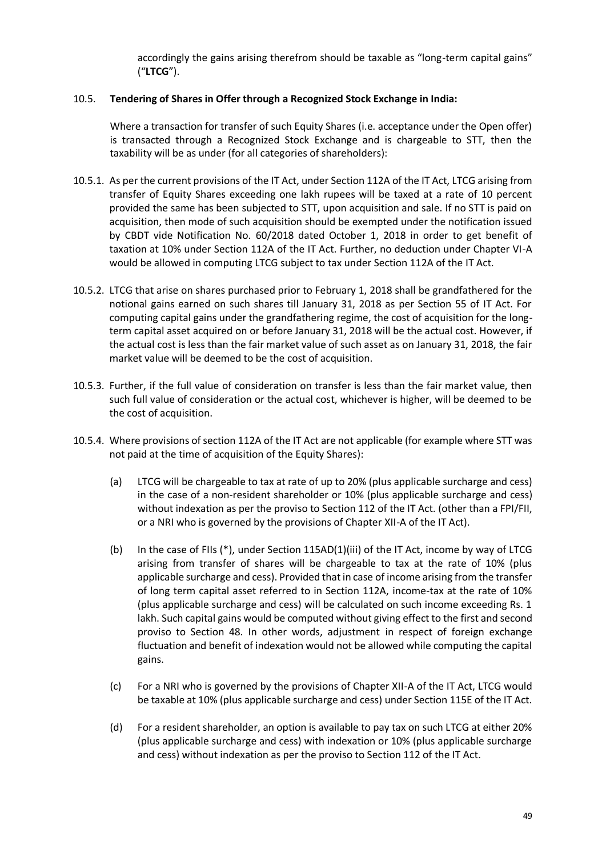accordingly the gains arising therefrom should be taxable as "long-term capital gains" ("**LTCG**").

## 10.5. **Tendering of Shares in Offer through a Recognized Stock Exchange in India:**

Where a transaction for transfer of such Equity Shares (i.e. acceptance under the Open offer) is transacted through a Recognized Stock Exchange and is chargeable to STT, then the taxability will be as under (for all categories of shareholders):

- 10.5.1. As per the current provisions of the IT Act, under Section 112A of the IT Act, LTCG arising from transfer of Equity Shares exceeding one lakh rupees will be taxed at a rate of 10 percent provided the same has been subjected to STT, upon acquisition and sale. If no STT is paid on acquisition, then mode of such acquisition should be exempted under the notification issued by CBDT vide Notification No. 60/2018 dated October 1, 2018 in order to get benefit of taxation at 10% under Section 112A of the IT Act. Further, no deduction under Chapter VI-A would be allowed in computing LTCG subject to tax under Section 112A of the IT Act.
- 10.5.2. LTCG that arise on shares purchased prior to February 1, 2018 shall be grandfathered for the notional gains earned on such shares till January 31, 2018 as per Section 55 of IT Act. For computing capital gains under the grandfathering regime, the cost of acquisition for the longterm capital asset acquired on or before January 31, 2018 will be the actual cost. However, if the actual cost is less than the fair market value of such asset as on January 31, 2018, the fair market value will be deemed to be the cost of acquisition.
- 10.5.3. Further, if the full value of consideration on transfer is less than the fair market value, then such full value of consideration or the actual cost, whichever is higher, will be deemed to be the cost of acquisition.
- 10.5.4. Where provisions of section 112A of the IT Act are not applicable (for example where STT was not paid at the time of acquisition of the Equity Shares):
	- (a) LTCG will be chargeable to tax at rate of up to 20% (plus applicable surcharge and cess) in the case of a non-resident shareholder or 10% (plus applicable surcharge and cess) without indexation as per the proviso to Section 112 of the IT Act. (other than a FPI/FII, or a NRI who is governed by the provisions of Chapter XII-A of the IT Act).
	- (b) In the case of FIIs (\*), under Section 115AD(1)(iii) of the IT Act, income by way of LTCG arising from transfer of shares will be chargeable to tax at the rate of 10% (plus applicable surcharge and cess). Provided that in case of income arising from the transfer of long term capital asset referred to in Section 112A, income-tax at the rate of 10% (plus applicable surcharge and cess) will be calculated on such income exceeding Rs. 1 lakh. Such capital gains would be computed without giving effect to the first and second proviso to Section 48. In other words, adjustment in respect of foreign exchange fluctuation and benefit of indexation would not be allowed while computing the capital gains.
	- (c) For a NRI who is governed by the provisions of Chapter XII-A of the IT Act, LTCG would be taxable at 10% (plus applicable surcharge and cess) under Section 115E of the IT Act.
	- (d) For a resident shareholder, an option is available to pay tax on such LTCG at either 20% (plus applicable surcharge and cess) with indexation or 10% (plus applicable surcharge and cess) without indexation as per the proviso to Section 112 of the IT Act.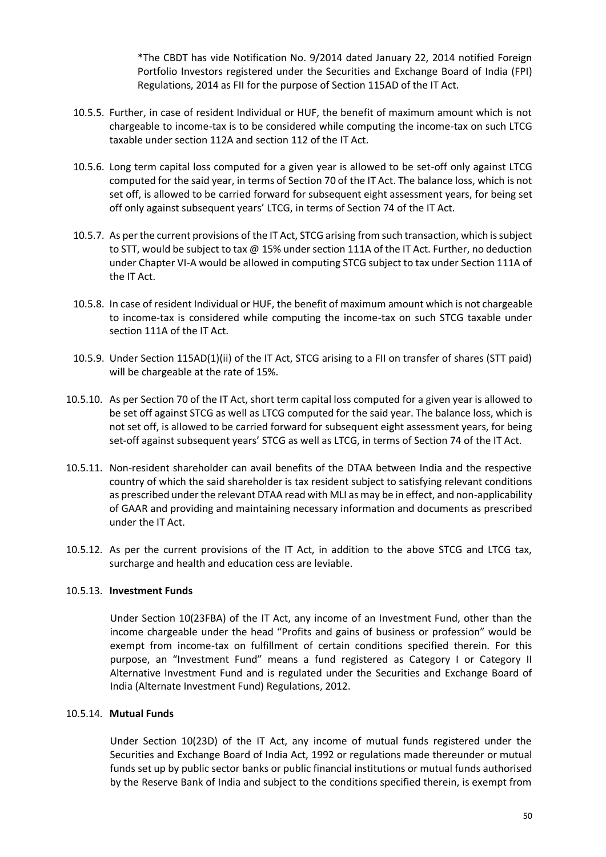\*The CBDT has vide Notification No. 9/2014 dated January 22, 2014 notified Foreign Portfolio Investors registered under the Securities and Exchange Board of India (FPI) Regulations, 2014 as FII for the purpose of Section 115AD of the IT Act.

- 10.5.5. Further, in case of resident Individual or HUF, the benefit of maximum amount which is not chargeable to income-tax is to be considered while computing the income-tax on such LTCG taxable under section 112A and section 112 of the IT Act.
- 10.5.6. Long term capital loss computed for a given year is allowed to be set-off only against LTCG computed for the said year, in terms of Section 70 of the IT Act. The balance loss, which is not set off, is allowed to be carried forward for subsequent eight assessment years, for being set off only against subsequent years' LTCG, in terms of Section 74 of the IT Act.
- 10.5.7. As per the current provisions of the IT Act, STCG arising from such transaction, which is subject to STT, would be subject to tax @ 15% under section 111A of the IT Act. Further, no deduction under Chapter VI-A would be allowed in computing STCG subject to tax under Section 111A of the IT Act.
- 10.5.8. In case of resident Individual or HUF, the benefit of maximum amount which is not chargeable to income-tax is considered while computing the income-tax on such STCG taxable under section 111A of the IT Act.
- 10.5.9. Under Section 115AD(1)(ii) of the IT Act, STCG arising to a FII on transfer of shares (STT paid) will be chargeable at the rate of 15%.
- 10.5.10. As per Section 70 of the IT Act, short term capital loss computed for a given year is allowed to be set off against STCG as well as LTCG computed for the said year. The balance loss, which is not set off, is allowed to be carried forward for subsequent eight assessment years, for being set-off against subsequent years' STCG as well as LTCG, in terms of Section 74 of the IT Act.
- 10.5.11. Non-resident shareholder can avail benefits of the DTAA between India and the respective country of which the said shareholder is tax resident subject to satisfying relevant conditions as prescribed under the relevant DTAA read with MLI as may be in effect, and non-applicability of GAAR and providing and maintaining necessary information and documents as prescribed under the IT Act.
- 10.5.12. As per the current provisions of the IT Act, in addition to the above STCG and LTCG tax, surcharge and health and education cess are leviable.

### 10.5.13. **Investment Funds**

Under Section 10(23FBA) of the IT Act, any income of an Investment Fund, other than the income chargeable under the head "Profits and gains of business or profession" would be exempt from income-tax on fulfillment of certain conditions specified therein. For this purpose, an "Investment Fund" means a fund registered as Category I or Category II Alternative Investment Fund and is regulated under the Securities and Exchange Board of India (Alternate Investment Fund) Regulations, 2012.

### 10.5.14. **Mutual Funds**

Under Section 10(23D) of the IT Act, any income of mutual funds registered under the Securities and Exchange Board of India Act, 1992 or regulations made thereunder or mutual funds set up by public sector banks or public financial institutions or mutual funds authorised by the Reserve Bank of India and subject to the conditions specified therein, is exempt from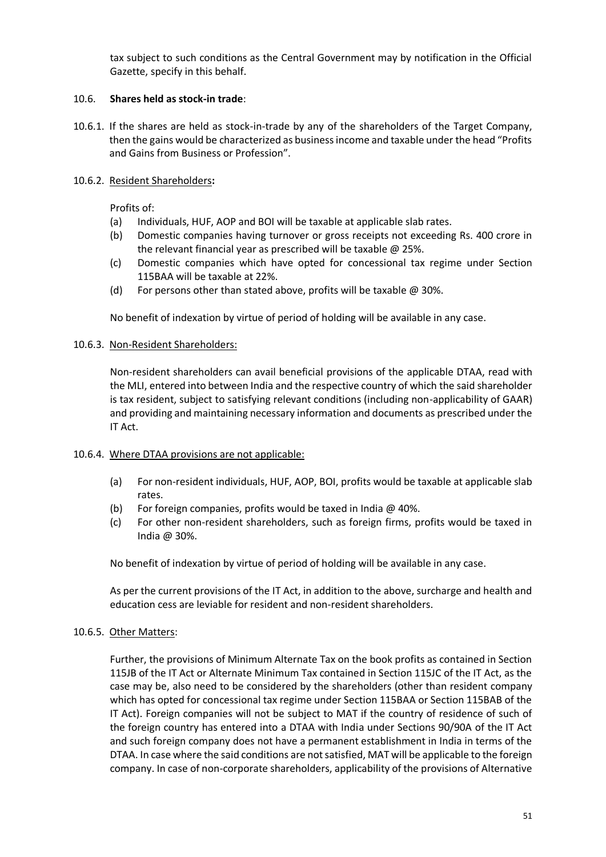tax subject to such conditions as the Central Government may by notification in the Official Gazette, specify in this behalf.

## 10.6. **Shares held as stock-in trade**:

10.6.1. If the shares are held as stock-in-trade by any of the shareholders of the Target Company, then the gains would be characterized as business income and taxable under the head "Profits and Gains from Business or Profession".

## 10.6.2. Resident Shareholders**:**

Profits of:

- (a) Individuals, HUF, AOP and BOI will be taxable at applicable slab rates.
- (b) Domestic companies having turnover or gross receipts not exceeding Rs. 400 crore in the relevant financial year as prescribed will be taxable @ 25%.
- (c) Domestic companies which have opted for concessional tax regime under Section 115BAA will be taxable at 22%.
- (d) For persons other than stated above, profits will be taxable @ 30%.

No benefit of indexation by virtue of period of holding will be available in any case.

### 10.6.3. Non-Resident Shareholders:

Non-resident shareholders can avail beneficial provisions of the applicable DTAA, read with the MLI, entered into between India and the respective country of which the said shareholder is tax resident, subject to satisfying relevant conditions (including non-applicability of GAAR) and providing and maintaining necessary information and documents as prescribed under the IT Act.

### 10.6.4. Where DTAA provisions are not applicable:

- (a) For non-resident individuals, HUF, AOP, BOI, profits would be taxable at applicable slab rates.
- (b) For foreign companies, profits would be taxed in India  $@$  40%.
- (c) For other non-resident shareholders, such as foreign firms, profits would be taxed in India @ 30%.

No benefit of indexation by virtue of period of holding will be available in any case.

As per the current provisions of the IT Act, in addition to the above, surcharge and health and education cess are leviable for resident and non-resident shareholders.

### 10.6.5. Other Matters:

Further, the provisions of Minimum Alternate Tax on the book profits as contained in Section 115JB of the IT Act or Alternate Minimum Tax contained in Section 115JC of the IT Act, as the case may be, also need to be considered by the shareholders (other than resident company which has opted for concessional tax regime under Section 115BAA or Section 115BAB of the IT Act). Foreign companies will not be subject to MAT if the country of residence of such of the foreign country has entered into a DTAA with India under Sections 90/90A of the IT Act and such foreign company does not have a permanent establishment in India in terms of the DTAA. In case where the said conditions are not satisfied, MAT will be applicable to the foreign company. In case of non-corporate shareholders, applicability of the provisions of Alternative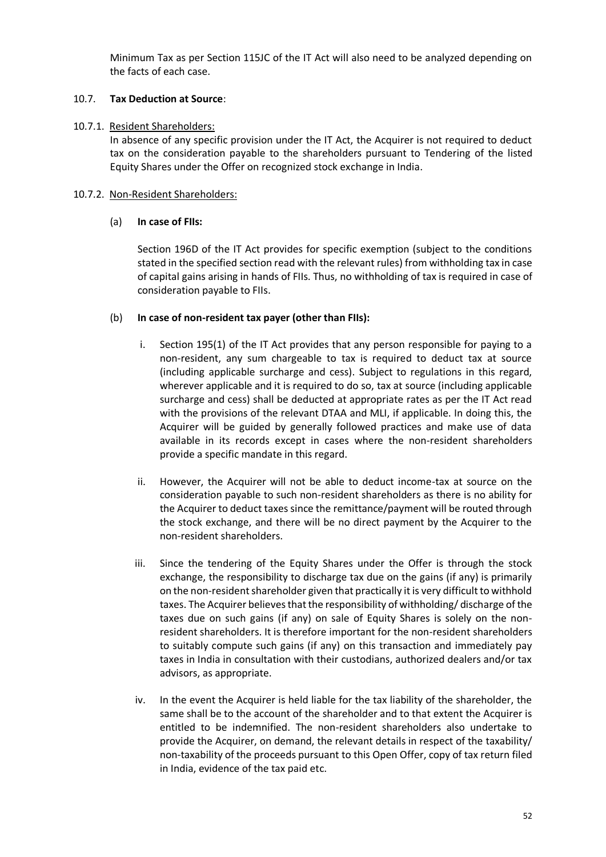Minimum Tax as per Section 115JC of the IT Act will also need to be analyzed depending on the facts of each case.

## 10.7. **Tax Deduction at Source**:

### 10.7.1. Resident Shareholders:

In absence of any specific provision under the IT Act, the Acquirer is not required to deduct tax on the consideration payable to the shareholders pursuant to Tendering of the listed Equity Shares under the Offer on recognized stock exchange in India.

### 10.7.2. Non-Resident Shareholders:

#### (a) **In case of FIIs:**

Section 196D of the IT Act provides for specific exemption (subject to the conditions stated in the specified section read with the relevant rules) from withholding tax in case of capital gains arising in hands of FIIs. Thus, no withholding of tax is required in case of consideration payable to FIIs.

### (b) **In case of non-resident tax payer (other than FIIs):**

- i. Section 195(1) of the IT Act provides that any person responsible for paying to a non-resident, any sum chargeable to tax is required to deduct tax at source (including applicable surcharge and cess). Subject to regulations in this regard, wherever applicable and it is required to do so, tax at source (including applicable surcharge and cess) shall be deducted at appropriate rates as per the IT Act read with the provisions of the relevant DTAA and MLI, if applicable. In doing this, the Acquirer will be guided by generally followed practices and make use of data available in its records except in cases where the non-resident shareholders provide a specific mandate in this regard.
- ii. However, the Acquirer will not be able to deduct income-tax at source on the consideration payable to such non-resident shareholders as there is no ability for the Acquirer to deduct taxes since the remittance/payment will be routed through the stock exchange, and there will be no direct payment by the Acquirer to the non-resident shareholders.
- iii. Since the tendering of the Equity Shares under the Offer is through the stock exchange, the responsibility to discharge tax due on the gains (if any) is primarily on the non-resident shareholder given that practically it is very difficult to withhold taxes. The Acquirer believes that the responsibility of withholding/ discharge of the taxes due on such gains (if any) on sale of Equity Shares is solely on the nonresident shareholders. It is therefore important for the non-resident shareholders to suitably compute such gains (if any) on this transaction and immediately pay taxes in India in consultation with their custodians, authorized dealers and/or tax advisors, as appropriate.
- iv. In the event the Acquirer is held liable for the tax liability of the shareholder, the same shall be to the account of the shareholder and to that extent the Acquirer is entitled to be indemnified. The non-resident shareholders also undertake to provide the Acquirer, on demand, the relevant details in respect of the taxability/ non-taxability of the proceeds pursuant to this Open Offer, copy of tax return filed in India, evidence of the tax paid etc.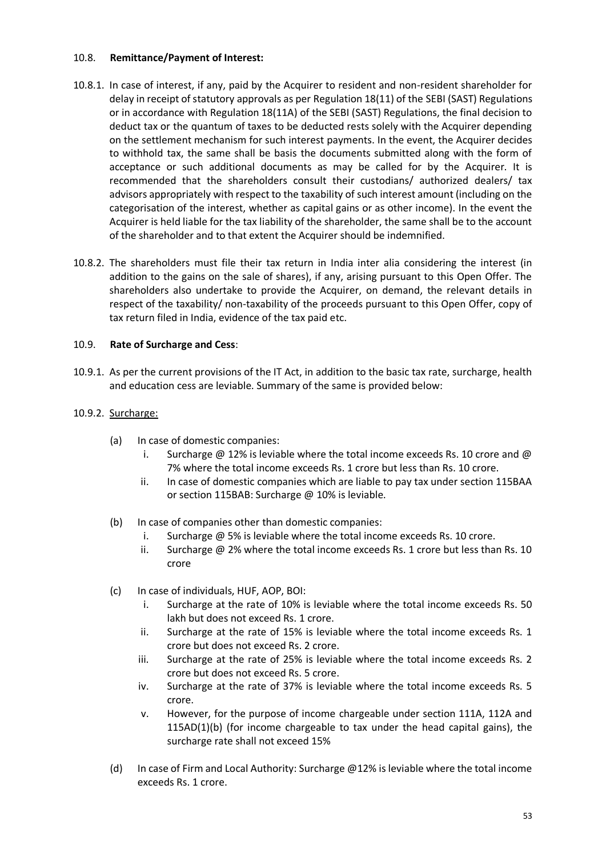## 10.8. **Remittance/Payment of Interest:**

- 10.8.1. In case of interest, if any, paid by the Acquirer to resident and non-resident shareholder for delay in receipt of statutory approvals as per Regulation 18(11) of the SEBI (SAST) Regulations or in accordance with Regulation 18(11A) of the SEBI (SAST) Regulations, the final decision to deduct tax or the quantum of taxes to be deducted rests solely with the Acquirer depending on the settlement mechanism for such interest payments. In the event, the Acquirer decides to withhold tax, the same shall be basis the documents submitted along with the form of acceptance or such additional documents as may be called for by the Acquirer. It is recommended that the shareholders consult their custodians/ authorized dealers/ tax advisors appropriately with respect to the taxability of such interest amount (including on the categorisation of the interest, whether as capital gains or as other income). In the event the Acquirer is held liable for the tax liability of the shareholder, the same shall be to the account of the shareholder and to that extent the Acquirer should be indemnified.
- 10.8.2. The shareholders must file their tax return in India inter alia considering the interest (in addition to the gains on the sale of shares), if any, arising pursuant to this Open Offer. The shareholders also undertake to provide the Acquirer, on demand, the relevant details in respect of the taxability/ non-taxability of the proceeds pursuant to this Open Offer, copy of tax return filed in India, evidence of the tax paid etc.

## 10.9. **Rate of Surcharge and Cess**:

10.9.1. As per the current provisions of the IT Act, in addition to the basic tax rate, surcharge, health and education cess are leviable. Summary of the same is provided below:

## 10.9.2. Surcharge:

- (a) In case of domestic companies:
	- i. Surcharge  $@12\%$  is leviable where the total income exceeds Rs. 10 crore and  $@$ 7% where the total income exceeds Rs. 1 crore but less than Rs. 10 crore.
	- ii. In case of domestic companies which are liable to pay tax under section 115BAA or section 115BAB: Surcharge @ 10% is leviable.
- (b) In case of companies other than domestic companies:
	- i. Surcharge @ 5% is leviable where the total income exceeds Rs. 10 crore.
	- ii. Surcharge @ 2% where the total income exceeds Rs. 1 crore but less than Rs. 10 crore
- (c) In case of individuals, HUF, AOP, BOI:
	- i. Surcharge at the rate of 10% is leviable where the total income exceeds Rs. 50 lakh but does not exceed Rs. 1 crore.
	- ii. Surcharge at the rate of 15% is leviable where the total income exceeds Rs. 1 crore but does not exceed Rs. 2 crore.
	- iii. Surcharge at the rate of 25% is leviable where the total income exceeds Rs. 2 crore but does not exceed Rs. 5 crore.
	- iv. Surcharge at the rate of 37% is leviable where the total income exceeds Rs. 5 crore.
	- v. However, for the purpose of income chargeable under section 111A, 112A and 115AD(1)(b) (for income chargeable to tax under the head capital gains), the surcharge rate shall not exceed 15%
- (d) In case of Firm and Local Authority: Surcharge  $@12%$  is leviable where the total income exceeds Rs. 1 crore.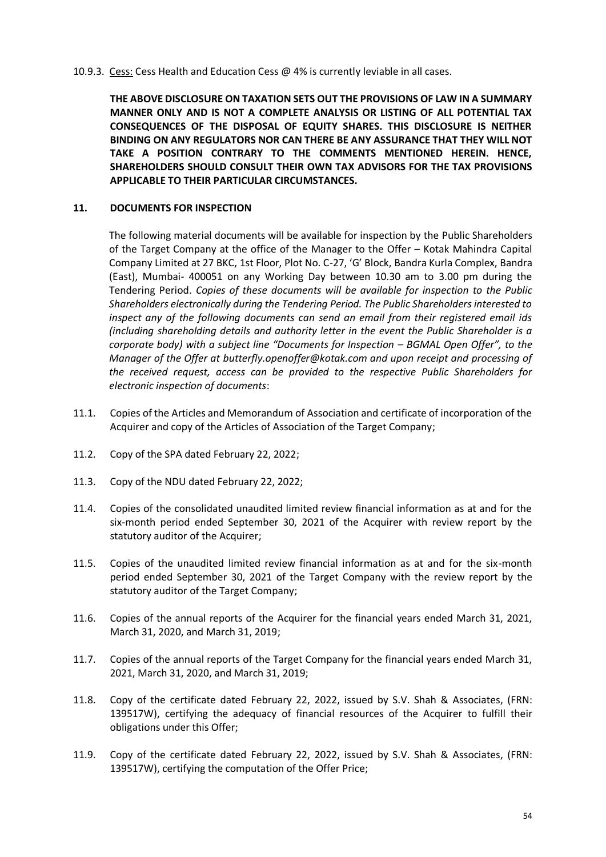#### 10.9.3. Cess: Cess Health and Education Cess @ 4% is currently leviable in all cases.

**THE ABOVE DISCLOSURE ON TAXATION SETS OUT THE PROVISIONS OF LAW IN A SUMMARY MANNER ONLY AND IS NOT A COMPLETE ANALYSIS OR LISTING OF ALL POTENTIAL TAX CONSEQUENCES OF THE DISPOSAL OF EQUITY SHARES. THIS DISCLOSURE IS NEITHER BINDING ON ANY REGULATORS NOR CAN THERE BE ANY ASSURANCE THAT THEY WILL NOT TAKE A POSITION CONTRARY TO THE COMMENTS MENTIONED HEREIN. HENCE, SHAREHOLDERS SHOULD CONSULT THEIR OWN TAX ADVISORS FOR THE TAX PROVISIONS APPLICABLE TO THEIR PARTICULAR CIRCUMSTANCES.**

### <span id="page-53-0"></span>**11. DOCUMENTS FOR INSPECTION**

The following material documents will be available for inspection by the Public Shareholders of the Target Company at the office of the Manager to the Offer – Kotak Mahindra Capital Company Limited at 27 BKC, 1st Floor, Plot No. C-27, 'G' Block, Bandra Kurla Complex, Bandra (East), Mumbai- 400051 on any Working Day between 10.30 am to 3.00 pm during the Tendering Period. *Copies of these documents will be available for inspection to the Public Shareholders electronically during the Tendering Period. The Public Shareholders interested to inspect any of the following documents can send an email from their registered email ids (including shareholding details and authority letter in the event the Public Shareholder is a corporate body) with a subject line "Documents for Inspection – BGMAL Open Offer", to the Manager of the Offer at butterfly.openoffer@kotak.com and upon receipt and processing of the received request, access can be provided to the respective Public Shareholders for electronic inspection of documents*:

- 11.1. Copies of the Articles and Memorandum of Association and certificate of incorporation of the Acquirer and copy of the Articles of Association of the Target Company;
- 11.2. Copy of the SPA dated February 22, 2022;
- 11.3. Copy of the NDU dated February 22, 2022;
- 11.4. Copies of the consolidated unaudited limited review financial information as at and for the six-month period ended September 30, 2021 of the Acquirer with review report by the statutory auditor of the Acquirer;
- 11.5. Copies of the unaudited limited review financial information as at and for the six-month period ended September 30, 2021 of the Target Company with the review report by the statutory auditor of the Target Company;
- 11.6. Copies of the annual reports of the Acquirer for the financial years ended March 31, 2021, March 31, 2020, and March 31, 2019;
- 11.7. Copies of the annual reports of the Target Company for the financial years ended March 31, 2021, March 31, 2020, and March 31, 2019;
- 11.8. Copy of the certificate dated February 22, 2022, issued by S.V. Shah & Associates, (FRN: 139517W), certifying the adequacy of financial resources of the Acquirer to fulfill their obligations under this Offer;
- 11.9. Copy of the certificate dated February 22, 2022, issued by S.V. Shah & Associates, (FRN: 139517W), certifying the computation of the Offer Price;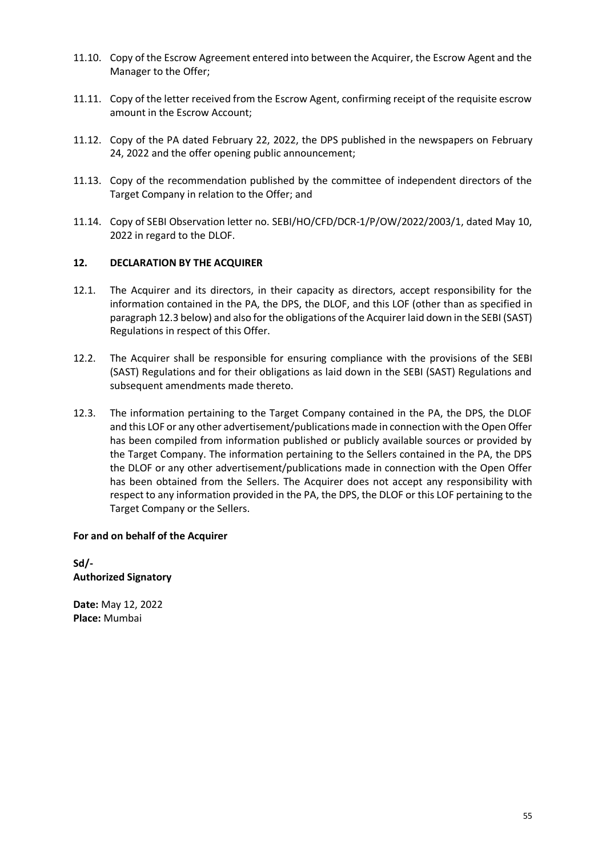- 11.10. Copy of the Escrow Agreement entered into between the Acquirer, the Escrow Agent and the Manager to the Offer;
- 11.11. Copy of the letter received from the Escrow Agent, confirming receipt of the requisite escrow amount in the Escrow Account;
- 11.12. Copy of the PA dated February 22, 2022, the DPS published in the newspapers on February 24, 2022 and the offer opening public announcement;
- 11.13. Copy of the recommendation published by the committee of independent directors of the Target Company in relation to the Offer; and
- 11.14. Copy of SEBI Observation letter no. SEBI/HO/CFD/DCR-1/P/OW/2022/2003/1, dated May 10, 2022 in regard to the DLOF.

## <span id="page-54-0"></span>**12. DECLARATION BY THE ACQUIRER**

- 12.1. The Acquirer and its directors, in their capacity as directors, accept responsibility for the information contained in the PA, the DPS, the DLOF, and this LOF (other than as specified in paragraph 12.3 below) and also for the obligations of the Acquirer laid down in the SEBI (SAST) Regulations in respect of this Offer.
- 12.2. The Acquirer shall be responsible for ensuring compliance with the provisions of the SEBI (SAST) Regulations and for their obligations as laid down in the SEBI (SAST) Regulations and subsequent amendments made thereto.
- 12.3. The information pertaining to the Target Company contained in the PA, the DPS, the DLOF and this LOF or any other advertisement/publications made in connection with the Open Offer has been compiled from information published or publicly available sources or provided by the Target Company. The information pertaining to the Sellers contained in the PA, the DPS the DLOF or any other advertisement/publications made in connection with the Open Offer has been obtained from the Sellers. The Acquirer does not accept any responsibility with respect to any information provided in the PA, the DPS, the DLOF or this LOF pertaining to the Target Company or the Sellers.

### **For and on behalf of the Acquirer**

**Sd/- Authorized Signatory**

**Date:** May 12, 2022 **Place:** Mumbai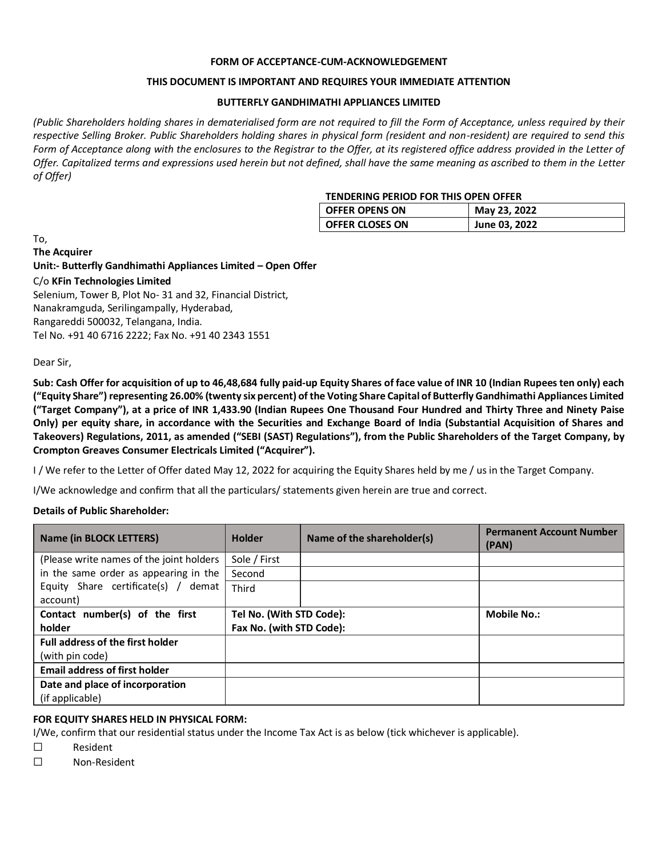#### **FORM OF ACCEPTANCE-CUM-ACKNOWLEDGEMENT**

#### **THIS DOCUMENT IS IMPORTANT AND REQUIRES YOUR IMMEDIATE ATTENTION**

#### **BUTTERFLY GANDHIMATHI APPLIANCES LIMITED**

*(Public Shareholders holding shares in dematerialised form are not required to fill the Form of Acceptance, unless required by their respective Selling Broker. Public Shareholders holding shares in physical form (resident and non-resident) are required to send this*  Form of Acceptance along with the enclosures to the Registrar to the Offer, at its registered office address provided in the Letter of *Offer. Capitalized terms and expressions used herein but not defined, shall have the same meaning as ascribed to them in the Letter of Offer)*

#### **TENDERING PERIOD FOR THIS OPEN OFFER**

| <b>OFFER OPENS ON</b>  | May 23, 2022  |
|------------------------|---------------|
| <b>OFFER CLOSES ON</b> | June 03, 2022 |

To,

**The Acquirer**

**Unit:- Butterfly Gandhimathi Appliances Limited – Open Offer**

#### C/o **KFin Technologies Limited**

Selenium, Tower B, Plot No- 31 and 32, Financial District, Nanakramguda, Serilingampally, Hyderabad, Rangareddi 500032, Telangana, India. Tel No. +91 40 6716 2222; Fax No. +91 40 2343 1551

Dear Sir,

**Sub: Cash Offer for acquisition of up to 46,48,684 fully paid-up Equity Shares of face value of INR 10 (Indian Rupees ten only) each ("Equity Share") representing 26.00% (twenty six percent) of the Voting Share Capital of Butterfly Gandhimathi Appliances Limited ("Target Company"), at a price of INR 1,433.90 (Indian Rupees One Thousand Four Hundred and Thirty Three and Ninety Paise Only) per equity share, in accordance with the Securities and Exchange Board of India (Substantial Acquisition of Shares and Takeovers) Regulations, 2011, as amended ("SEBI (SAST) Regulations"), from the Public Shareholders of the Target Company, by Crompton Greaves Consumer Electricals Limited ("Acquirer").**

I / We refer to the Letter of Offer dated May 12, 2022 for acquiring the Equity Shares held by me / us in the Target Company.

I/We acknowledge and confirm that all the particulars/ statements given herein are true and correct.

#### **Details of Public Shareholder:**

| <b>Name (in BLOCK LETTERS)</b>           | <b>Holder</b>            | Name of the shareholder(s) | <b>Permanent Account Number</b><br>(PAN) |
|------------------------------------------|--------------------------|----------------------------|------------------------------------------|
| (Please write names of the joint holders | Sole / First             |                            |                                          |
| in the same order as appearing in the    | Second                   |                            |                                          |
| Equity Share certificate(s) / demat      | Third                    |                            |                                          |
| account)                                 |                          |                            |                                          |
| Contact number(s) of the first           | Tel No. (With STD Code): |                            | <b>Mobile No.:</b>                       |
| holder                                   | Fax No. (with STD Code): |                            |                                          |
| <b>Full address of the first holder</b>  |                          |                            |                                          |
| (with pin code)                          |                          |                            |                                          |
| <b>Email address of first holder</b>     |                          |                            |                                          |
| Date and place of incorporation          |                          |                            |                                          |
| (if applicable)                          |                          |                            |                                          |

#### **FOR EQUITY SHARES HELD IN PHYSICAL FORM:**

I/We, confirm that our residential status under the Income Tax Act is as below (tick whichever is applicable).

- ☐ Resident
- ☐ Non-Resident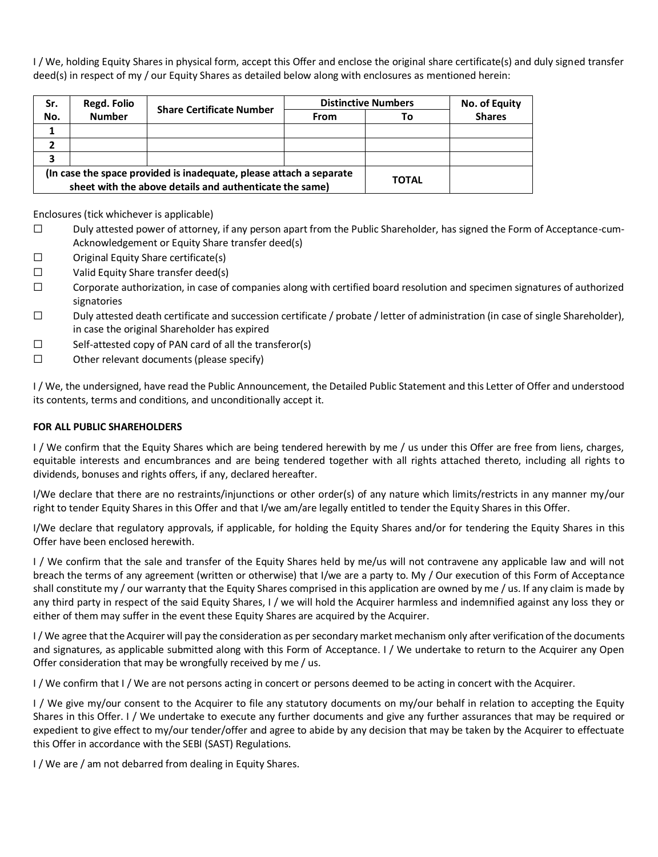I / We, holding Equity Shares in physical form, accept this Offer and enclose the original share certificate(s) and duly signed transfer deed(s) in respect of my / our Equity Shares as detailed below along with enclosures as mentioned herein:

| Sr.                                                                                                                            | Regd. Folio   | <b>Share Certificate Number</b> | <b>Distinctive Numbers</b> |              | No. of Equity |
|--------------------------------------------------------------------------------------------------------------------------------|---------------|---------------------------------|----------------------------|--------------|---------------|
| No.                                                                                                                            | <b>Number</b> |                                 | From                       | Τo           | <b>Shares</b> |
|                                                                                                                                |               |                                 |                            |              |               |
|                                                                                                                                |               |                                 |                            |              |               |
|                                                                                                                                |               |                                 |                            |              |               |
| (In case the space provided is inadequate, please attach a separate<br>sheet with the above details and authenticate the same) |               |                                 |                            | <b>TOTAL</b> |               |

Enclosures (tick whichever is applicable)

- ☐ Duly attested power of attorney, if any person apart from the Public Shareholder, has signed the Form of Acceptance-cum-Acknowledgement or Equity Share transfer deed(s)
- ☐ Original Equity Share certificate(s)
- ☐ Valid Equity Share transfer deed(s)
- $\square$  Corporate authorization, in case of companies along with certified board resolution and specimen signatures of authorized signatories
- ☐ Duly attested death certificate and succession certificate / probate / letter of administration (in case of single Shareholder), in case the original Shareholder has expired
- ☐ Self-attested copy of PAN card of all the transferor(s)
- ☐ Other relevant documents (please specify)

I / We, the undersigned, have read the Public Announcement, the Detailed Public Statement and this Letter of Offer and understood its contents, terms and conditions, and unconditionally accept it.

#### **FOR ALL PUBLIC SHAREHOLDERS**

I / We confirm that the Equity Shares which are being tendered herewith by me / us under this Offer are free from liens, charges, equitable interests and encumbrances and are being tendered together with all rights attached thereto, including all rights to dividends, bonuses and rights offers, if any, declared hereafter.

I/We declare that there are no restraints/injunctions or other order(s) of any nature which limits/restricts in any manner my/our right to tender Equity Shares in this Offer and that I/we am/are legally entitled to tender the Equity Shares in this Offer.

I/We declare that regulatory approvals, if applicable, for holding the Equity Shares and/or for tendering the Equity Shares in this Offer have been enclosed herewith.

I / We confirm that the sale and transfer of the Equity Shares held by me/us will not contravene any applicable law and will not breach the terms of any agreement (written or otherwise) that I/we are a party to. My / Our execution of this Form of Acceptance shall constitute my / our warranty that the Equity Shares comprised in this application are owned by me / us. If any claim is made by any third party in respect of the said Equity Shares, I / we will hold the Acquirer harmless and indemnified against any loss they or either of them may suffer in the event these Equity Shares are acquired by the Acquirer.

I / We agree that the Acquirer will pay the consideration as per secondary market mechanism only after verification of the documents and signatures, as applicable submitted along with this Form of Acceptance. I / We undertake to return to the Acquirer any Open Offer consideration that may be wrongfully received by me / us.

I / We confirm that I / We are not persons acting in concert or persons deemed to be acting in concert with the Acquirer.

I / We give my/our consent to the Acquirer to file any statutory documents on my/our behalf in relation to accepting the Equity Shares in this Offer. I / We undertake to execute any further documents and give any further assurances that may be required or expedient to give effect to my/our tender/offer and agree to abide by any decision that may be taken by the Acquirer to effectuate this Offer in accordance with the SEBI (SAST) Regulations.

I / We are / am not debarred from dealing in Equity Shares.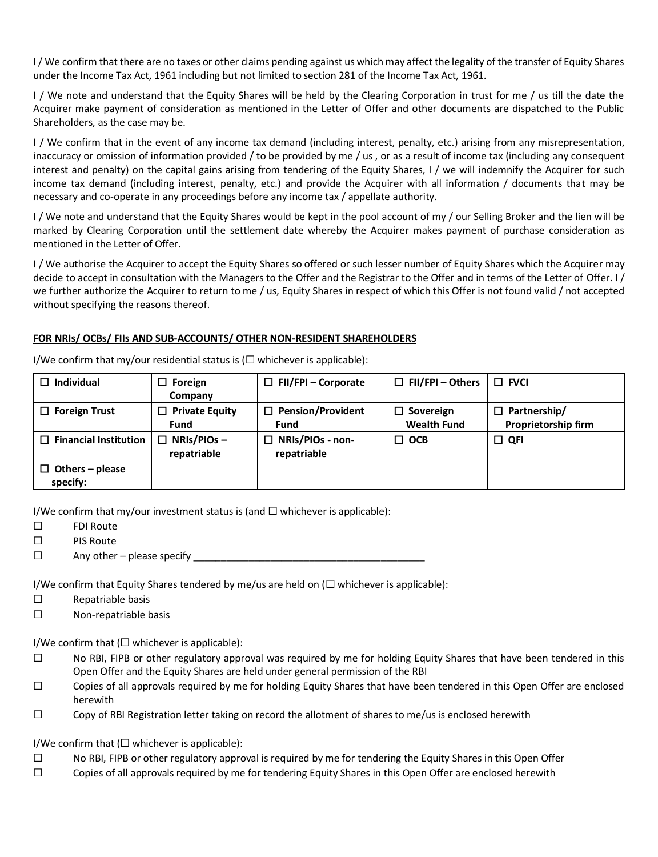I / We confirm that there are no taxes or other claims pending against us which may affect the legality of the transfer of Equity Shares under the Income Tax Act, 1961 including but not limited to section 281 of the Income Tax Act, 1961.

I / We note and understand that the Equity Shares will be held by the Clearing Corporation in trust for me / us till the date the Acquirer make payment of consideration as mentioned in the Letter of Offer and other documents are dispatched to the Public Shareholders, as the case may be.

I / We confirm that in the event of any income tax demand (including interest, penalty, etc.) arising from any misrepresentation, inaccuracy or omission of information provided / to be provided by me / us , or as a result of income tax (including any consequent interest and penalty) on the capital gains arising from tendering of the Equity Shares, I / we will indemnify the Acquirer for such income tax demand (including interest, penalty, etc.) and provide the Acquirer with all information / documents that may be necessary and co-operate in any proceedings before any income tax / appellate authority.

I / We note and understand that the Equity Shares would be kept in the pool account of my / our Selling Broker and the lien will be marked by Clearing Corporation until the settlement date whereby the Acquirer makes payment of purchase consideration as mentioned in the Letter of Offer.

I / We authorise the Acquirer to accept the Equity Shares so offered or such lesser number of Equity Shares which the Acquirer may decide to accept in consultation with the Managers to the Offer and the Registrar to the Offer and in terms of the Letter of Offer. I / we further authorize the Acquirer to return to me / us, Equity Shares in respect of which this Offer is not found valid / not accepted without specifying the reasons thereof.

#### **FOR NRIs/ OCBs/ FIIs AND SUB-ACCOUNTS/ OTHER NON-RESIDENT SHAREHOLDERS**

| Individual                         | Foreign<br>□                       | $\Box$ FII/FPI – Corporate             | $\Box$ FII/FPI – Others                | $\Box$ FVCI                                |
|------------------------------------|------------------------------------|----------------------------------------|----------------------------------------|--------------------------------------------|
|                                    | Company                            |                                        |                                        |                                            |
| $\Box$ Foreign Trust               | <b>Private Equity</b><br>□<br>Fund | $\Box$ Pension/Provident<br>Fund       | $\Box$ Sovereign<br><b>Wealth Fund</b> | $\Box$ Partnership/<br>Proprietorship firm |
| $\Box$ Financial Institution       | $NRIS/PIOS -$<br>□<br>repatriable  | $\Box$ NRIs/PIOs - non-<br>repatriable | $\Box$ OCB                             | $\Box$ QFI                                 |
| $\Box$ Others – please<br>specify: |                                    |                                        |                                        |                                            |

I/We confirm that my/our residential status is  $(\Box$  whichever is applicable):

I/We confirm that my/our investment status is (and  $\Box$  whichever is applicable):

- ☐ FDI Route
- ☐ PIS Route
- $\Box$  Any other please specify

I/We confirm that Equity Shares tendered by me/us are held on  $(\Box$  whichever is applicable):

- ☐ Repatriable basis
- ☐ Non-repatriable basis

I/We confirm that  $\Box$  whichever is applicable):

- $□$  No RBI, FIPB or other regulatory approval was required by me for holding Equity Shares that have been tendered in this Open Offer and the Equity Shares are held under general permission of the RBI
- $\Box$  Copies of all approvals required by me for holding Equity Shares that have been tendered in this Open Offer are enclosed herewith
- $\Box$  Copy of RBI Registration letter taking on record the allotment of shares to me/us is enclosed herewith

I/We confirm that  $(\Box$  whichever is applicable):

- $\Box$  No RBI, FIPB or other regulatory approval is required by me for tendering the Equity Shares in this Open Offer
- ☐ Copies of all approvals required by me for tendering Equity Shares in this Open Offer are enclosed herewith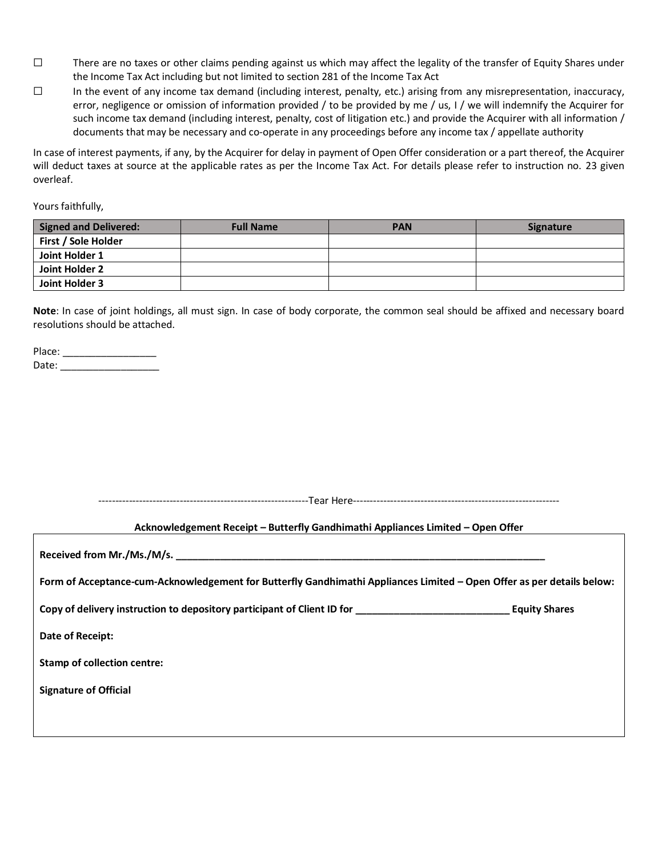- $\square$  There are no taxes or other claims pending against us which may affect the legality of the transfer of Equity Shares under the Income Tax Act including but not limited to section 281 of the Income Tax Act
- $\Box$  In the event of any income tax demand (including interest, penalty, etc.) arising from any misrepresentation, inaccuracy, error, negligence or omission of information provided / to be provided by me / us, I / we will indemnify the Acquirer for such income tax demand (including interest, penalty, cost of litigation etc.) and provide the Acquirer with all information / documents that may be necessary and co-operate in any proceedings before any income tax / appellate authority

In case of interest payments, if any, by the Acquirer for delay in payment of Open Offer consideration or a part thereof, the Acquirer will deduct taxes at source at the applicable rates as per the Income Tax Act. For details please refer to instruction no. 23 given overleaf.

Yours faithfully,

| <b>Signed and Delivered:</b> | <b>Full Name</b> | <b>PAN</b> | <b>Signature</b> |
|------------------------------|------------------|------------|------------------|
| First / Sole Holder          |                  |            |                  |
| Joint Holder 1               |                  |            |                  |
| Joint Holder 2               |                  |            |                  |
| Joint Holder 3               |                  |            |                  |

**Note**: In case of joint holdings, all must sign. In case of body corporate, the common seal should be affixed and necessary board resolutions should be attached.

| Place: |  |
|--------|--|
| Date:  |  |

--------------------------------------------------------------Tear Here-------------------------------------------------------------

#### **Acknowledgement Receipt – Butterfly Gandhimathi Appliances Limited – Open Offer**

**Received from Mr./Ms./M/s. \_\_\_\_\_\_\_\_\_\_\_\_\_\_\_\_\_\_\_\_\_\_\_\_\_\_\_\_\_\_\_\_\_\_\_\_\_\_\_\_\_\_\_\_\_\_\_\_\_\_\_\_\_\_\_\_\_\_\_\_\_\_\_\_\_\_\_**

**Form of Acceptance-cum-Acknowledgement for Butterfly Gandhimathi Appliances Limited – Open Offer as per details below:** 

**Copy of delivery instruction to depository participant of Client ID for \_\_\_\_\_\_\_\_\_\_\_\_\_\_\_\_\_\_\_\_\_\_\_\_\_\_\_\_ Equity Shares** 

**Date of Receipt:** 

**Stamp of collection centre:** 

**Signature of Official**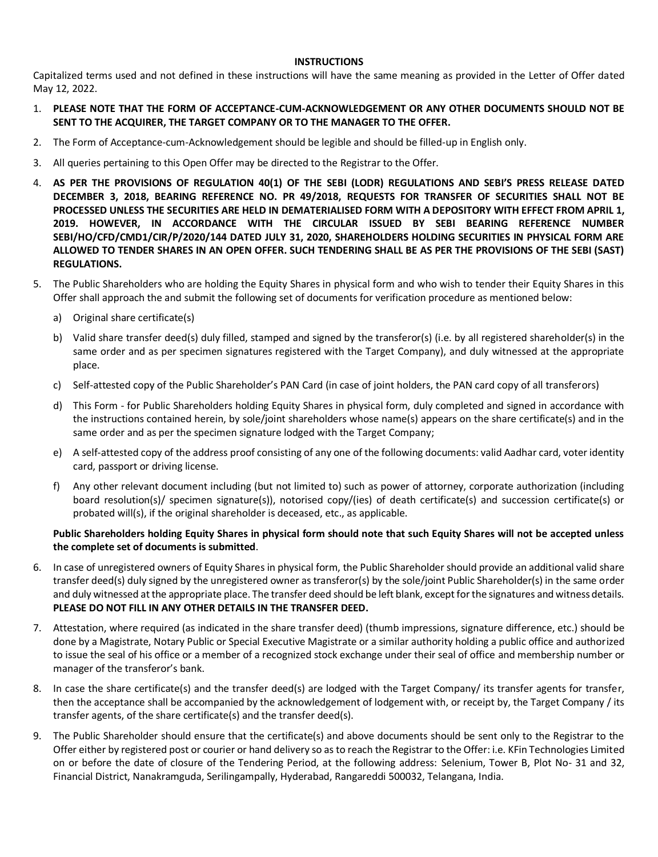#### **INSTRUCTIONS**

Capitalized terms used and not defined in these instructions will have the same meaning as provided in the Letter of Offer dated May 12, 2022.

- 1. **PLEASE NOTE THAT THE FORM OF ACCEPTANCE-CUM-ACKNOWLEDGEMENT OR ANY OTHER DOCUMENTS SHOULD NOT BE SENT TO THE ACQUIRER, THE TARGET COMPANY OR TO THE MANAGER TO THE OFFER.**
- 2. The Form of Acceptance-cum-Acknowledgement should be legible and should be filled-up in English only.
- 3. All queries pertaining to this Open Offer may be directed to the Registrar to the Offer.
- 4. **AS PER THE PROVISIONS OF REGULATION 40(1) OF THE SEBI (LODR) REGULATIONS AND SEBI'S PRESS RELEASE DATED DECEMBER 3, 2018, BEARING REFERENCE NO. PR 49/2018, REQUESTS FOR TRANSFER OF SECURITIES SHALL NOT BE PROCESSED UNLESS THE SECURITIES ARE HELD IN DEMATERIALISED FORM WITH A DEPOSITORY WITH EFFECT FROM APRIL 1, 2019. HOWEVER, IN ACCORDANCE WITH THE CIRCULAR ISSUED BY SEBI BEARING REFERENCE NUMBER SEBI/HO/CFD/CMD1/CIR/P/2020/144 DATED JULY 31, 2020, SHAREHOLDERS HOLDING SECURITIES IN PHYSICAL FORM ARE ALLOWED TO TENDER SHARES IN AN OPEN OFFER. SUCH TENDERING SHALL BE AS PER THE PROVISIONS OF THE SEBI (SAST) REGULATIONS.**
- 5. The Public Shareholders who are holding the Equity Shares in physical form and who wish to tender their Equity Shares in this Offer shall approach the and submit the following set of documents for verification procedure as mentioned below:
	- a) Original share certificate(s)
	- b) Valid share transfer deed(s) duly filled, stamped and signed by the transferor(s) (i.e. by all registered shareholder(s) in the same order and as per specimen signatures registered with the Target Company), and duly witnessed at the appropriate place.
	- c) Self-attested copy of the Public Shareholder's PAN Card (in case of joint holders, the PAN card copy of all transferors)
	- d) This Form for Public Shareholders holding Equity Shares in physical form, duly completed and signed in accordance with the instructions contained herein, by sole/joint shareholders whose name(s) appears on the share certificate(s) and in the same order and as per the specimen signature lodged with the Target Company;
	- e) A self-attested copy of the address proof consisting of any one of the following documents: valid Aadhar card, voter identity card, passport or driving license.
	- f) Any other relevant document including (but not limited to) such as power of attorney, corporate authorization (including board resolution(s)/ specimen signature(s)), notorised copy/(ies) of death certificate(s) and succession certificate(s) or probated will(s), if the original shareholder is deceased, etc., as applicable.

#### **Public Shareholders holding Equity Shares in physical form should note that such Equity Shares will not be accepted unless the complete set of documents is submitted**.

- 6. In case of unregistered owners of Equity Shares in physical form, the Public Shareholder should provide an additional valid share transfer deed(s) duly signed by the unregistered owner as transferor(s) by the sole/joint Public Shareholder(s) in the same order and duly witnessed at the appropriate place. The transfer deed should be left blank, except for the signatures and witness details. **PLEASE DO NOT FILL IN ANY OTHER DETAILS IN THE TRANSFER DEED.**
- 7. Attestation, where required (as indicated in the share transfer deed) (thumb impressions, signature difference, etc.) should be done by a Magistrate, Notary Public or Special Executive Magistrate or a similar authority holding a public office and authorized to issue the seal of his office or a member of a recognized stock exchange under their seal of office and membership number or manager of the transferor's bank.
- 8. In case the share certificate(s) and the transfer deed(s) are lodged with the Target Company/ its transfer agents for transfer, then the acceptance shall be accompanied by the acknowledgement of lodgement with, or receipt by, the Target Company / its transfer agents, of the share certificate(s) and the transfer deed(s).
- 9. The Public Shareholder should ensure that the certificate(s) and above documents should be sent only to the Registrar to the Offer either by registered post or courier or hand delivery so as to reach the Registrar to the Offer: i.e. KFin Technologies Limited on or before the date of closure of the Tendering Period, at the following address: Selenium, Tower B, Plot No- 31 and 32, Financial District, Nanakramguda, Serilingampally, Hyderabad, Rangareddi 500032, Telangana, India.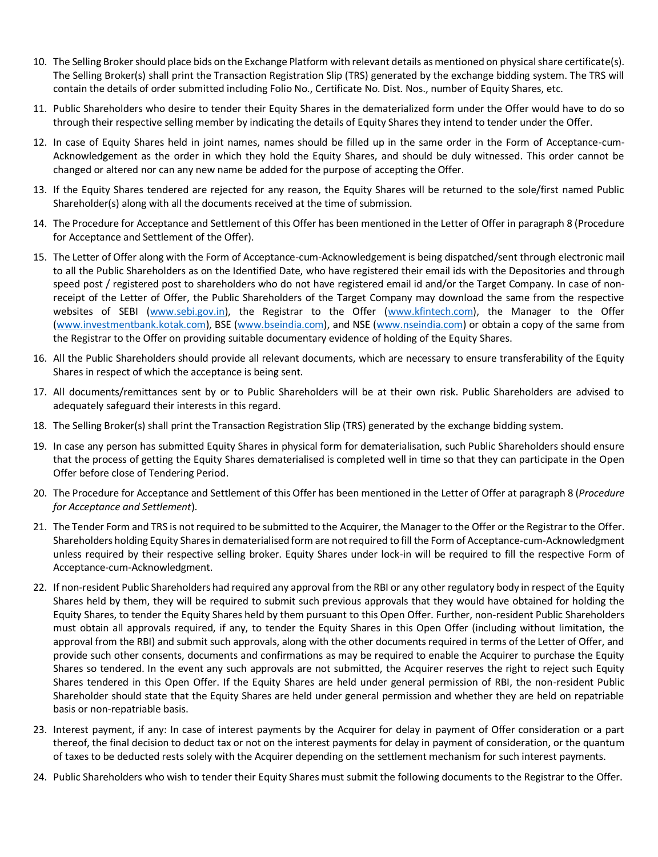- 10. The Selling Broker should place bids on the Exchange Platform with relevant details as mentioned on physical share certificate(s). The Selling Broker(s) shall print the Transaction Registration Slip (TRS) generated by the exchange bidding system. The TRS will contain the details of order submitted including Folio No., Certificate No. Dist. Nos., number of Equity Shares, etc.
- 11. Public Shareholders who desire to tender their Equity Shares in the dematerialized form under the Offer would have to do so through their respective selling member by indicating the details of Equity Shares they intend to tender under the Offer.
- 12. In case of Equity Shares held in joint names, names should be filled up in the same order in the Form of Acceptance-cum-Acknowledgement as the order in which they hold the Equity Shares, and should be duly witnessed. This order cannot be changed or altered nor can any new name be added for the purpose of accepting the Offer.
- 13. If the Equity Shares tendered are rejected for any reason, the Equity Shares will be returned to the sole/first named Public Shareholder(s) along with all the documents received at the time of submission.
- 14. The Procedure for Acceptance and Settlement of this Offer has been mentioned in the Letter of Offer in paragraph 8 (Procedure for Acceptance and Settlement of the Offer).
- 15. The Letter of Offer along with the Form of Acceptance-cum-Acknowledgement is being dispatched/sent through electronic mail to all the Public Shareholders as on the Identified Date, who have registered their email ids with the Depositories and through speed post / registered post to shareholders who do not have registered email id and/or the Target Company. In case of nonreceipt of the Letter of Offer, the Public Shareholders of the Target Company may download the same from the respective websites of SEBI [\(www.sebi.gov.in\)](http://www.sebi.gov.in/), the Registrar to the Offer [\(www.kfintech.com\)](http://www.kfintech.com/), the Manager to the Offer [\(www.investmentbank.kotak.com\)](http://www.investmentbank.kotak.com/), BSE [\(www.bseindia.com\)](http://www.bseindia.com/), and NSE [\(www.nseindia.com\)](http://www.nseindia.com/) or obtain a copy of the same from the Registrar to the Offer on providing suitable documentary evidence of holding of the Equity Shares.
- 16. All the Public Shareholders should provide all relevant documents, which are necessary to ensure transferability of the Equity Shares in respect of which the acceptance is being sent.
- 17. All documents/remittances sent by or to Public Shareholders will be at their own risk. Public Shareholders are advised to adequately safeguard their interests in this regard.
- 18. The Selling Broker(s) shall print the Transaction Registration Slip (TRS) generated by the exchange bidding system.
- 19. In case any person has submitted Equity Shares in physical form for dematerialisation, such Public Shareholders should ensure that the process of getting the Equity Shares dematerialised is completed well in time so that they can participate in the Open Offer before close of Tendering Period.
- 20. The Procedure for Acceptance and Settlement of this Offer has been mentioned in the Letter of Offer at paragraph 8 (*Procedure for Acceptance and Settlement*).
- 21. The Tender Form and TRS is not required to be submitted to the Acquirer, the Manager to the Offer or the Registrar to the Offer. Shareholders holding Equity Shares in dematerialised form are not required to fill the Form of Acceptance-cum-Acknowledgment unless required by their respective selling broker. Equity Shares under lock-in will be required to fill the respective Form of Acceptance-cum-Acknowledgment.
- 22. If non-resident Public Shareholders had required any approval from the RBI or any other regulatory body in respect of the Equity Shares held by them, they will be required to submit such previous approvals that they would have obtained for holding the Equity Shares, to tender the Equity Shares held by them pursuant to this Open Offer. Further, non-resident Public Shareholders must obtain all approvals required, if any, to tender the Equity Shares in this Open Offer (including without limitation, the approval from the RBI) and submit such approvals, along with the other documents required in terms of the Letter of Offer, and provide such other consents, documents and confirmations as may be required to enable the Acquirer to purchase the Equity Shares so tendered. In the event any such approvals are not submitted, the Acquirer reserves the right to reject such Equity Shares tendered in this Open Offer. If the Equity Shares are held under general permission of RBI, the non-resident Public Shareholder should state that the Equity Shares are held under general permission and whether they are held on repatriable basis or non-repatriable basis.
- 23. Interest payment, if any: In case of interest payments by the Acquirer for delay in payment of Offer consideration or a part thereof, the final decision to deduct tax or not on the interest payments for delay in payment of consideration, or the quantum of taxes to be deducted rests solely with the Acquirer depending on the settlement mechanism for such interest payments.
- 24. Public Shareholders who wish to tender their Equity Shares must submit the following documents to the Registrar to the Offer.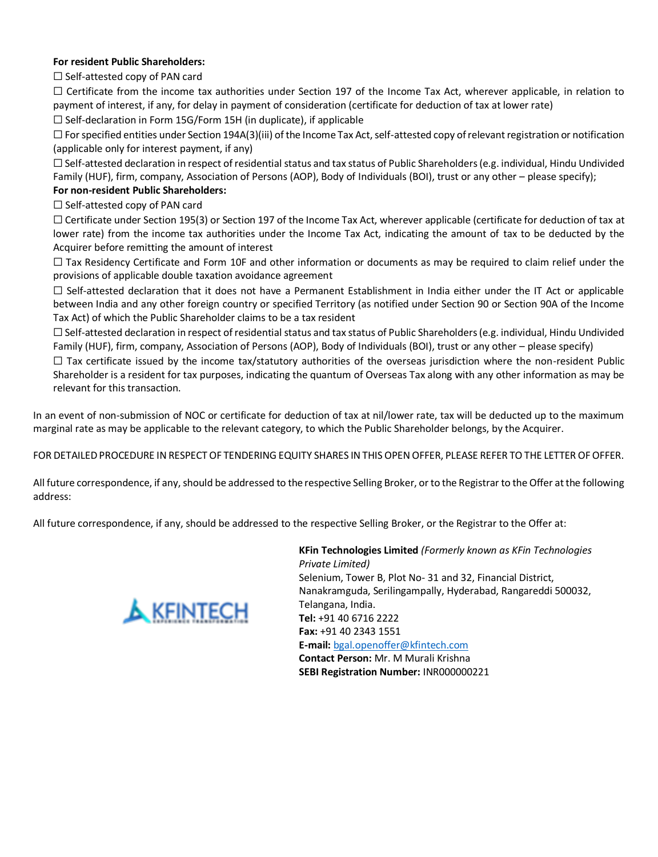#### **For resident Public Shareholders:**

 $\Box$  Self-attested copy of PAN card

☐ Certificate from the income tax authorities under Section 197 of the Income Tax Act, wherever applicable, in relation to payment of interest, if any, for delay in payment of consideration (certificate for deduction of tax at lower rate)

 $\Box$  Self-declaration in Form 15G/Form 15H (in duplicate), if applicable

 $\Box$  For specified entities under Section 194A(3)(iii) of the Income Tax Act, self-attested copy of relevant registration or notification (applicable only for interest payment, if any)

 $\Box$  Self-attested declaration in respect of residential status and tax status of Public Shareholders (e.g. individual, Hindu Undivided Family (HUF), firm, company, Association of Persons (AOP), Body of Individuals (BOI), trust or any other – please specify);

#### **For non-resident Public Shareholders:**

 $\Box$  Self-attested copy of PAN card

☐ Certificate under Section 195(3) or Section 197 of the Income Tax Act, wherever applicable (certificate for deduction of tax at lower rate) from the income tax authorities under the Income Tax Act, indicating the amount of tax to be deducted by the Acquirer before remitting the amount of interest

 $\Box$  Tax Residency Certificate and Form 10F and other information or documents as may be required to claim relief under the provisions of applicable double taxation avoidance agreement

 $\Box$  Self-attested declaration that it does not have a Permanent Establishment in India either under the IT Act or applicable between India and any other foreign country or specified Territory (as notified under Section 90 or Section 90A of the Income Tax Act) of which the Public Shareholder claims to be a tax resident

 $\Box$  Self-attested declaration in respect of residential status and tax status of Public Shareholders (e.g. individual, Hindu Undivided Family (HUF), firm, company, Association of Persons (AOP), Body of Individuals (BOI), trust or any other – please specify)

 $\Box$  Tax certificate issued by the income tax/statutory authorities of the overseas jurisdiction where the non-resident Public Shareholder is a resident for tax purposes, indicating the quantum of Overseas Tax along with any other information as may be relevant for this transaction.

In an event of non-submission of NOC or certificate for deduction of tax at nil/lower rate, tax will be deducted up to the maximum marginal rate as may be applicable to the relevant category, to which the Public Shareholder belongs, by the Acquirer.

FOR DETAILED PROCEDURE IN RESPECT OF TENDERING EQUITY SHARES IN THIS OPEN OFFER, PLEASE REFER TO THE LETTER OF OFFER.

All future correspondence, if any, should be addressed to the respective Selling Broker, or to the Registrar to the Offer at the following address:

All future correspondence, if any, should be addressed to the respective Selling Broker, or the Registrar to the Offer at:



**KFin Technologies Limited** *(Formerly known as KFin Technologies Private Limited)* Selenium, Tower B, Plot No- 31 and 32, Financial District, Nanakramguda, Serilingampally, Hyderabad, Rangareddi 500032, Telangana, India. **Tel:** +91 40 6716 2222 **Fax:** +91 40 2343 1551 **E-mail:** bgal.openoffer@kfintech.com **Contact Person:** Mr. M Murali Krishna **SEBI Registration Number:** INR000000221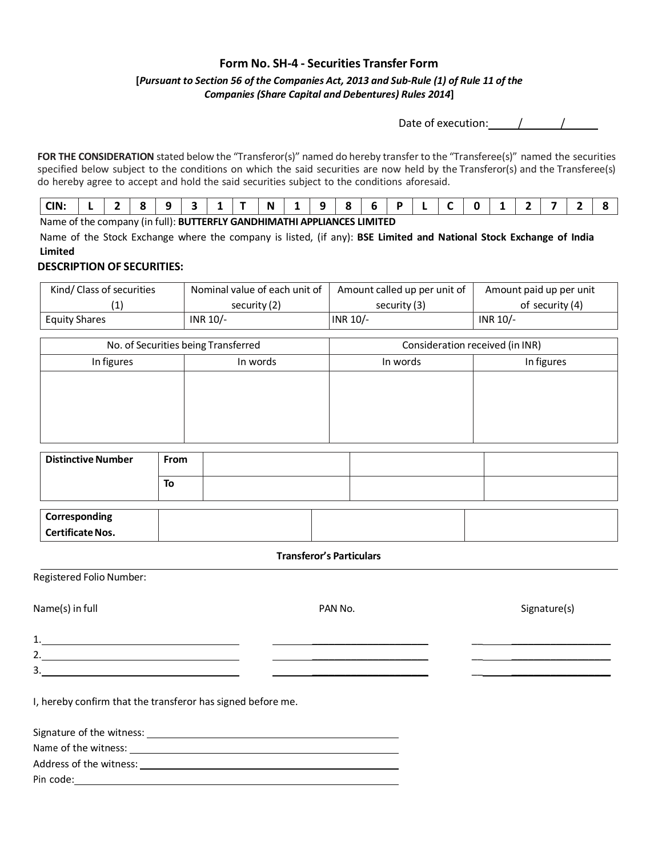### **Form No. SH-4 - Securities Transfer Form**

### **[***Pursuant to Section 56 of the Companies Act, 2013 and Sub-Rule (1) of Rule 11 of the Companies (Share Capital and Debentures) Rules 2014***]**

Date of execution:  $/$  /

**FOR THE CONSIDERATION** stated below the "Transferor(s)" named do hereby transfer to the "Transferee(s)" named the securities specified below subject to the conditions on which the said securities are now held by the Transferor(s) and the Transferee(s) do hereby agree to accept and hold the said securities subject to the conditions aforesaid.

Name of the company (in full): **BUTTERFLY GANDHIMATHI APPLIANCES LIMITED**

Name of the Stock Exchange where the company is listed, (if any): **BSE Limited and National Stock Exchange of India Limited**

#### **DESCRIPTION OF SECURITIES:**

| Kind/ Class of securities | Nominal value of each unit of | Amount called up per unit of | Amount paid up per unit |
|---------------------------|-------------------------------|------------------------------|-------------------------|
|                           | security (2)                  | security (3)                 | of security (4)         |
| <b>Equity Shares</b>      | INR $10/-$                    | INR 10/-                     | INR 10/-                |

| No. of Securities being Transferred |          | Consideration received (in INR) |            |
|-------------------------------------|----------|---------------------------------|------------|
| In figures                          | In words | In words                        | In figures |
|                                     |          |                                 |            |
|                                     |          |                                 |            |
|                                     |          |                                 |            |
|                                     |          |                                 |            |

| <b>Distinctive Number</b> | From |  |
|---------------------------|------|--|
|                           | To   |  |
|                           |      |  |

| Corresponding           |  |  |
|-------------------------|--|--|
| <b>Certificate Nos.</b> |  |  |
|                         |  |  |

#### **Transferor's Particulars**

Registered Folio Number:

Name(s) in full example the state of the PAN No. The Signature of the Signature(s) signature(s)

1. \_\_\_\_\_\_\_\_\_\_\_\_\_\_\_\_\_\_\_\_\_ \_\_ \_\_\_\_\_\_\_\_\_\_\_\_\_\_\_\_\_\_

2.

 $3.$ 

I, hereby confirm that the transferor has signed before me.

| Signature of the witness: |  |
|---------------------------|--|
| Name of the witness:      |  |
| Address of the witness:   |  |
| Pin code:                 |  |